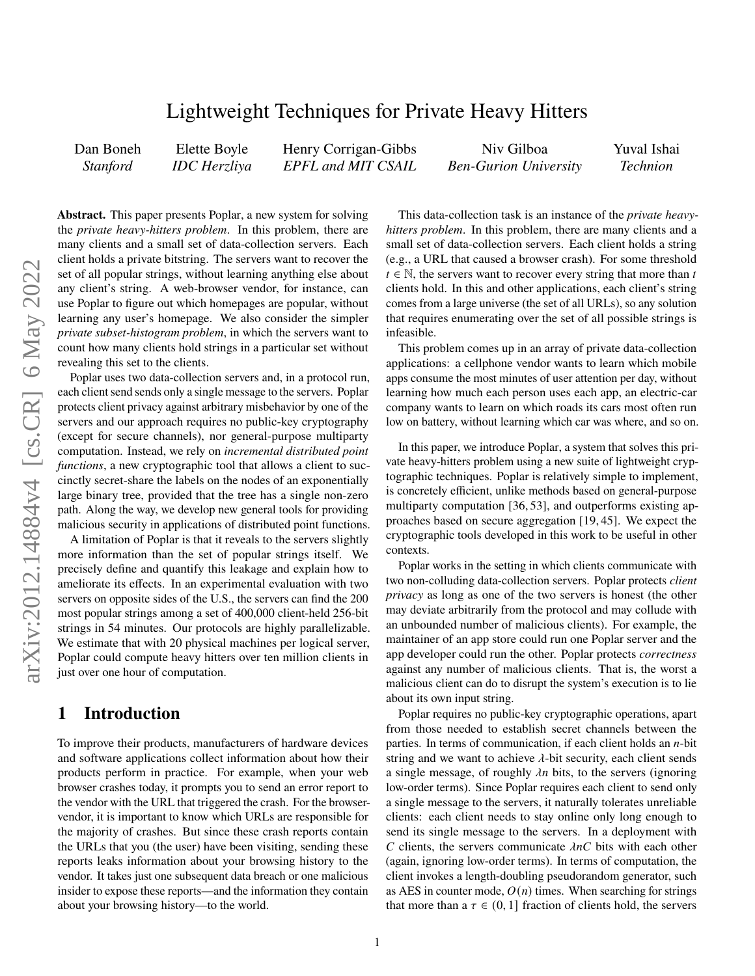# Lightweight Techniques for Private Heavy Hitters

| Dan Boneh       | Elette Boyle        | Henry Corrigan-Gibbs             | Niv Gilboa                   | Yuval Ishai     |
|-----------------|---------------------|----------------------------------|------------------------------|-----------------|
| <i>Stanford</i> | <b>IDC</b> Herzliya | <b>EPFL</b> and <b>MIT</b> CSAIL | <b>Ben-Gurion University</b> | <b>Technion</b> |

**Abstract.** This paper presents Poplar, a new system for solving the *private heavy-hitters problem*. In this problem, there are many clients and a small set of data-collection servers. Each client holds a private bitstring. The servers want to recover the set of all popular strings, without learning anything else about any client's string. A web-browser vendor, for instance, can use Poplar to figure out which homepages are popular, without learning any user's homepage. We also consider the simpler *private subset-histogram problem*, in which the servers want to count how many clients hold strings in a particular set without revealing this set to the clients.

Poplar uses two data-collection servers and, in a protocol run, each client send sends only a single message to the servers. Poplar protects client privacy against arbitrary misbehavior by one of the servers and our approach requires no public-key cryptography (except for secure channels), nor general-purpose multiparty computation. Instead, we rely on *incremental distributed point functions*, a new cryptographic tool that allows a client to succinctly secret-share the labels on the nodes of an exponentially large binary tree, provided that the tree has a single non-zero path. Along the way, we develop new general tools for providing malicious security in applications of distributed point functions.

A limitation of Poplar is that it reveals to the servers slightly more information than the set of popular strings itself. We precisely define and quantify this leakage and explain how to ameliorate its effects. In an experimental evaluation with two servers on opposite sides of the U.S., the servers can find the 200 most popular strings among a set of 400,000 client-held 256-bit strings in 54 minutes. Our protocols are highly parallelizable. We estimate that with 20 physical machines per logical server, Poplar could compute heavy hitters over ten million clients in just over one hour of computation.

# **1 Introduction**

To improve their products, manufacturers of hardware devices and software applications collect information about how their products perform in practice. For example, when your web browser crashes today, it prompts you to send an error report to the vendor with the URL that triggered the crash. For the browservendor, it is important to know which URLs are responsible for the majority of crashes. But since these crash reports contain the URLs that you (the user) have been visiting, sending these reports leaks information about your browsing history to the vendor. It takes just one subsequent data breach or one malicious insider to expose these reports—and the information they contain about your browsing history—to the world.

This data-collection task is an instance of the *private heavyhitters problem*. In this problem, there are many clients and a small set of data-collection servers. Each client holds a string (e.g., a URL that caused a browser crash). For some threshold  $t \in \mathbb{N}$ , the servers want to recover every string that more than t clients hold. In this and other applications, each client's string comes from a large universe (the set of all URLs), so any solution that requires enumerating over the set of all possible strings is infeasible.

This problem comes up in an array of private data-collection applications: a cellphone vendor wants to learn which mobile apps consume the most minutes of user attention per day, without learning how much each person uses each app, an electric-car company wants to learn on which roads its cars most often run low on battery, without learning which car was where, and so on.

In this paper, we introduce Poplar, a system that solves this private heavy-hitters problem using a new suite of lightweight cryptographic techniques. Poplar is relatively simple to implement, is concretely efficient, unlike methods based on general-purpose multiparty computation [\[36,](#page-14-0) [53\]](#page-14-1), and outperforms existing approaches based on secure aggregation [\[19,](#page-13-0) [45\]](#page-14-2). We expect the cryptographic tools developed in this work to be useful in other contexts.

Poplar works in the setting in which clients communicate with two non-colluding data-collection servers. Poplar protects *client privacy* as long as one of the two servers is honest (the other may deviate arbitrarily from the protocol and may collude with an unbounded number of malicious clients). For example, the maintainer of an app store could run one Poplar server and the app developer could run the other. Poplar protects *correctness* against any number of malicious clients. That is, the worst a malicious client can do to disrupt the system's execution is to lie about its own input string.

Poplar requires no public-key cryptographic operations, apart from those needed to establish secret channels between the parties. In terms of communication, if each client holds an  $n$ -bit string and we want to achieve  $\lambda$ -bit security, each client sends a single message, of roughly  $\lambda n$  bits, to the servers (ignoring low-order terms). Since Poplar requires each client to send only a single message to the servers, it naturally tolerates unreliable clients: each client needs to stay online only long enough to send its single message to the servers. In a deployment with C clients, the servers communicate  $\lambda nC$  bits with each other (again, ignoring low-order terms). In terms of computation, the client invokes a length-doubling pseudorandom generator, such as AES in counter mode,  $O(n)$  times. When searching for strings that more than a  $\tau \in (0, 1]$  fraction of clients hold, the servers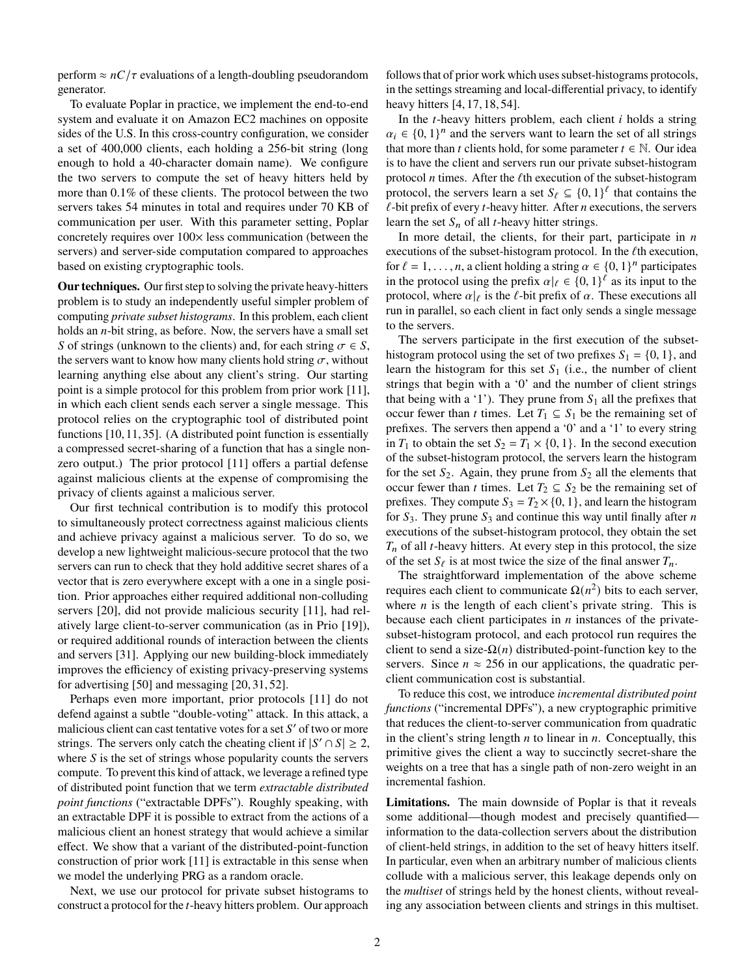perform  $\approx nC/\tau$  evaluations of a length-doubling pseudorandom generator.

To evaluate Poplar in practice, we implement the end-to-end system and evaluate it on Amazon EC2 machines on opposite sides of the U.S. In this cross-country configuration, we consider a set of 400,000 clients, each holding a 256-bit string (long enough to hold a 40-character domain name). We configure the two servers to compute the set of heavy hitters held by more than 0.1% of these clients. The protocol between the two servers takes 54 minutes in total and requires under 70 KB of communication per user. With this parameter setting, Poplar concretely requires over 100× less communication (between the servers) and server-side computation compared to approaches based on existing cryptographic tools.

**Our techniques.** Our first step to solving the private heavy-hitters problem is to study an independently useful simpler problem of computing *private subset histograms*. In this problem, each client holds an  $n$ -bit string, as before. Now, the servers have a small set S of strings (unknown to the clients) and, for each string  $\sigma \in S$ , the servers want to know how many clients hold string  $\sigma$ , without learning anything else about any client's string. Our starting point is a simple protocol for this problem from prior work [\[11\]](#page-13-1), in which each client sends each server a single message. This protocol relies on the cryptographic tool of distributed point functions [\[10,](#page-13-2) [11,](#page-13-1) [35\]](#page-14-3). (A distributed point function is essentially a compressed secret-sharing of a function that has a single nonzero output.) The prior protocol [\[11\]](#page-13-1) offers a partial defense against malicious clients at the expense of compromising the privacy of clients against a malicious server.

Our first technical contribution is to modify this protocol to simultaneously protect correctness against malicious clients and achieve privacy against a malicious server. To do so, we develop a new lightweight malicious-secure protocol that the two servers can run to check that they hold additive secret shares of a vector that is zero everywhere except with a one in a single position. Prior approaches either required additional non-colluding servers [\[20\]](#page-13-3), did not provide malicious security [\[11\]](#page-13-1), had relatively large client-to-server communication (as in Prio [\[19\]](#page-13-0)), or required additional rounds of interaction between the clients and servers [\[31\]](#page-14-4). Applying our new building-block immediately improves the efficiency of existing privacy-preserving systems for advertising [\[50\]](#page-14-5) and messaging [\[20,](#page-13-3) [31,](#page-14-4) [52\]](#page-14-6).

Perhaps even more important, prior protocols [\[11\]](#page-13-1) do not defend against a subtle "double-voting" attack. In this attack, a malicious client can cast tentative votes for a set  $S'$  of two or more strings. The servers only catch the cheating client if  $|S' \cap S| \geq 2$ , where  $S$  is the set of strings whose popularity counts the servers compute. To prevent this kind of attack, we leverage a refined type of distributed point function that we term *extractable distributed point functions* ("extractable DPFs"). Roughly speaking, with an extractable DPF it is possible to extract from the actions of a malicious client an honest strategy that would achieve a similar effect. We show that a variant of the distributed-point-function construction of prior work [\[11\]](#page-13-1) is extractable in this sense when we model the underlying PRG as a random oracle.

Next, we use our protocol for private subset histograms to construct a protocol for the  $t$ -heavy hitters problem. Our approach follows that of prior work which uses subset-histograms protocols, in the settings streaming and local-differential privacy, to identify heavy hitters [\[4,](#page-13-4) [17,](#page-13-5) [18,](#page-13-6) [54\]](#page-14-7).

In the  $t$ -heavy hitters problem, each client  $i$  holds a string  $\alpha_i \in \{0, 1\}^n$  and the servers want to learn the set of all strings that more than *t* clients hold, for some parameter  $t \in \mathbb{N}$ . Our idea is to have the client and servers run our private subset-histogram protocol *n* times. After the  $\ell$ th execution of the subset-histogram protocol, the servers learn a set  $S_\ell \subseteq \{0,1\}^\ell$  that contains the  $\ell$ -bit prefix of every  $t$ -heavy hitter. After  $n$  executions, the servers learn the set  $S_n$  of all *t*-heavy hitter strings.

In more detail, the clients, for their part, participate in  $n$ executions of the subset-histogram protocol. In the  $\ell$ th execution, for  $\ell = 1, \ldots, n$ , a client holding a string  $\alpha \in \{0, 1\}^n$  participates in the protocol using the prefix  $\alpha|_{\ell} \in \{0,1\}^{\ell}$  as its input to the protocol, where  $\alpha|_{\ell}$  is the  $\ell$ -bit prefix of  $\alpha$ . These executions all run in parallel, so each client in fact only sends a single message to the servers.

The servers participate in the first execution of the subsethistogram protocol using the set of two prefixes  $S_1 = \{0, 1\}$ , and learn the histogram for this set  $S_1$  (i.e., the number of client strings that begin with a '0' and the number of client strings that being with a '1'). They prune from  $S_1$  all the prefixes that occur fewer than *t* times. Let  $T_1 \subseteq S_1$  be the remaining set of prefixes. The servers then append a '0' and a '1' to every string in  $T_1$  to obtain the set  $S_2 = T_1 \times \{0, 1\}$ . In the second execution of the subset-histogram protocol, the servers learn the histogram for the set  $S_2$ . Again, they prune from  $S_2$  all the elements that occur fewer than *t* times. Let  $T_2 \subseteq S_2$  be the remaining set of prefixes. They compute  $S_3 = T_2 \times \{0, 1\}$ , and learn the histogram for  $S_3$ . They prune  $S_3$  and continue this way until finally after *n* executions of the subset-histogram protocol, they obtain the set  $T_n$  of all *t*-heavy hitters. At every step in this protocol, the size of the set  $S_{\ell}$  is at most twice the size of the final answer  $T_n$ .

The straightforward implementation of the above scheme requires each client to communicate  $\Omega(n^2)$  bits to each server, where  $n$  is the length of each client's private string. This is because each client participates in  $n$  instances of the privatesubset-histogram protocol, and each protocol run requires the client to send a size- $\Omega(n)$  distributed-point-function key to the servers. Since  $n \approx 256$  in our applications, the quadratic perclient communication cost is substantial.

To reduce this cost, we introduce *incremental distributed point functions* ("incremental DPFs"), a new cryptographic primitive that reduces the client-to-server communication from quadratic in the client's string length  $n$  to linear in  $n$ . Conceptually, this primitive gives the client a way to succinctly secret-share the weights on a tree that has a single path of non-zero weight in an incremental fashion.

**Limitations.** The main downside of Poplar is that it reveals some additional—though modest and precisely quantified information to the data-collection servers about the distribution of client-held strings, in addition to the set of heavy hitters itself. In particular, even when an arbitrary number of malicious clients collude with a malicious server, this leakage depends only on the *multiset* of strings held by the honest clients, without revealing any association between clients and strings in this multiset.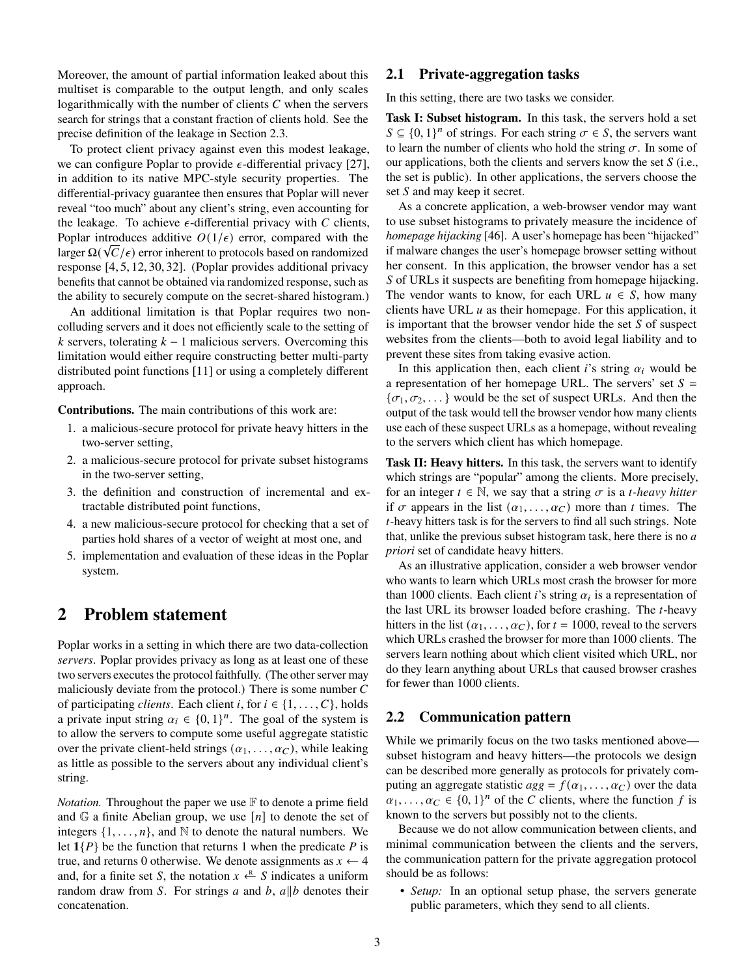Moreover, the amount of partial information leaked about this multiset is comparable to the output length, and only scales logarithmically with the number of clients  $C$  when the servers search for strings that a constant fraction of clients hold. See the precise definition of the leakage in Section [2.3.](#page-3-0)

To protect client privacy against even this modest leakage, we can configure Poplar to provide  $\epsilon$ -differential privacy [\[27\]](#page-14-8), in addition to its native MPC-style security properties. The differential-privacy guarantee then ensures that Poplar will never reveal "too much" about any client's string, even accounting for the leakage. To achieve  $\epsilon$ -differential privacy with  $C$  clients, Poplar introduces additive  $O(1/\epsilon)$  error, compared with the larger  $\Omega(\sqrt{C}/\epsilon)$  error inherent to protocols based on randomized response [\[4,](#page-13-4) [5,](#page-13-7) [12,](#page-13-8) [30,](#page-14-9) [32\]](#page-14-10). (Poplar provides additional privacy benefits that cannot be obtained via randomized response, such as the ability to securely compute on the secret-shared histogram.)

An additional limitation is that Poplar requires two noncolluding servers and it does not efficiently scale to the setting of k servers, tolerating  $k - 1$  malicious servers. Overcoming this limitation would either require constructing better multi-party distributed point functions [\[11\]](#page-13-1) or using a completely different approach.

**Contributions.** The main contributions of this work are:

- 1. a malicious-secure protocol for private heavy hitters in the two-server setting,
- 2. a malicious-secure protocol for private subset histograms in the two-server setting,
- 3. the definition and construction of incremental and extractable distributed point functions,
- 4. a new malicious-secure protocol for checking that a set of parties hold shares of a vector of weight at most one, and
- 5. implementation and evaluation of these ideas in the Poplar system.

## **2 Problem statement**

Poplar works in a setting in which there are two data-collection *servers*. Poplar provides privacy as long as at least one of these two servers executes the protocol faithfully. (The other server may maliciously deviate from the protocol.) There is some number  $C$ of participating *clients*. Each client i, for  $i \in \{1, \ldots, C\}$ , holds a private input string  $\alpha_i \in \{0,1\}^n$ . The goal of the system is to allow the servers to compute some useful aggregate statistic over the private client-held strings  $(\alpha_1, \ldots, \alpha_C)$ , while leaking as little as possible to the servers about any individual client's string.

*Notation.* Throughout the paper we use  $\mathbb F$  to denote a prime field and  $\mathbb G$  a finite Abelian group, we use  $[n]$  to denote the set of integers  $\{1, \ldots, n\}$ , and N to denote the natural numbers. We let  $1\{P\}$  be the function that returns 1 when the predicate P is true, and returns 0 otherwise. We denote assignments as  $x \leftarrow 4$ and, for a finite set S, the notation  $x \stackrel{\text{R}}{\leftarrow} S$  indicates a uniform random draw from S. For strings a and b,  $a||b$  denotes their concatenation.

### <span id="page-2-1"></span>**2.1 Private-aggregation tasks**

In this setting, there are two tasks we consider.

<span id="page-2-0"></span>**Task I: Subset histogram.** In this task, the servers hold a set  $S \subseteq \{0, 1\}^n$  of strings. For each string  $\sigma \in S$ , the servers want to learn the number of clients who hold the string  $\sigma$ . In some of our applications, both the clients and servers know the set  $S$  (i.e., the set is public). In other applications, the servers choose the set  $S$  and may keep it secret.

As a concrete application, a web-browser vendor may want to use subset histograms to privately measure the incidence of *homepage hijacking* [\[46\]](#page-14-11). A user's homepage has been "hijacked" if malware changes the user's homepage browser setting without her consent. In this application, the browser vendor has a set S of URLs it suspects are benefiting from homepage hijacking. The vendor wants to know, for each URL  $u \in S$ , how many clients have URL  $u$  as their homepage. For this application, it is important that the browser vendor hide the set  $S$  of suspect websites from the clients—both to avoid legal liability and to prevent these sites from taking evasive action.

In this application then, each client i's string  $\alpha_i$  would be a representation of her homepage URL. The servers' set  $S =$  ${\sigma_1, \sigma_2, \ldots}$  would be the set of suspect URLs. And then the output of the task would tell the browser vendor how many clients use each of these suspect URLs as a homepage, without revealing to the servers which client has which homepage.

<span id="page-2-2"></span>**Task II: Heavy hitters.** In this task, the servers want to identify which strings are "popular" among the clients. More precisely, for an integer  $t \in \mathbb{N}$ , we say that a string  $\sigma$  is a *t*-heavy hitter if  $\sigma$  appears in the list  $(\alpha_1, \ldots, \alpha_C)$  more than *t* times. The  $t$ -heavy hitters task is for the servers to find all such strings. Note that, unlike the previous subset histogram task, here there is no *a priori* set of candidate heavy hitters.

As an illustrative application, consider a web browser vendor who wants to learn which URLs most crash the browser for more than 1000 clients. Each client *i*'s string  $\alpha_i$  is a representation of the last URL its browser loaded before crashing. The  $t$ -heavy hitters in the list  $(\alpha_1, \ldots, \alpha_C)$ , for  $t = 1000$ , reveal to the servers which URLs crashed the browser for more than 1000 clients. The servers learn nothing about which client visited which URL, nor do they learn anything about URLs that caused browser crashes for fewer than 1000 clients.

#### **2.2 Communication pattern**

While we primarily focus on the two tasks mentioned above subset histogram and heavy hitters—the protocols we design can be described more generally as protocols for privately computing an aggregate statistic  $agg = f(\alpha_1, \ldots, \alpha_C)$  over the data  $\alpha_1, \ldots, \alpha_C \in \{0, 1\}^n$  of the C clients, where the function f is known to the servers but possibly not to the clients.

Because we do not allow communication between clients, and minimal communication between the clients and the servers, the communication pattern for the private aggregation protocol should be as follows:

• *Setup*: In an optional setup phase, the servers generate public parameters, which they send to all clients.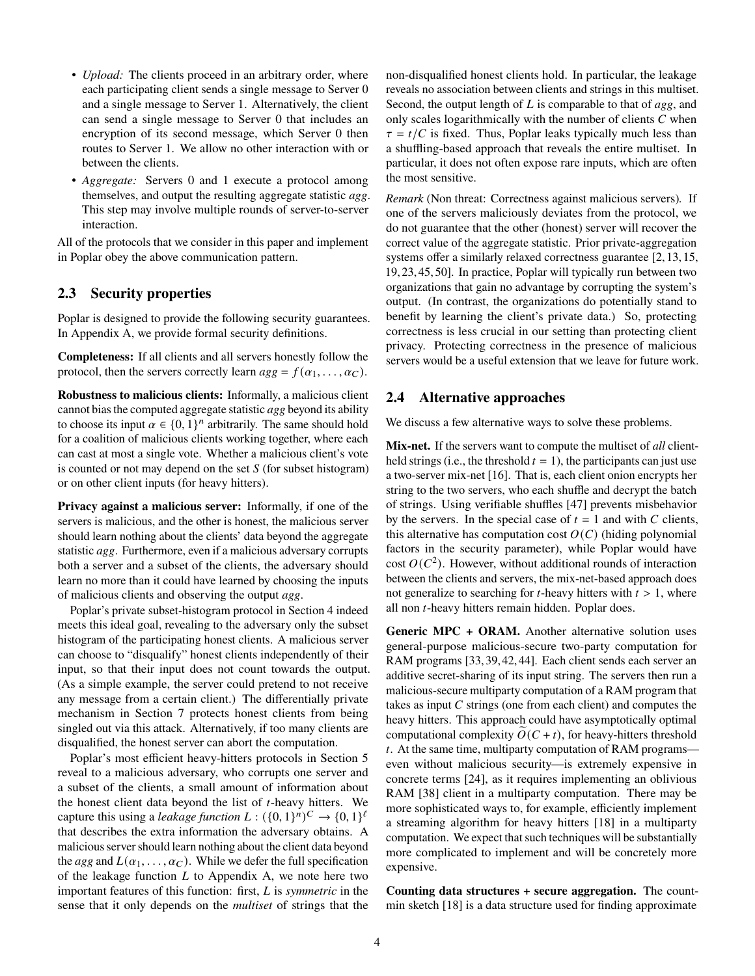- *Upload:* The clients proceed in an arbitrary order, where each participating client sends a single message to Server 0 and a single message to Server 1. Alternatively, the client can send a single message to Server 0 that includes an encryption of its second message, which Server 0 then routes to Server 1. We allow no other interaction with or between the clients.
- *Aggregate:* Servers 0 and 1 execute a protocol among themselves, and output the resulting aggregate statistic *agg*. This step may involve multiple rounds of server-to-server interaction.

All of the protocols that we consider in this paper and implement in Poplar obey the above communication pattern.

### <span id="page-3-0"></span>**2.3 Security properties**

Poplar is designed to provide the following security guarantees. In Appendix [A,](#page-14-12) we provide formal security definitions.

**Completeness:** If all clients and all servers honestly follow the protocol, then the servers correctly learn  $agg = f(\alpha_1, \ldots, \alpha_C)$ .

**Robustness to malicious clients:** Informally, a malicious client cannot bias the computed aggregate statistic *agg* beyond its ability to choose its input  $\alpha \in \{0,1\}^n$  arbitrarily. The same should hold for a coalition of malicious clients working together, where each can cast at most a single vote. Whether a malicious client's vote is counted or not may depend on the set  $S$  (for subset histogram) or on other client inputs (for heavy hitters).

**Privacy against a malicious server:** Informally, if one of the servers is malicious, and the other is honest, the malicious server should learn nothing about the clients' data beyond the aggregate statistic *agg*. Furthermore, even if a malicious adversary corrupts both a server and a subset of the clients, the adversary should learn no more than it could have learned by choosing the inputs of malicious clients and observing the output *agg*.

Poplar's private subset-histogram protocol in Section [4](#page-5-0) indeed meets this ideal goal, revealing to the adversary only the subset histogram of the participating honest clients. A malicious server can choose to "disqualify" honest clients independently of their input, so that their input does not count towards the output. (As a simple example, the server could pretend to not receive any message from a certain client.) The differentially private mechanism in Section [7](#page-11-0) protects honest clients from being singled out via this attack. Alternatively, if too many clients are disqualified, the honest server can abort the computation.

Poplar's most efficient heavy-hitters protocols in Section [5](#page-7-0) reveal to a malicious adversary, who corrupts one server and a subset of the clients, a small amount of information about the honest client data beyond the list of  $t$ -heavy hitters. We capture this using a *leakage function*  $L: (\{0,1\}^n)^C \rightarrow \{0,1\}^{\ell}$ that describes the extra information the adversary obtains. A malicious server should learn nothing about the client data beyond the *agg* and  $L(\alpha_1, \ldots, \alpha_C)$ . While we defer the full specification of the leakage function  $L$  to Appendix [A,](#page-14-12) we note here two important features of this function: first, is *symmetric* in the sense that it only depends on the *multiset* of strings that the non-disqualified honest clients hold. In particular, the leakage reveals no association between clients and strings in this multiset. Second, the output length of L is comparable to that of *agg*, and only scales logarithmically with the number of clients  $C$  when  $\tau = t/C$  is fixed. Thus, Poplar leaks typically much less than a shuffling-based approach that reveals the entire multiset. In particular, it does not often expose rare inputs, which are often the most sensitive.

*Remark* (Non threat: Correctness against malicious servers)*.* If one of the servers maliciously deviates from the protocol, we do not guarantee that the other (honest) server will recover the correct value of the aggregate statistic. Prior private-aggregation systems offer a similarly relaxed correctness guarantee [\[2,](#page-13-9) [13,](#page-13-10) [15,](#page-13-11) [19,](#page-13-0) [23,](#page-13-12) [45,](#page-14-2) [50\]](#page-14-5). In practice, Poplar will typically run between two organizations that gain no advantage by corrupting the system's output. (In contrast, the organizations do potentially stand to benefit by learning the client's private data.) So, protecting correctness is less crucial in our setting than protecting client privacy. Protecting correctness in the presence of malicious servers would be a useful extension that we leave for future work.

#### **2.4 Alternative approaches**

We discuss a few alternative ways to solve these problems.

**Mix-net.** If the servers want to compute the multiset of *all* clientheld strings (i.e., the threshold  $t = 1$ ), the participants can just use a two-server mix-net [\[16\]](#page-13-13). That is, each client onion encrypts her string to the two servers, who each shuffle and decrypt the batch of strings. Using verifiable shuffles [\[47\]](#page-14-13) prevents misbehavior by the servers. In the special case of  $t = 1$  and with C clients, this alternative has computation cost  $O(C)$  (hiding polynomial factors in the security parameter), while Poplar would have cost  $O(C^2)$ . However, without additional rounds of interaction between the clients and servers, the mix-net-based approach does not generalize to searching for  $t$ -heavy hitters with  $t > 1$ , where all non  $t$ -heavy hitters remain hidden. Poplar does.

Generic MPC + ORAM. Another alternative solution uses general-purpose malicious-secure two-party computation for RAM programs [\[33,](#page-14-14)[39,](#page-14-15)[42,](#page-14-16)[44\]](#page-14-17). Each client sends each server an additive secret-sharing of its input string. The servers then run a malicious-secure multiparty computation of a RAM program that takes as input  $C$  strings (one from each client) and computes the heavy hitters. This approach could have asymptotically optimal computational complexity  $O(C + t)$ , for heavy-hitters threshold . At the same time, multiparty computation of RAM programs even without malicious security—is extremely expensive in concrete terms [\[24\]](#page-13-14), as it requires implementing an oblivious RAM [\[38\]](#page-14-18) client in a multiparty computation. There may be more sophisticated ways to, for example, efficiently implement a streaming algorithm for heavy hitters [\[18\]](#page-13-6) in a multiparty computation. We expect that such techniques will be substantially more complicated to implement and will be concretely more expensive.

**Counting data structures + secure aggregation.** The countmin sketch [\[18\]](#page-13-6) is a data structure used for finding approximate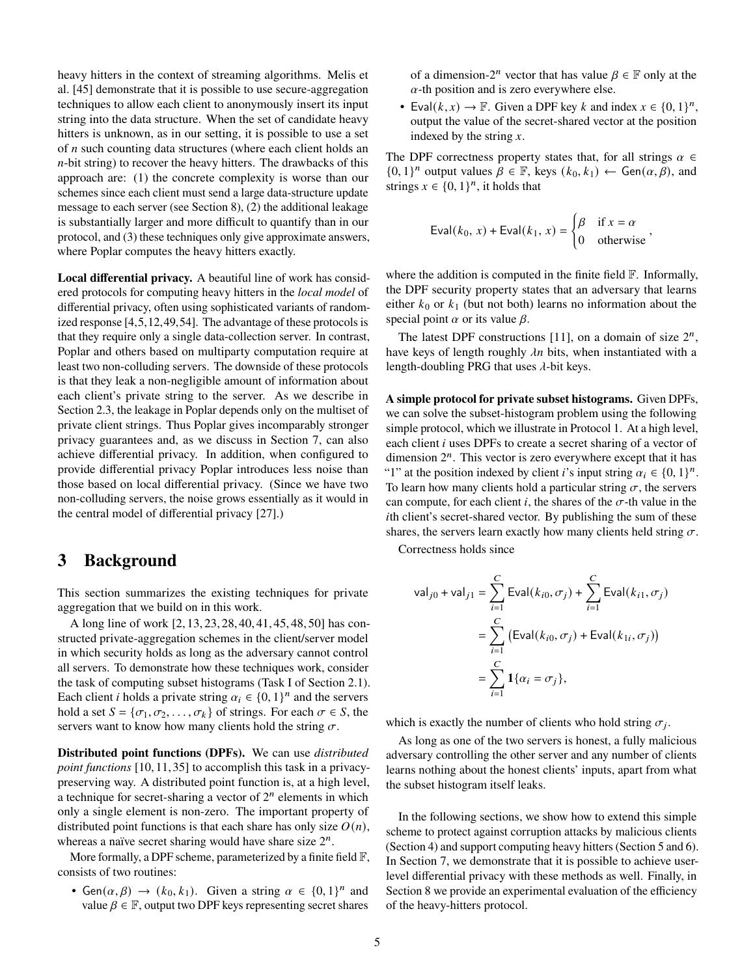heavy hitters in the context of streaming algorithms. Melis et al. [\[45\]](#page-14-2) demonstrate that it is possible to use secure-aggregation techniques to allow each client to anonymously insert its input string into the data structure. When the set of candidate heavy hitters is unknown, as in our setting, it is possible to use a set of  $n$  such counting data structures (where each client holds an  $n$ -bit string) to recover the heavy hitters. The drawbacks of this approach are: (1) the concrete complexity is worse than our schemes since each client must send a large data-structure update message to each server (see Section [8\)](#page-11-1), (2) the additional leakage is substantially larger and more difficult to quantify than in our protocol, and (3) these techniques only give approximate answers, where Poplar computes the heavy hitters exactly.

**Local differential privacy.** A beautiful line of work has considered protocols for computing heavy hitters in the *local model* of differential privacy, often using sophisticated variants of randomized response [\[4,](#page-13-4)[5,](#page-13-7)[12,](#page-13-8)[49,](#page-14-19)[54\]](#page-14-7). The advantage of these protocols is that they require only a single data-collection server. In contrast, Poplar and others based on multiparty computation require at least two non-colluding servers. The downside of these protocols is that they leak a non-negligible amount of information about each client's private string to the server. As we describe in Section [2.3,](#page-3-0) the leakage in Poplar depends only on the multiset of private client strings. Thus Poplar gives incomparably stronger privacy guarantees and, as we discuss in Section [7,](#page-11-0) can also achieve differential privacy. In addition, when configured to provide differential privacy Poplar introduces less noise than those based on local differential privacy. (Since we have two non-colluding servers, the noise grows essentially as it would in the central model of differential privacy [\[27\]](#page-14-8).)

## <span id="page-4-0"></span>**3 Background**

This section summarizes the existing techniques for private aggregation that we build on in this work.

A long line of work [\[2,](#page-13-9) [13,](#page-13-10) [23,](#page-13-12) [28,](#page-14-20) [40,](#page-14-21) [41,](#page-14-22) [45,](#page-14-2) [48,](#page-14-23) [50\]](#page-14-5) has constructed private-aggregation schemes in the client/server model in which security holds as long as the adversary cannot control all servers. To demonstrate how these techniques work, consider the task of computing subset histograms (Task [I](#page-2-0) of Section [2.1\)](#page-2-1). Each client *i* holds a private string  $\alpha_i \in \{0, 1\}^n$  and the servers hold a set  $S = {\sigma_1, \sigma_2, \ldots, \sigma_k}$  of strings. For each  $\sigma \in S$ , the servers want to know how many clients hold the string  $\sigma$ .

**Distributed point functions (DPFs).** We can use *distributed point functions* [\[10,](#page-13-2) [11,](#page-13-1) [35\]](#page-14-3) to accomplish this task in a privacypreserving way. A distributed point function is, at a high level, a technique for secret-sharing a vector of  $2^n$  elements in which only a single element is non-zero. The important property of distributed point functions is that each share has only size  $O(n)$ , whereas a naïve secret sharing would have share size  $2^n$ .

More formally, a DPF scheme, parameterized by a finite field  $\mathbb{F}$ , consists of two routines:

• Gen $(\alpha, \beta) \rightarrow (k_0, k_1)$ . Given a string  $\alpha \in \{0, 1\}^n$  and value  $\beta \in \mathbb{F}$ , output two DPF keys representing secret shares

of a dimension- $2^n$  vector that has value  $\beta \in \mathbb{F}$  only at the  $\alpha$ -th position and is zero everywhere else.

• Eval $(k, x) \rightarrow \mathbb{F}$ . Given a DPF key k and index  $x \in \{0, 1\}^n$ , output the value of the secret-shared vector at the position indexed by the string  $x$ .

The DPF correctness property states that, for all strings  $\alpha \in$  ${0, 1}^n$  output values  $\beta \in \mathbb{F}$ , keys  $(k_0, k_1) \leftarrow$  Gen $(\alpha, \beta)$ , and strings  $x \in \{0, 1\}^n$ , it holds that

$$
\text{Eval}(k_0, x) + \text{Eval}(k_1, x) = \begin{cases} \beta & \text{if } x = \alpha \\ 0 & \text{otherwise} \end{cases}
$$

where the addition is computed in the finite field  $\mathbb{F}$ . Informally, the DPF security property states that an adversary that learns either  $k_0$  or  $k_1$  (but not both) learns no information about the special point  $\alpha$  or its value  $\beta$ .

The latest DPF constructions [\[11\]](#page-13-1), on a domain of size  $2^n$ , have keys of length roughly  $\lambda n$  bits, when instantiated with a length-doubling PRG that uses  $\lambda$ -bit keys.

**A simple protocol for private subset histograms.** Given DPFs, we can solve the subset-histogram problem using the following simple protocol, which we illustrate in Protocol [1.](#page-5-1) At a high level, each client  $i$  uses DPFs to create a secret sharing of a vector of dimension  $2^n$ . This vector is zero everywhere except that it has "1" at the position indexed by client *i*'s input string  $\alpha_i \in \{0, 1\}^n$ . To learn how many clients hold a particular string  $\sigma$ , the servers can compute, for each client  $i$ , the shares of the  $\sigma$ -th value in the th client's secret-shared vector. By publishing the sum of these shares, the servers learn exactly how many clients held string  $\sigma$ .

Correctness holds since

$$
\begin{aligned} \mathsf{val}_{j0} + \mathsf{val}_{j1} &= \sum_{i=1}^{C} \mathsf{Eval}(k_{i0}, \sigma_j) + \sum_{i=1}^{C} \mathsf{Eval}(k_{i1}, \sigma_j) \\ &= \sum_{i=1}^{C} \left( \mathsf{Eval}(k_{i0}, \sigma_j) + \mathsf{Eval}(k_{1i}, \sigma_j) \right) \\ &= \sum_{i=1}^{C} \mathbf{1} \{ \alpha_i = \sigma_j \}, \end{aligned}
$$

which is exactly the number of clients who hold string  $\sigma_i$ .

As long as one of the two servers is honest, a fully malicious adversary controlling the other server and any number of clients learns nothing about the honest clients' inputs, apart from what the subset histogram itself leaks.

In the following sections, we show how to extend this simple scheme to protect against corruption attacks by malicious clients (Section [4\)](#page-5-0) and support computing heavy hitters (Section [5](#page-7-0) and [6\)](#page-10-0). In Section [7,](#page-11-0) we demonstrate that it is possible to achieve userlevel differential privacy with these methods as well. Finally, in Section [8](#page-11-1) we provide an experimental evaluation of the efficiency of the heavy-hitters protocol.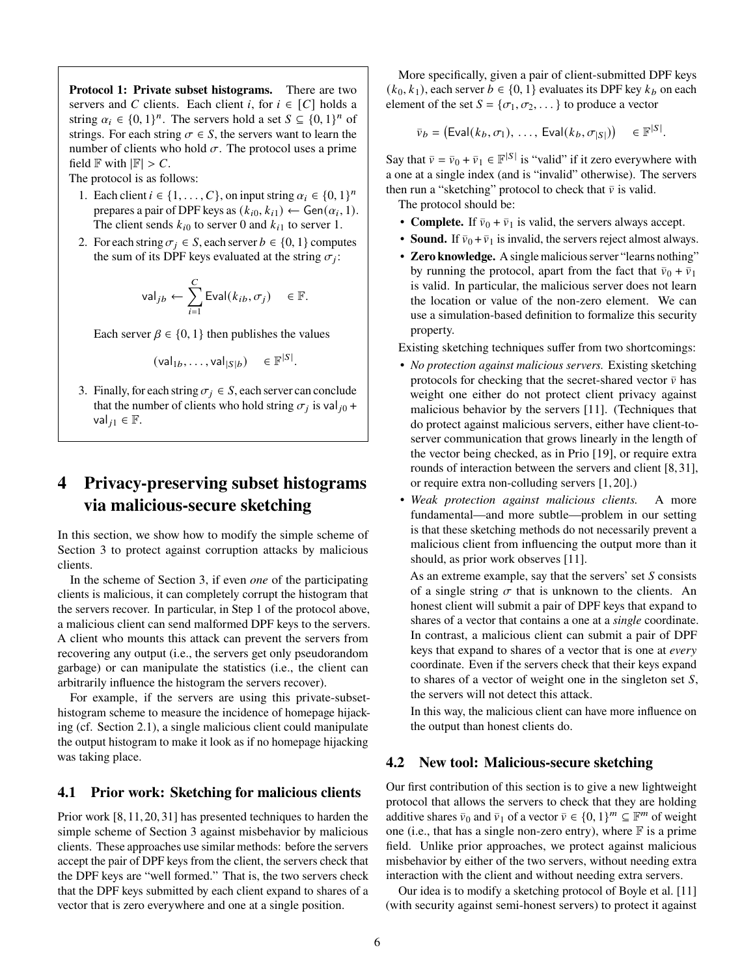<span id="page-5-1"></span>**Protocol 1: Private subset histograms.** There are two servers and C clients. Each client i, for  $i \in [C]$  holds a string  $\alpha_i \in \{0,1\}^n$ . The servers hold a set  $S \subseteq \{0,1\}^n$  of strings. For each string  $\sigma \in S$ , the servers want to learn the number of clients who hold  $\sigma$ . The protocol uses a prime field  $\mathbb F$  with  $|\mathbb F| > C$ .

The protocol is as follows:

- <span id="page-5-2"></span>1. Each client  $i \in \{1, ..., C\}$ , on input string  $\alpha_i \in \{0, 1\}^n$ prepares a pair of DPF keys as  $(k_{i0}, k_{i1}) \leftarrow \text{Gen}(\alpha_i, 1)$ . The client sends  $k_{i0}$  to server 0 and  $k_{i1}$  to server 1.
- 2. For each string  $\sigma_i \in S$ , each server  $b \in \{0, 1\}$  computes the sum of its DPF keys evaluated at the string  $\sigma_i$ :

$$
\mathsf{val}_{jb} \leftarrow \sum_{i=1}^C \mathsf{Eval}(k_{ib}, \sigma_j) \quad \in \mathbb{F}.
$$

Each server  $\beta \in \{0, 1\}$  then publishes the values

$$
(\mathsf{val}_{1b}, \dots, \mathsf{val}_{|S|b}) \in \mathbb{F}^{|S|}
$$

.

3. Finally, for each string  $\sigma_i \in S$ , each server can conclude that the number of clients who hold string  $\sigma_j$  is val<sub>j0</sub> + val<sub>*i*1</sub>  $\in$   $\mathbb{F}$ .

# <span id="page-5-0"></span>**4 Privacy-preserving subset histograms via malicious-secure sketching**

In this section, we show how to modify the simple scheme of Section [3](#page-4-0) to protect against corruption attacks by malicious clients.

In the scheme of Section [3,](#page-4-0) if even *one* of the participating clients is malicious, it can completely corrupt the histogram that the servers recover. In particular, in Step [1](#page-5-2) of the protocol above, a malicious client can send malformed DPF keys to the servers. A client who mounts this attack can prevent the servers from recovering any output (i.e., the servers get only pseudorandom garbage) or can manipulate the statistics (i.e., the client can arbitrarily influence the histogram the servers recover).

For example, if the servers are using this private-subsethistogram scheme to measure the incidence of homepage hijacking (cf. Section [2.1\)](#page-2-1), a single malicious client could manipulate the output histogram to make it look as if no homepage hijacking was taking place.

### <span id="page-5-3"></span>**4.1 Prior work: Sketching for malicious clients**

Prior work [\[8,](#page-13-15) [11,](#page-13-1) [20,](#page-13-3) [31\]](#page-14-4) has presented techniques to harden the simple scheme of Section [3](#page-4-0) against misbehavior by malicious clients. These approaches use similar methods: before the servers accept the pair of DPF keys from the client, the servers check that the DPF keys are "well formed." That is, the two servers check that the DPF keys submitted by each client expand to shares of a vector that is zero everywhere and one at a single position.

More specifically, given a pair of client-submitted DPF keys  $(k_0, k_1)$ , each server  $b \in \{0, 1\}$  evaluates its DPF key  $k_b$  on each element of the set  $S = \{\sigma_1, \sigma_2, \dots\}$  to produce a vector

$$
\bar{\mathbf{v}}_b = (\text{Eval}(k_b, \sigma_1), \ldots, \text{Eval}(k_b, \sigma_{|S|})) \in \mathbb{F}^{|S|}.
$$

Say that  $\bar{v} = \bar{v}_0 + \bar{v}_1 \in \mathbb{F}^{|S|}$  is "valid" if it zero everywhere with a one at a single index (and is "invalid" otherwise). The servers then run a "sketching" protocol to check that  $\bar{v}$  is valid.

The protocol should be:

- **Complete.** If  $\bar{v}_0 + \bar{v}_1$  is valid, the servers always accept.
- **Sound.** If  $\bar{v}_0 + \bar{v}_1$  is invalid, the servers reject almost always.
- **Zero knowledge.** A single malicious server "learns nothing" by running the protocol, apart from the fact that  $\bar{v}_0 + \bar{v}_1$ is valid. In particular, the malicious server does not learn the location or value of the non-zero element. We can use a simulation-based definition to formalize this security property.

Existing sketching techniques suffer from two shortcomings:

- *No protection against malicious servers.* Existing sketching protocols for checking that the secret-shared vector  $\bar{v}$  has weight one either do not protect client privacy against malicious behavior by the servers [\[11\]](#page-13-1). (Techniques that do protect against malicious servers, either have client-toserver communication that grows linearly in the length of the vector being checked, as in Prio [\[19\]](#page-13-0), or require extra rounds of interaction between the servers and client [\[8,](#page-13-15) [31\]](#page-14-4), or require extra non-colluding servers [\[1,](#page-13-16) [20\]](#page-13-3).)
- *Weak protection against malicious clients.* A more fundamental—and more subtle—problem in our setting is that these sketching methods do not necessarily prevent a malicious client from influencing the output more than it should, as prior work observes [\[11\]](#page-13-1).

As an extreme example, say that the servers' set  $S$  consists of a single string  $\sigma$  that is unknown to the clients. An honest client will submit a pair of DPF keys that expand to shares of a vector that contains a one at a *single* coordinate. In contrast, a malicious client can submit a pair of DPF keys that expand to shares of a vector that is one at *every* coordinate. Even if the servers check that their keys expand to shares of a vector of weight one in the singleton set  $S$ , the servers will not detect this attack.

In this way, the malicious client can have more influence on the output than honest clients do.

### <span id="page-5-4"></span>**4.2 New tool: Malicious-secure sketching**

Our first contribution of this section is to give a new lightweight protocol that allows the servers to check that they are holding additive shares  $\bar{v}_0$  and  $\bar{v}_1$  of a vector  $\bar{v} \in \{0, 1\}^m \subseteq \mathbb{F}^m$  of weight one (i.e., that has a single non-zero entry), where  $\mathbb F$  is a prime field. Unlike prior approaches, we protect against malicious misbehavior by either of the two servers, without needing extra interaction with the client and without needing extra servers.

Our idea is to modify a sketching protocol of Boyle et al. [\[11\]](#page-13-1) (with security against semi-honest servers) to protect it against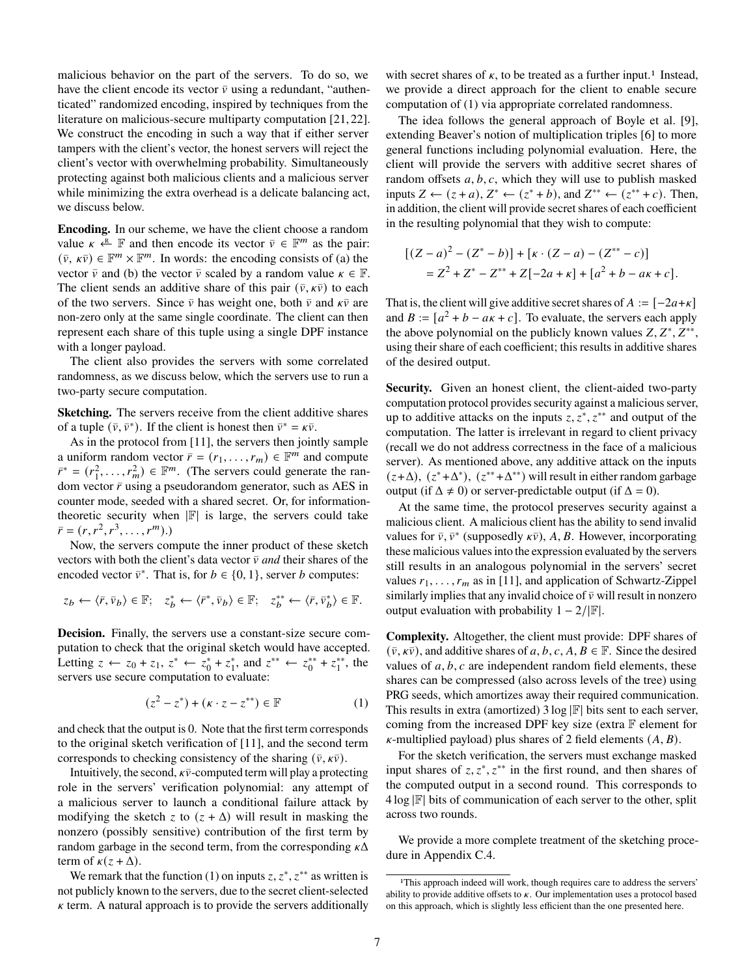malicious behavior on the part of the servers. To do so, we have the client encode its vector  $\bar{v}$  using a redundant, "authenticated" randomized encoding, inspired by techniques from the literature on malicious-secure multiparty computation [\[21,](#page-13-17) [22\]](#page-13-18). We construct the encoding in such a way that if either server tampers with the client's vector, the honest servers will reject the client's vector with overwhelming probability. Simultaneously protecting against both malicious clients and a malicious server while minimizing the extra overhead is a delicate balancing act, we discuss below.

**Encoding.** In our scheme, we have the client choose a random value  $\kappa \stackrel{\text{R}}{\leftarrow}$  F and then encode its vector  $\bar{v} \in \mathbb{F}^m$  as the pair:  $(\bar{v}, \kappa \bar{v}) \in \mathbb{F}^m \times \mathbb{F}^m$ . In words: the encoding consists of (a) the vector  $\bar{v}$  and (b) the vector  $\bar{v}$  scaled by a random value  $\kappa \in \mathbb{F}$ . The client sends an additive share of this pair  $(\bar{v}, \kappa \bar{v})$  to each of the two servers. Since  $\bar{v}$  has weight one, both  $\bar{v}$  and  $\kappa \bar{v}$  are non-zero only at the same single coordinate. The client can then represent each share of this tuple using a single DPF instance with a longer payload.

The client also provides the servers with some correlated randomness, as we discuss below, which the servers use to run a two-party secure computation.

**Sketching.** The servers receive from the client additive shares of a tuple  $(\bar{v}, \bar{v}^*)$ . If the client is honest then  $\bar{v}^* = \kappa \bar{v}$ .

As in the protocol from [\[11\]](#page-13-1), the servers then jointly sample a uniform random vector  $\overline{r} = (r_1, \ldots, r_m) \in \mathbb{F}^m$  and compute  $\overline{r}^* = (r_1^2, \dots, r_m^2) \in \mathbb{F}^m$ . (The servers could generate the random vector  $\bar{r}$  using a pseudorandom generator, such as AES in counter mode, seeded with a shared secret. Or, for informationtheoretic security when  $|\mathbb{F}|$  is large, the servers could take  $\bar{r} = (r, r^2, r^3, \ldots, r^m).$ 

Now, the servers compute the inner product of these sketch vectors with both the client's data vector  $\bar{v}$  *and* their shares of the encoded vector  $\bar{v}^*$ . That is, for  $b \in \{0, 1\}$ , server b computes:

$$
z_b \leftarrow \langle \bar{r}, \bar{v}_b \rangle \in \mathbb{F}; \quad z_b^* \leftarrow \langle \bar{r}^*, \bar{v}_b \rangle \in \mathbb{F}; \quad z_b^{**} \leftarrow \langle \bar{r}, \bar{v}_b^* \rangle \in \mathbb{F}.
$$

**Decision.** Finally, the servers use a constant-size secure computation to check that the original sketch would have accepted. Letting  $z \leftarrow z_0 + z_1, z^* \leftarrow z_0^* + z_1^*$ , and  $z^{**} \leftarrow z_0^{**} + z_1^{**}$ , the servers use secure computation to evaluate:

<span id="page-6-0"></span>
$$
(z^2 - z^*) + (\kappa \cdot z - z^{**}) \in \mathbb{F}
$$
 (1)

and check that the output is 0. Note that the first term corresponds to the original sketch verification of [\[11\]](#page-13-1), and the second term corresponds to checking consistency of the sharing  $(\bar{v}, \kappa \bar{v})$ .

Intuitively, the second,  $\kappa \bar{\nu}$ -computed term will play a protecting role in the servers' verification polynomial: any attempt of a malicious server to launch a conditional failure attack by modifying the sketch z to  $(z + \Delta)$  will result in masking the nonzero (possibly sensitive) contribution of the first term by random garbage in the second term, from the corresponding  $\kappa\Delta$ term of  $\kappa(z + \Delta)$ .

We remark that the function [\(1\)](#page-6-0) on inputs  $z, z^*, z^{**}$  as written is not publicly known to the servers, due to the secret client-selected  $\kappa$  term. A natural approach is to provide the servers additionally with secret shares of  $\kappa$ , to be treated as a further input.<sup>[1](#page-6-1)</sup> Instead, we provide a direct approach for the client to enable secure computation of [\(1\)](#page-6-0) via appropriate correlated randomness.

The idea follows the general approach of Boyle et al. [\[9\]](#page-13-19), extending Beaver's notion of multiplication triples [\[6\]](#page-13-20) to more general functions including polynomial evaluation. Here, the client will provide the servers with additive secret shares of random offsets  $a, b, c$ , which they will use to publish masked inputs  $Z \leftarrow (z+a), Z^* \leftarrow (z^*+b),$  and  $Z^{**} \leftarrow (z^{**}+c)$ . Then, in addition, the client will provide secret shares of each coefficient in the resulting polynomial that they wish to compute:

$$
[(Z-a)^{2} - (Z^{*}-b)] + [k \cdot (Z-a) - (Z^{**}-c)]
$$
  
= Z<sup>2</sup> + Z<sup>\*</sup> - Z<sup>\*\*</sup> + Z[-2a + \kappa] + [a<sup>2</sup> + b - a\kappa + c].

That is, the client will give additive secret shares of  $A := [-2a+\kappa]$ and  $B := [a^2 + b - a\kappa + c]$ . To evaluate, the servers each apply the above polynomial on the publicly known values  $Z, Z^*, Z^{**},$ using their share of each coefficient; this results in additive shares of the desired output.

**Security.** Given an honest client, the client-aided two-party computation protocol provides security against a malicious server, up to additive attacks on the inputs  $z, z^*, z^{**}$  and output of the computation. The latter is irrelevant in regard to client privacy (recall we do not address correctness in the face of a malicious server). As mentioned above, any additive attack on the inputs  $(z+\Delta)$ ,  $(z^*+\Delta^*)$ ,  $(z^{**}+\Delta^{**})$  will result in either random garbage output (if  $\Delta \neq 0$ ) or server-predictable output (if  $\Delta = 0$ ).

At the same time, the protocol preserves security against a malicious client. A malicious client has the ability to send invalid values for  $\bar{v}$ ,  $\bar{v}^*$  (supposedly  $\kappa \bar{v}$ ), A, B. However, incorporating these malicious values into the expression evaluated by the servers still results in an analogous polynomial in the servers' secret values  $r_1, \ldots, r_m$  as in [\[11\]](#page-13-1), and application of Schwartz-Zippel similarly implies that any invalid choice of  $\bar{v}$  will result in nonzero output evaluation with probability  $1 - 2/|\mathbb{F}|$ .

**Complexity.** Altogether, the client must provide: DPF shares of  $(\bar{v}, \kappa \bar{v})$ , and additive shares of a, b, c, A,  $B \in \mathbb{F}$ . Since the desired values of  $a, b, c$  are independent random field elements, these shares can be compressed (also across levels of the tree) using PRG seeds, which amortizes away their required communication. This results in extra (amortized)  $3 \log |\mathbb{F}|$  bits sent to each server, coming from the increased DPF key size (extra  $\mathbb F$  element for  $\kappa$ -multiplied payload) plus shares of 2 field elements  $(A, B)$ .

For the sketch verification, the servers must exchange masked input shares of  $z, z^*, z^{**}$  in the first round, and then shares of the computed output in a second round. This corresponds to  $4 \log |\mathbb{F}|$  bits of communication of each server to the other, split across two rounds.

We provide a more complete treatment of the sketching procedure in Appendix [C.4.](#page-18-0)

<span id="page-6-1"></span><sup>1</sup>This approach indeed will work, though requires care to address the servers' ability to provide additive offsets to  $\kappa$ . Our implementation uses a protocol based on this approach, which is slightly less efficient than the one presented here.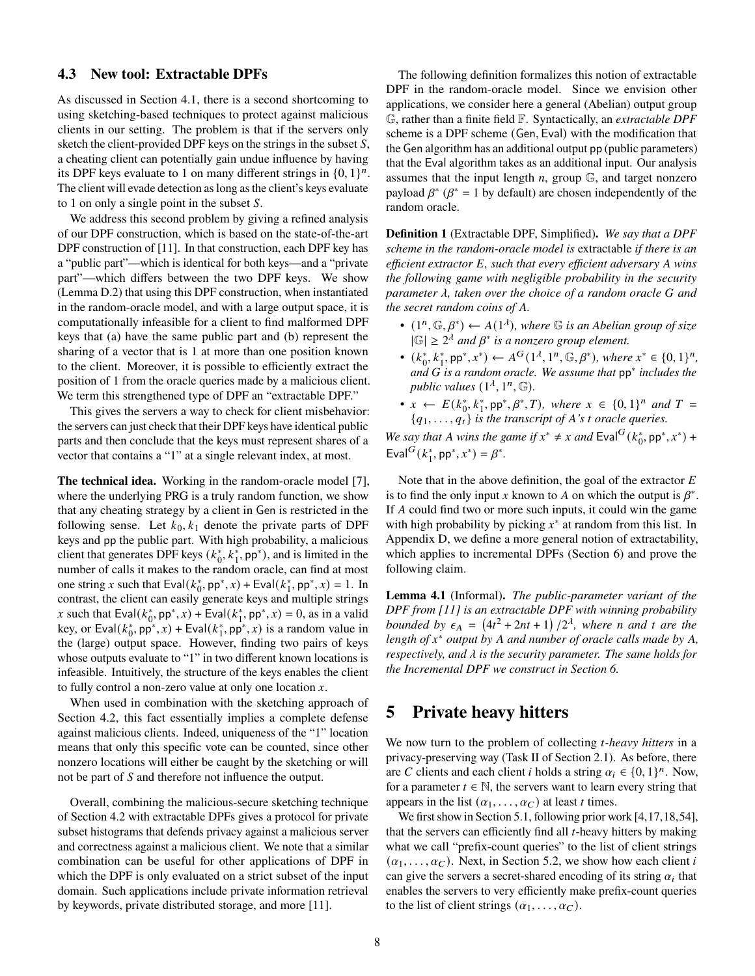#### **4.3 New tool: Extractable DPFs**

As discussed in Section [4.1,](#page-5-3) there is a second shortcoming to using sketching-based techniques to protect against malicious clients in our setting. The problem is that if the servers only sketch the client-provided DPF keys on the strings in the subset  $S$ , a cheating client can potentially gain undue influence by having its DPF keys evaluate to 1 on many different strings in  $\{0, 1\}^n$ . The client will evade detection as long as the client's keys evaluate to 1 on only a single point in the subset  $S$ .

We address this second problem by giving a refined analysis of our DPF construction, which is based on the state-of-the-art DPF construction of [\[11\]](#page-13-1). In that construction, each DPF key has a "public part"—which is identical for both keys—and a "private part"—which differs between the two DPF keys. We show (Lemma [D.2\)](#page-21-0) that using this DPF construction, when instantiated in the random-oracle model, and with a large output space, it is computationally infeasible for a client to find malformed DPF keys that (a) have the same public part and (b) represent the sharing of a vector that is 1 at more than one position known to the client. Moreover, it is possible to efficiently extract the position of 1 from the oracle queries made by a malicious client. We term this strengthened type of DPF an "extractable DPF."

This gives the servers a way to check for client misbehavior: the servers can just check that their DPF keys have identical public parts and then conclude that the keys must represent shares of a vector that contains a "1" at a single relevant index, at most.

**The technical idea.** Working in the random-oracle model [\[7\]](#page-13-21), where the underlying PRG is a truly random function, we show that any cheating strategy by a client in Gen is restricted in the following sense. Let  $k_0, k_1$  denote the private parts of DPF keys and pp the public part. With high probability, a malicious client that generates DPF keys  $(k_0^*, k_1^*, pp^*)$ , and is limited in the number of calls it makes to the random oracle, can find at most one string x such that  $\text{Eval}(k_0^*, \text{pp}^*, x) + \text{Eval}(k_1^*, \text{pp}^*, x) = 1$ . In contrast, the client can easily generate keys and multiple strings x such that  $\text{Eval}(k_0^*, \text{pp}^*, x) + \text{Eval}(k_1^*, \text{pp}^*, x) = 0$ , as in a valid key, or  $\text{Eval}(k_0^*, \text{pp}^*, x) + \text{Eval}(k_1^*, \text{pp}^*, x)$  is a random value in the (large) output space. However, finding two pairs of keys whose outputs evaluate to "1" in two different known locations is infeasible. Intuitively, the structure of the keys enables the client to fully control a non-zero value at only one location  $x$ .

When used in combination with the sketching approach of Section [4.2,](#page-5-4) this fact essentially implies a complete defense against malicious clients. Indeed, uniqueness of the "1" location means that only this specific vote can be counted, since other nonzero locations will either be caught by the sketching or will not be part of  $S$  and therefore not influence the output.

Overall, combining the malicious-secure sketching technique of Section [4.2](#page-5-4) with extractable DPFs gives a protocol for private subset histograms that defends privacy against a malicious server and correctness against a malicious client. We note that a similar combination can be useful for other applications of DPF in which the DPF is only evaluated on a strict subset of the input domain. Such applications include private information retrieval by keywords, private distributed storage, and more [\[11\]](#page-13-1).

The following definition formalizes this notion of extractable DPF in the random-oracle model. Since we envision other applications, we consider here a general (Abelian) output group G, rather than a finite field F. Syntactically, an *extractable DPF* scheme is a DPF scheme (Gen, Eval) with the modification that the Gen algorithm has an additional output pp (public parameters) that the Eval algorithm takes as an additional input. Our analysis assumes that the input length  $n$ , group  $\mathbb{G}$ , and target nonzero payload  $\beta^*$  ( $\beta^*$  = 1 by default) are chosen independently of the random oracle.

<span id="page-7-2"></span>**Definition 1** (Extractable DPF, Simplified)**.** *We say that a DPF scheme in the random-oracle model is* extractable *if there is an efficient extractor E*, such that every efficient adversary A wins *the following game with negligible probability in the security parameter*  $\lambda$ , taken over the choice of a random oracle G and *the secret random coins of A.* 

- $(1^n, \mathbb{G}, \beta^*) \leftarrow A(1^{\lambda})$ , where  $\mathbb{G}$  *is an Abelian group of size*  $|\mathbb{G}| \geq 2^{\lambda}$  and  $\beta^*$  is a nonzero group element.
- $(k_0^*, k_1^*, pp^*, x^*) \leftarrow A^G(1^{\lambda}, 1^n, \mathbb{G}, \beta^*)$ , where  $x^* \in \{0, 1\}^n$ , *and is a random oracle. We assume that* pp<sup>∗</sup> *includes the* public values  $(1^{\lambda}, 1^n, \mathbb{G})$ .
- $x \leftarrow E(k_0^*, k_1^*, \text{pp}^*, \beta^*, T)$ , where  $x \in \{0, 1\}^n$  and  $T =$  ${q_1, \ldots, q_t}$  *is the transcript of A's t oracle queries.*

*We say that A wins the game if*  $x^* \neq x$  *and*  $Eval^G(k_0^*, pp^*, x^*)$  + Eval<sup>G</sup> $(k_1^*, pp^*, x^*) = \beta^*$ .

Note that in the above definition, the goal of the extractor  $E$ is to find the only input x known to A on which the output is  $\beta^*$ . If A could find two or more such inputs, it could win the game with high probability by picking  $x^*$  at random from this list. In Appendix [D,](#page-20-0) we define a more general notion of extractability, which applies to incremental DPFs (Section [6\)](#page-10-0) and prove the following claim.

<span id="page-7-1"></span>**Lemma 4.1** (Informal)**.** *The public-parameter variant of the DPF from [\[11\]](#page-13-1) is an extractable DPF with winning probability bounded by*  $\epsilon_A = (4t^2 + 2nt + 1)/2^{\lambda}$ , where *n* and *t* are the *length of*  $x^*$  *output by A and number of oracle calls made by A, respectively, and is the security parameter. The same holds for the Incremental DPF we construct in Section [6.](#page-10-0)*

## <span id="page-7-0"></span>**5 Private heavy hitters**

We now turn to the problem of collecting *t*-heavy hitters in a privacy-preserving way (Task [II](#page-2-2) of Section [2.1\)](#page-2-1). As before, there are C clients and each client *i* holds a string  $\alpha_i \in \{0, 1\}^n$ . Now, for a parameter  $t \in \mathbb{N}$ , the servers want to learn every string that appears in the list  $(\alpha_1, \ldots, \alpha_C)$  at least *t* times.

We first show in Section [5.1,](#page-8-0) following prior work [\[4,](#page-13-4)[17](#page-13-5)[,18,](#page-13-6)[54\]](#page-14-7). that the servers can efficiently find all  $t$ -heavy hitters by making what we call "prefix-count queries" to the list of client strings  $(\alpha_1, \ldots, \alpha_C)$ . Next, in Section [5.2,](#page-8-1) we show how each client i can give the servers a secret-shared encoding of its string  $\alpha_i$  that enables the servers to very efficiently make prefix-count queries to the list of client strings  $(\alpha_1, \ldots, \alpha_C)$ .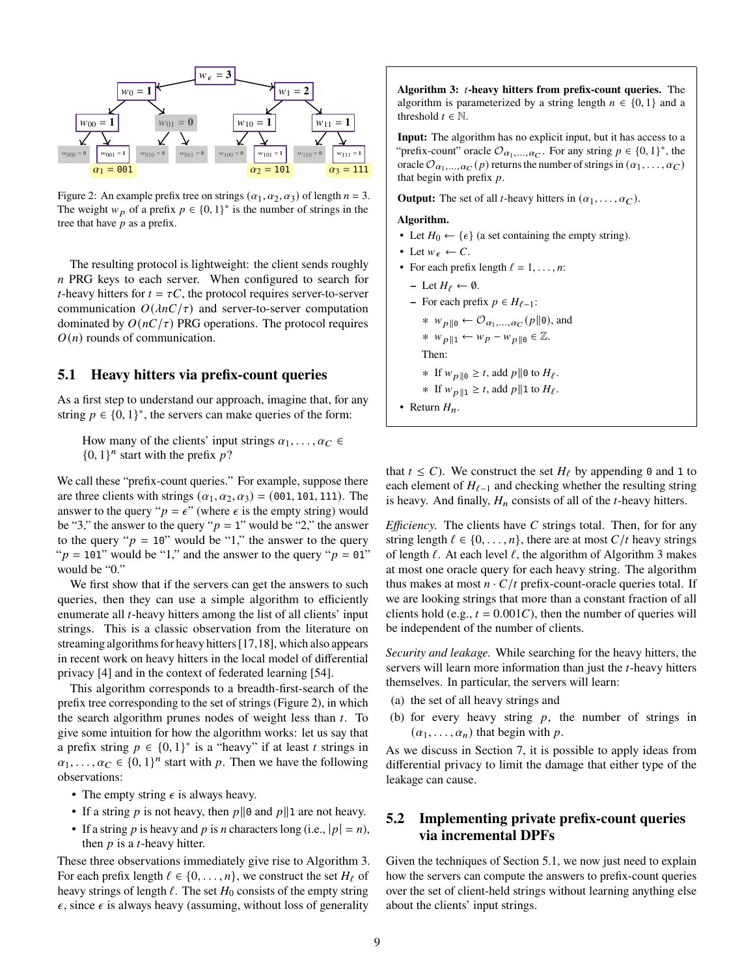<span id="page-8-2"></span>

Figure 2: An example prefix tree on strings  $(\alpha_1, \alpha_2, \alpha_3)$  of length  $n = 3$ . The weight  $w_p$  of a prefix  $p \in \{0,1\}^*$  is the number of strings in the tree that have  $\bar{p}$  as a prefix.

The resulting protocol is lightweight: the client sends roughly  $n$  PRG keys to each server. When configured to search for *t*-heavy hitters for  $t = \tau C$ , the protocol requires server-to-server communication  $O(\lambda nC/\tau)$  and server-to-server computation dominated by  $O(nC/\tau)$  PRG operations. The protocol requires  $O(n)$  rounds of communication.

### <span id="page-8-0"></span>**5.1 Heavy hitters via prefix-count queries**

As a first step to understand our approach, imagine that, for any string  $p \in \{0, 1\}^*$ , the servers can make queries of the form:

How many of the clients' input strings  $\alpha_1, \ldots, \alpha_C \in$  $\{0, 1\}^n$  start with the prefix  $p$ ?

We call these "prefix-count queries." For example, suppose there are three clients with strings  $(\alpha_1, \alpha_2, \alpha_3) = (001, 101, 111)$ . The answer to the query " $p = \epsilon$ " (where  $\epsilon$  is the empty string) would be "3," the answer to the query " $p = 1$ " would be "2," the answer to the query " $p = 10$ " would be "1," the answer to the query " $p = 101$ " would be "1," and the answer to the query " $p = 01$ " would be "0."

We first show that if the servers can get the answers to such queries, then they can use a simple algorithm to efficiently enumerate all  $t$ -heavy hitters among the list of all clients' input strings. This is a classic observation from the literature on streaming algorithms for heavy hitters [\[17](#page-13-5)[,18\]](#page-13-6), which also appears in recent work on heavy hitters in the local model of differential privacy [\[4\]](#page-13-4) and in the context of federated learning [\[54\]](#page-14-7).

This algorithm corresponds to a breadth-first-search of the prefix tree corresponding to the set of strings (Figure [2\)](#page-8-2), in which the search algorithm prunes nodes of weight less than  $t$ . To give some intuition for how the algorithm works: let us say that a prefix string  $p \in \{0, 1\}^*$  is a "heavy" if at least t strings in  $\alpha_1, \ldots, \alpha_C \in \{0, 1\}^n$  start with p. Then we have the following observations:

- The empty string  $\epsilon$  is always heavy.
- If a string p is not heavy, then  $p||0$  and  $p||1$  are not heavy.
- If a string p is heavy and p is *n* characters long (i.e.,  $|p| = n$ ), then  $p$  is a *t*-heavy hitter.

These three observations immediately give rise to Algorithm [3.](#page-8-3) For each prefix length  $\ell \in \{0, \ldots, n\}$ , we construct the set  $H_{\ell}$  of heavy strings of length  $\ell$ . The set  $H_0$  consists of the empty string  $\epsilon$ , since  $\epsilon$  is always heavy (assuming, without loss of generality

<span id="page-8-3"></span>**Algorithm 3: -heavy hitters from prefix-count queries.** The algorithm is parameterized by a string length  $n \in \{0, 1\}$  and a threshold  $t \in \mathbb{N}$ .

**Input:** The algorithm has no explicit input, but it has access to a "prefix-count" oracle  $\mathcal{O}_{\alpha_1,\dots,\alpha_C}$ . For any string  $p \in \{0,1\}^*$ , the oracle  $\mathcal{O}_{\alpha_1,\dots,\alpha_C}(p)$  returns the number of strings in  $(\alpha_1,\dots,\alpha_C)$ that begin with prefix  $p$ .

**Output:** The set of all *t*-heavy hitters in  $(\alpha_1, \ldots, \alpha_C)$ .

#### **Algorithm.**

- Let  $H_0 \leftarrow \{\epsilon\}$  (a set containing the empty string).
- Let  $w_{\epsilon} \leftarrow C$ .
- For each prefix length  $\ell = 1, \ldots, n$ :
- $-$  Let  $H_{\ell} \leftarrow \emptyset$ .
- **−** For each prefix  $p \text{ ∈ } H_{\ell-1}$ :
- $* w_{p||0} \leftarrow \mathcal{O}_{\alpha_1,\dots,\alpha_C}(p||0)$ , and
- \*  $w_{p||1} \leftarrow w_p w_{p||0} \in \mathbb{Z}$ .

Then:

\* If 
$$
w_{p \parallel 0} \ge t
$$
, add  $p \parallel 0$  to  $H_{\ell}$ .

- ∗ If  $w_{p||1} \ge t$ , add  $p||1$  to  $H_{\ell}$ .
- Return  $H_n$ .

that  $t \le C$ ). We construct the set  $H_{\ell}$  by appending 0 and 1 to each element of  $H_{\ell-1}$  and checking whether the resulting string is heavy. And finally,  $H_n$  consists of all of the *t*-heavy hitters.

*Efficiency.* The clients have  $C$  strings total. Then, for for any string length  $\ell \in \{0, \ldots, n\}$ , there are at most  $C/t$  heavy strings of length  $\ell$ . At each level  $\ell$ , the algorithm of Algorithm [3](#page-8-3) makes at most one oracle query for each heavy string. The algorithm thus makes at most  $n \cdot C/t$  prefix-count-oracle queries total. If we are looking strings that more than a constant fraction of all clients hold (e.g.,  $t = 0.001C$ ), then the number of queries will be independent of the number of clients.

*Security and leakage.* While searching for the heavy hitters, the servers will learn more information than just the  $t$ -heavy hitters themselves. In particular, the servers will learn:

- (a) the set of all heavy strings and
- (b) for every heavy string  $p$ , the number of strings in  $(\alpha_1, \ldots, \alpha_n)$  that begin with p.

As we discuss in Section [7,](#page-11-0) it is possible to apply ideas from differential privacy to limit the damage that either type of the leakage can cause.

### <span id="page-8-1"></span>**5.2 Implementing private prefix-count queries via incremental DPFs**

Given the techniques of Section [5.1,](#page-8-0) we now just need to explain how the servers can compute the answers to prefix-count queries over the set of client-held strings without learning anything else about the clients' input strings.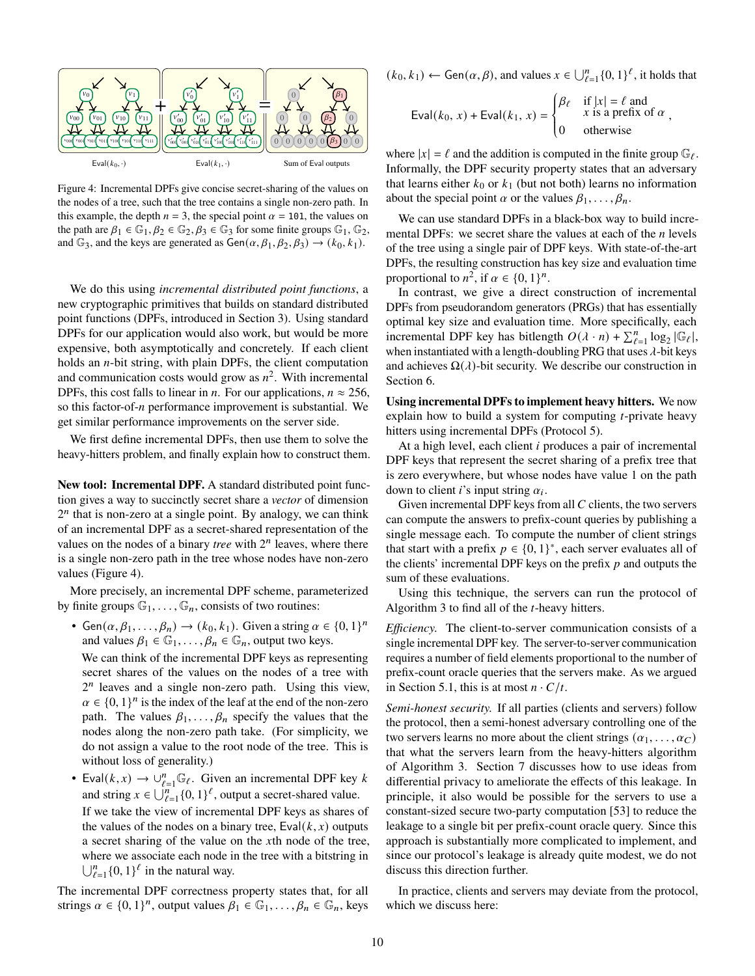<span id="page-9-0"></span>

Figure 4: Incremental DPFs give concise secret-sharing of the values on the nodes of a tree, such that the tree contains a single non-zero path. In this example, the depth  $n = 3$ , the special point  $\alpha = 101$ , the values on the path are  $\beta_1 \in \mathbb{G}_1$ ,  $\beta_2 \in \mathbb{G}_2$ ,  $\beta_3 \in \mathbb{G}_3$  for some finite groups  $\mathbb{G}_1$ ,  $\mathbb{G}_2$ , and  $\mathbb{G}_3$ , and the keys are generated as  $Gen(\alpha, \beta_1, \beta_2, \beta_3) \rightarrow (k_0, k_1)$ .

We do this using *incremental distributed point functions*, a new cryptographic primitives that builds on standard distributed point functions (DPFs, introduced in Section [3\)](#page-4-0). Using standard DPFs for our application would also work, but would be more expensive, both asymptotically and concretely. If each client holds an  $n$ -bit string, with plain DPFs, the client computation and communication costs would grow as  $n^2$ . With incremental DPFs, this cost falls to linear in *n*. For our applications,  $n \approx 256$ , so this factor-of- $n$  performance improvement is substantial. We get similar performance improvements on the server side.

We first define incremental DPFs, then use them to solve the heavy-hitters problem, and finally explain how to construct them.

**New tool: Incremental DPF.** A standard distributed point function gives a way to succinctly secret share a *vector* of dimension  $2<sup>n</sup>$  that is non-zero at a single point. By analogy, we can think of an incremental DPF as a secret-shared representation of the values on the nodes of a binary *tree* with  $2^n$  leaves, where there is a single non-zero path in the tree whose nodes have non-zero values (Figure [4\)](#page-9-0).

More precisely, an incremental DPF scheme, parameterized by finite groups  $\mathbb{G}_1, \ldots, \mathbb{G}_n$ , consists of two routines:

• Gen $(\alpha, \beta_1, \ldots, \beta_n) \rightarrow (k_0, k_1)$ . Given a string  $\alpha \in \{0, 1\}^n$ and values  $\beta_1 \in \mathbb{G}_1, \ldots, \beta_n \in \mathbb{G}_n$ , output two keys.

We can think of the incremental DPF keys as representing secret shares of the values on the nodes of a tree with  $2<sup>n</sup>$  leaves and a single non-zero path. Using this view,  $\alpha \in \{0, 1\}^n$  is the index of the leaf at the end of the non-zero path. The values  $\beta_1, \ldots, \beta_n$  specify the values that the nodes along the non-zero path take. (For simplicity, we do not assign a value to the root node of the tree. This is without loss of generality.)

• Eval $(k, x) \rightarrow \bigcup_{\ell=1}^n \mathbb{G}_{\ell}$ . Given an incremental DPF key k and string  $x \in \bigcup_{\ell=1}^{n} \{0, 1\}^{\ell}$ , output a secret-shared value. If we take the view of incremental DPF keys as shares of the values of the nodes on a binary tree,  $Eval(k, x)$  outputs a secret sharing of the value on the  $x$ th node of the tree, where we associate each node in the tree with a bitstring in  $\bigcup_{\ell=1}^n \{0,1\}^{\ell}$  in the natural way.

The incremental DPF correctness property states that, for all strings  $\alpha \in \{0, 1\}^n$ , output values  $\beta_1 \in \mathbb{G}_1, \ldots, \beta_n \in \mathbb{G}_n$ , keys

 $(k_0, k_1) \leftarrow$  Gen $(\alpha, \beta)$ , and values  $x \in \bigcup_{\ell=1}^n \{0, 1\}^{\ell}$ , it holds that

$$
\text{Eval}(k_0, x) + \text{Eval}(k_1, x) = \begin{cases} \beta_\ell & \text{if } |x| = \ell \text{ and} \\ x \text{ is a prefix of } \alpha \\ 0 & \text{otherwise} \end{cases}
$$

where  $|x| = \ell$  and the addition is computed in the finite group  $\mathbb{G}_{\ell}$ . Informally, the DPF security property states that an adversary that learns either  $k_0$  or  $k_1$  (but not both) learns no information about the special point  $\alpha$  or the values  $\beta_1, \ldots, \beta_n$ .

We can use standard DPFs in a black-box way to build incremental DPFs: we secret share the values at each of the  $n$  levels of the tree using a single pair of DPF keys. With state-of-the-art DPFs, the resulting construction has key size and evaluation time proportional to  $n^2$ , if  $\alpha \in \{0, 1\}^n$ .

In contrast, we give a direct construction of incremental DPFs from pseudorandom generators (PRGs) that has essentially optimal key size and evaluation time. More specifically, each incremental DPF key has bitlength  $O(\lambda \cdot n) + \sum_{\ell=1}^n \log_2 |\mathbb{G}_{\ell}|$ , when instantiated with a length-doubling PRG that uses  $\lambda$ -bit keys and achieves  $\Omega(\lambda)$ -bit security. We describe our construction in Section [6.](#page-10-0)

**Using incremental DPFs to implement heavy hitters.** We now explain how to build a system for computing  $t$ -private heavy hitters using incremental DPFs (Protocol [5\)](#page-10-1).

At a high level, each client  $i$  produces a pair of incremental DPF keys that represent the secret sharing of a prefix tree that is zero everywhere, but whose nodes have value 1 on the path down to client *i*'s input string  $\alpha_i$ .

Given incremental DPF keys from all  $C$  clients, the two servers can compute the answers to prefix-count queries by publishing a single message each. To compute the number of client strings that start with a prefix  $p \in \{0, 1\}^*$ , each server evaluates all of the clients' incremental DPF keys on the prefix  $p$  and outputs the sum of these evaluations.

Using this technique, the servers can run the protocol of Algorithm [3](#page-8-3) to find all of the  $t$ -heavy hitters.

*Efficiency.* The client-to-server communication consists of a single incremental DPF key. The server-to-server communication requires a number of field elements proportional to the number of prefix-count oracle queries that the servers make. As we argued in Section [5.1,](#page-8-0) this is at most  $n \cdot C/t$ .

*Semi-honest security.* If all parties (clients and servers) follow the protocol, then a semi-honest adversary controlling one of the two servers learns no more about the client strings  $(\alpha_1, \ldots, \alpha_C)$ that what the servers learn from the heavy-hitters algorithm of Algorithm [3.](#page-8-3) Section [7](#page-11-0) discusses how to use ideas from differential privacy to ameliorate the effects of this leakage. In principle, it also would be possible for the servers to use a constant-sized secure two-party computation [\[53\]](#page-14-1) to reduce the leakage to a single bit per prefix-count oracle query. Since this approach is substantially more complicated to implement, and since our protocol's leakage is already quite modest, we do not discuss this direction further.

In practice, clients and servers may deviate from the protocol, which we discuss here: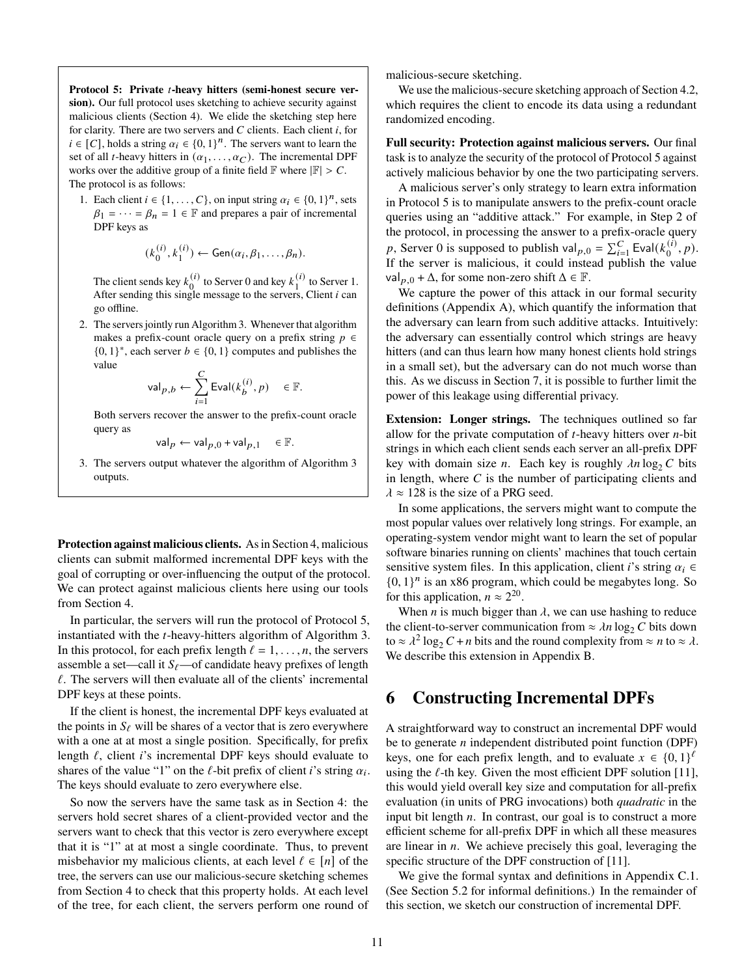<span id="page-10-1"></span>**Protocol 5: Private -heavy hitters (semi-honest secure version).** Our full protocol uses sketching to achieve security against malicious clients (Section [4\)](#page-5-0). We elide the sketching step here for clarity. There are two servers and  $C$  clients. Each client  $i$ , for  $i \in [C]$ , holds a string  $\alpha_i \in \{0,1\}^n$ . The servers want to learn the set of all *t*-heavy hitters in  $(\alpha_1, \ldots, \alpha_C)$ . The incremental DPF works over the additive group of a finite field  $\mathbb F$  where  $|\mathbb F| > C$ . The protocol is as follows:

1. Each client  $i \in \{1, ..., C\}$ , on input string  $\alpha_i \in \{0, 1\}^n$ , sets  $\beta_1 = \cdots = \beta_n = 1 \in \mathbb{F}$  and prepares a pair of incremental DPF keys as

$$
(k_0^{(i)}, k_1^{(i)}) \leftarrow \mathsf{Gen}(\alpha_i, \beta_1, \dots, \beta_n).
$$

The client sends key  $k_0^{(i)}$  $\binom{i}{0}$  to Server 0 and key  $k_1^{(i)}$  $\frac{1}{1}$  to Server 1. After sending this single message to the servers, Client  $i$  can go offline.

<span id="page-10-2"></span>2. The servers jointly run Algorithm [3.](#page-8-3) Whenever that algorithm makes a prefix-count oracle query on a prefix string  $p \in$  $\{0, 1\}^*$ , each server  $b \in \{0, 1\}$  computes and publishes the value

$$
\mathsf{val}_{p,b} \leftarrow \sum_{i=1}^C \mathsf{Eval}(k_b^{(i)},p) \quad \in \mathbb{F}.
$$

Both servers recover the answer to the prefix-count oracle query as

$$
\mathsf{val}_p \leftarrow \mathsf{val}_{p,0} + \mathsf{val}_{p,1} \quad \in \mathbb{F}.
$$

3. The servers output whatever the algorithm of Algorithm [3](#page-8-3) outputs.

**Protection against malicious clients.** As in Section [4,](#page-5-0) malicious clients can submit malformed incremental DPF keys with the goal of corrupting or over-influencing the output of the protocol. We can protect against malicious clients here using our tools from Section [4.](#page-5-0)

In particular, the servers will run the protocol of Protocol [5,](#page-10-1) instantiated with the  $t$ -heavy-hitters algorithm of Algorithm [3.](#page-8-3) In this protocol, for each prefix length  $\ell = 1, \ldots, n$ , the servers assemble a set—call it  $S_\ell$ —of candidate heavy prefixes of length  $\ell$ . The servers will then evaluate all of the clients' incremental DPF keys at these points.

If the client is honest, the incremental DPF keys evaluated at the points in  $S_{\ell}$  will be shares of a vector that is zero everywhere with a one at at most a single position. Specifically, for prefix length  $\ell$ , client *i*'s incremental DPF keys should evaluate to shares of the value "1" on the  $\ell$ -bit prefix of client *i*'s string  $\alpha_i$ . The keys should evaluate to zero everywhere else.

So now the servers have the same task as in Section [4:](#page-5-0) the servers hold secret shares of a client-provided vector and the servers want to check that this vector is zero everywhere except that it is "1" at at most a single coordinate. Thus, to prevent misbehavior my malicious clients, at each level  $\ell \in [n]$  of the tree, the servers can use our malicious-secure sketching schemes from Section [4](#page-5-0) to check that this property holds. At each level of the tree, for each client, the servers perform one round of malicious-secure sketching.

We use the malicious-secure sketching approach of Section [4.2,](#page-5-4) which requires the client to encode its data using a redundant randomized encoding.

**Full security: Protection against malicious servers.** Our final task is to analyze the security of the protocol of Protocol [5](#page-10-1) against actively malicious behavior by one the two participating servers.

A malicious server's only strategy to learn extra information in Protocol [5](#page-10-1) is to manipulate answers to the prefix-count oracle queries using an "additive attack." For example, in Step [2](#page-10-2) of the protocol, in processing the answer to a prefix-oracle query p, Server 0 is supposed to publish val<sub>p,0</sub> =  $\sum_{i=1}^{C}$  Eval( $k_0^{(i)}$ )  $_{0}^{(i)}, p$ ). If the server is malicious, it could instead publish the value val<sub>p,0</sub> +  $\Delta$ , for some non-zero shift  $\Delta \in \mathbb{F}$ .

We capture the power of this attack in our formal security definitions (Appendix [A\)](#page-14-12), which quantify the information that the adversary can learn from such additive attacks. Intuitively: the adversary can essentially control which strings are heavy hitters (and can thus learn how many honest clients hold strings in a small set), but the adversary can do not much worse than this. As we discuss in Section [7,](#page-11-0) it is possible to further limit the power of this leakage using differential privacy.

**Extension: Longer strings.** The techniques outlined so far allow for the private computation of  $t$ -heavy hitters over  $n$ -bit strings in which each client sends each server an all-prefix DPF key with domain size *n*. Each key is roughly  $\lambda n \log_2 C$  bits in length, where  $C$  is the number of participating clients and  $\lambda \approx 128$  is the size of a PRG seed.

In some applications, the servers might want to compute the most popular values over relatively long strings. For example, an operating-system vendor might want to learn the set of popular software binaries running on clients' machines that touch certain sensitive system files. In this application, client *i*'s string  $\alpha_i \in$  $\{0, 1\}^n$  is an x86 program, which could be megabytes long. So for this application,  $n \approx 2^{20}$ .

When *n* is much bigger than  $\lambda$ , we can use hashing to reduce the client-to-server communication from  $\approx \lambda n \log_2 C$  bits down to  $\approx \lambda^2 \log_2 C + n$  bits and the round complexity from  $\approx n$  to  $\approx \lambda$ . We describe this extension in Appendix [B.](#page-15-0)

## <span id="page-10-0"></span>**6 Constructing Incremental DPFs**

A straightforward way to construct an incremental DPF would be to generate  $n$  independent distributed point function (DPF) keys, one for each prefix length, and to evaluate  $x \in \{0, 1\}^{\ell}$ using the  $\ell$ -th key. Given the most efficient DPF solution [\[11\]](#page-13-1), this would yield overall key size and computation for all-prefix evaluation (in units of PRG invocations) both *quadratic* in the input bit length  $n$ . In contrast, our goal is to construct a more efficient scheme for all-prefix DPF in which all these measures are linear in  $n$ . We achieve precisely this goal, leveraging the specific structure of the DPF construction of [\[11\]](#page-13-1).

We give the formal syntax and definitions in Appendix [C.1.](#page-16-0) (See Section [5.2](#page-8-1) for informal definitions.) In the remainder of this section, we sketch our construction of incremental DPF.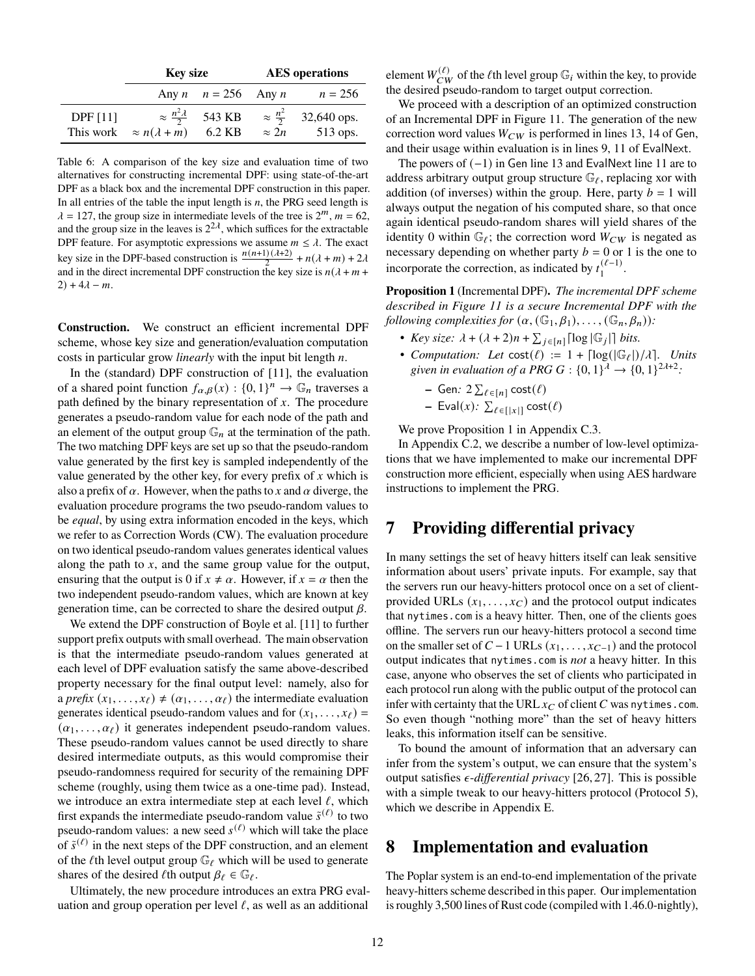|                 | <b>Key size</b>                    |                                                  | <b>AES</b> operations |                                                 |
|-----------------|------------------------------------|--------------------------------------------------|-----------------------|-------------------------------------------------|
|                 |                                    | Any $n \quad n = 256$ Any $n$                    |                       | $n = 256$                                       |
| <b>DPF</b> [11] | This work $\approx n(\lambda + m)$ | $\approx \frac{n^2 \lambda}{2}$ 543 KB<br>6.2 KB | $\approx 2n$          | $\approx \frac{n^2}{2}$ 32,640 ops.<br>513 ops. |

Table 6: A comparison of the key size and evaluation time of two alternatives for constructing incremental DPF: using state-of-the-art DPF as a black box and the incremental DPF construction in this paper. In all entries of the table the input length is  $n$ , the PRG seed length is  $\lambda = 127$ , the group size in intermediate levels of the tree is  $2^m$ ,  $m = 62$ , and the group size in the leaves is  $2^{2\lambda}$ , which suffices for the extractable DPF feature. For asymptotic expressions we assume  $m \leq \lambda$ . The exact key size in the DPF-based construction is  $\frac{n(n+1)(\lambda+2)}{2} + n(\lambda+m) + 2\lambda$ and in the direct incremental DPF construction the key size is  $n(\lambda + m + \lambda)$  $2) + 4\lambda - m$ .

**Construction.** We construct an efficient incremental DPF scheme, whose key size and generation/evaluation computation costs in particular grow *linearly* with the input bit length *n*.

In the (standard) DPF construction of [\[11\]](#page-13-1), the evaluation of a shared point function  $f_{\alpha,\beta}(x) : \{0,1\}^n \to \mathbb{G}_n$  traverses a path defined by the binary representation of  $x$ . The procedure generates a pseudo-random value for each node of the path and an element of the output group  $\mathbb{G}_n$  at the termination of the path. The two matching DPF keys are set up so that the pseudo-random value generated by the first key is sampled independently of the value generated by the other key, for every prefix of  $x$  which is also a prefix of  $\alpha$ . However, when the paths to x and  $\alpha$  diverge, the evaluation procedure programs the two pseudo-random values to be *equal*, by using extra information encoded in the keys, which we refer to as Correction Words (CW). The evaluation procedure on two identical pseudo-random values generates identical values along the path to  $x$ , and the same group value for the output, ensuring that the output is 0 if  $x \neq \alpha$ . However, if  $x = \alpha$  then the two independent pseudo-random values, which are known at key generation time, can be corrected to share the desired output  $\beta$ .

We extend the DPF construction of Boyle et al. [\[11\]](#page-13-1) to further support prefix outputs with small overhead. The main observation is that the intermediate pseudo-random values generated at each level of DPF evaluation satisfy the same above-described property necessary for the final output level: namely, also for a *prefix*  $(x_1, \ldots, x_\ell) \neq (\alpha_1, \ldots, \alpha_\ell)$  the intermediate evaluation generates identical pseudo-random values and for  $(x_1, \ldots, x_\ell)$  =  $(\alpha_1, \ldots, \alpha_\ell)$  it generates independent pseudo-random values. These pseudo-random values cannot be used directly to share desired intermediate outputs, as this would compromise their pseudo-randomness required for security of the remaining DPF scheme (roughly, using them twice as a one-time pad). Instead, we introduce an extra intermediate step at each level  $\ell$ , which first expands the intermediate pseudo-random value  $\tilde{s}^{(\ell)}$  to two pseudo-random values: a new seed  $s^{(\ell)}$  which will take the place of  $\tilde{s}^{(\ell)}$  in the next steps of the DPF construction, and an element of the  $\ell$ th level output group  $\mathbb{G}_{\ell}$  which will be used to generate shares of the desired  $\ell$ th output  $\beta_{\ell} \in \mathbb{G}_{\ell}$ .

Ultimately, the new procedure introduces an extra PRG evaluation and group operation per level  $\ell$ , as well as an additional

element  $W_{CW}^{(\ell)}$  of the  $\ell$ th level group  $\mathbb{G}_i$  within the key, to provide the desired pseudo-random to target output correction.

We proceed with a description of an optimized construction of an Incremental DPF in Figure [11.](#page-18-1) The generation of the new correction word values  $W_{CW}$  is performed in lines [13,](#page-18-2) [14](#page-18-3) of Gen, and their usage within evaluation is in lines [9,](#page-18-4) [11](#page-18-5) of EvalNext.

The powers of (−1) in Gen line [13](#page-18-2) and EvalNext line [11](#page-18-5) are to address arbitrary output group structure  $\mathbb{G}_{\ell}$ , replacing xor with addition (of inverses) within the group. Here, party  $b = 1$  will always output the negation of his computed share, so that once again identical pseudo-random shares will yield shares of the identity 0 within  $\mathbb{G}_{\ell}$ ; the correction word  $W_{CW}$  is negated as necessary depending on whether party  $b = 0$  or 1 is the one to incorporate the correction, as indicated by  $t_1^{(\ell-1)}$  $\frac{(t-1)}{1}$ .

<span id="page-11-2"></span>**Proposition 1** (Incremental DPF)**.** *The incremental DPF scheme described in Figure [11](#page-18-1) is a secure Incremental DPF with the following complexities for*  $(\alpha, (\mathbb{G}_1, \beta_1), \ldots, (\mathbb{G}_n, \beta_n))$ :

- *Key size:*  $\lambda + (\lambda + 2)n + \sum_{j \in [n]} \lfloor \log |\mathbb{G}_j| \rfloor$  *bits.*
- *Computation:* Let  $cost(\ell) := 1 + \lceil log(|\mathbb{G}_{\ell}|)/\lambda \rceil$ . Units given in evaluation of a PRG  $G: \{0,1\}^{\lambda} \to \{0,1\}^{2\lambda+2}$ .

- Gen: 
$$
2 \sum_{\ell \in [n]} \text{cost}(\ell)
$$

 $\textsf{Eval}(x)$ :  $\sum_{\ell \in [\lvert x \rvert]} \textsf{cost}(\ell)$ 

We prove Proposition [1](#page-11-2) in Appendix [C.3.](#page-17-0)

In Appendix [C.2,](#page-17-1) we describe a number of low-level optimizations that we have implemented to make our incremental DPF construction more efficient, especially when using AES hardware instructions to implement the PRG.

# <span id="page-11-0"></span>**7 Providing differential privacy**

In many settings the set of heavy hitters itself can leak sensitive information about users' private inputs. For example, say that the servers run our heavy-hitters protocol once on a set of clientprovided URLs  $(x_1, \ldots, x_{C})$  and the protocol output indicates that nytimes.com is a heavy hitter. Then, one of the clients goes offline. The servers run our heavy-hitters protocol a second time on the smaller set of  $C - 1$  URLs  $(x_1, \ldots, x_{C-1})$  and the protocol output indicates that nytimes.com is *not* a heavy hitter. In this case, anyone who observes the set of clients who participated in each protocol run along with the public output of the protocol can infer with certainty that the URL  $x_C$  of client C was nytimes.com. So even though "nothing more" than the set of heavy hitters leaks, this information itself can be sensitive.

To bound the amount of information that an adversary can infer from the system's output, we can ensure that the system's output satisfies  $\epsilon$ -differential privacy [\[26,](#page-13-22) [27\]](#page-14-8). This is possible with a simple tweak to our heavy-hitters protocol (Protocol [5\)](#page-10-1), which we describe in Appendix [E.](#page-22-0)

## <span id="page-11-1"></span>**8 Implementation and evaluation**

The Poplar system is an end-to-end implementation of the private heavy-hitters scheme described in this paper. Our implementation is roughly 3,500 lines of Rust code (compiled with 1.46.0-nightly),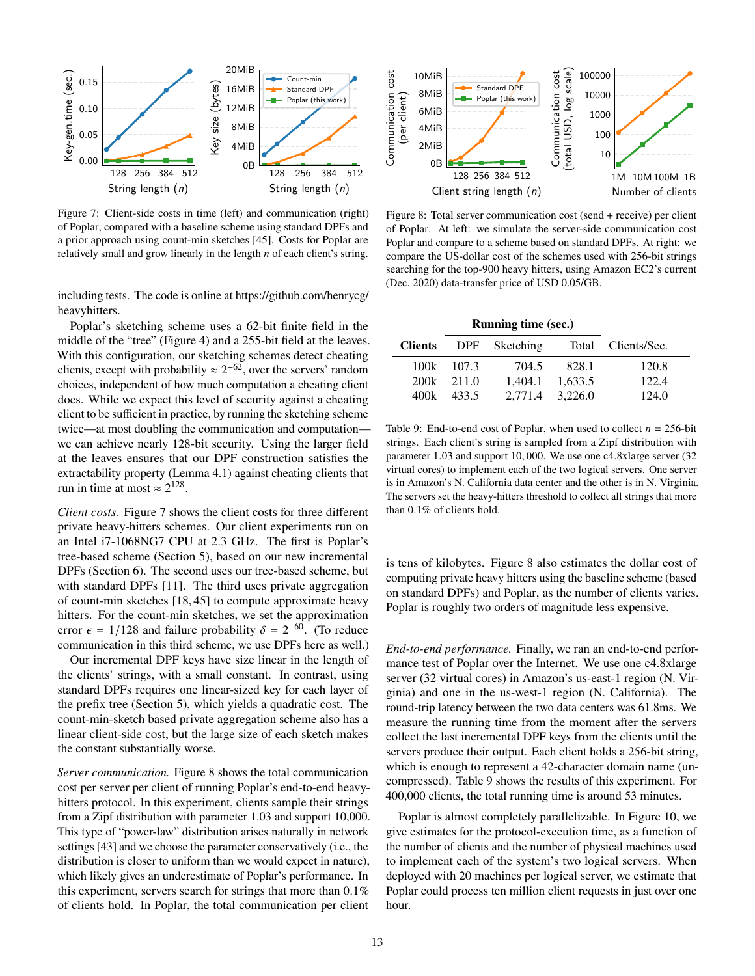<span id="page-12-0"></span>

Figure 7: Client-side costs in time (left) and communication (right) of Poplar, compared with a baseline scheme using standard DPFs and a prior approach using count-min sketches [\[45\]](#page-14-2). Costs for Poplar are relatively small and grow linearly in the length  $n$  of each client's string.

including tests. The code is online at [https://github.com/henrycg/](https://github.com/henrycg/heavyhitters) [heavyhitters.](https://github.com/henrycg/heavyhitters)

Poplar's sketching scheme uses a 62-bit finite field in the middle of the "tree" (Figure [4\)](#page-9-0) and a 255-bit field at the leaves. With this configuration, our sketching schemes detect cheating clients, except with probability  $\approx 2^{-62}$ , over the servers' random choices, independent of how much computation a cheating client does. While we expect this level of security against a cheating client to be sufficient in practice, by running the sketching scheme twice—at most doubling the communication and computation we can achieve nearly 128-bit security. Using the larger field at the leaves ensures that our DPF construction satisfies the extractability property (Lemma [4.1\)](#page-7-1) against cheating clients that run in time at most  $\approx 2^{128}$ .

*Client costs.* Figure [7](#page-12-0) shows the client costs for three different private heavy-hitters schemes. Our client experiments run on an Intel i7-1068NG7 CPU at 2.3 GHz. The first is Poplar's tree-based scheme (Section [5\)](#page-7-0), based on our new incremental DPFs (Section [6\)](#page-10-0). The second uses our tree-based scheme, but with standard DPFs [\[11\]](#page-13-1). The third uses private aggregation of count-min sketches [\[18,](#page-13-6) [45\]](#page-14-2) to compute approximate heavy hitters. For the count-min sketches, we set the approximation error  $\epsilon = 1/128$  and failure probability  $\delta = 2^{-60}$ . (To reduce communication in this third scheme, we use DPFs here as well.)

Our incremental DPF keys have size linear in the length of the clients' strings, with a small constant. In contrast, using standard DPFs requires one linear-sized key for each layer of the prefix tree (Section [5\)](#page-7-0), which yields a quadratic cost. The count-min-sketch based private aggregation scheme also has a linear client-side cost, but the large size of each sketch makes the constant substantially worse.

*Server communication.* Figure [8](#page-12-1) shows the total communication cost per server per client of running Poplar's end-to-end heavyhitters protocol. In this experiment, clients sample their strings from a Zipf distribution with parameter 1.03 and support 10,000. This type of "power-law" distribution arises naturally in network settings [\[43\]](#page-14-24) and we choose the parameter conservatively (i.e., the distribution is closer to uniform than we would expect in nature), which likely gives an underestimate of Poplar's performance. In this experiment, servers search for strings that more than 0.1% of clients hold. In Poplar, the total communication per client

<span id="page-12-1"></span>

Figure 8: Total server communication cost (send + receive) per client of Poplar. At left: we simulate the server-side communication cost Poplar and compare to a scheme based on standard DPFs. At right: we compare the US-dollar cost of the schemes used with 256-bit strings searching for the top-900 heavy hitters, using Amazon EC2's current (Dec. 2020) data-transfer price of USD 0.05/GB.

<span id="page-12-2"></span>

| <b>Clients</b> |            | DPF Sketching   |                 | Total Clients/Sec. |
|----------------|------------|-----------------|-----------------|--------------------|
|                | 100k 107.3 | 704.5           | 828.1           | 120.8              |
| 200k           | 2.11.0     |                 | 1,404.1 1,633.5 | 122.4              |
| 400k           | 433.5      | 2.771.4 3.226.0 |                 | 124.0              |

Table 9: End-to-end cost of Poplar, when used to collect  $n = 256$ -bit strings. Each client's string is sampled from a Zipf distribution with parameter 1.03 and support 10, 000. We use one c4.8xlarge server (32 virtual cores) to implement each of the two logical servers. One server is in Amazon's N. California data center and the other is in N. Virginia. The servers set the heavy-hitters threshold to collect all strings that more than 0.1% of clients hold.

is tens of kilobytes. Figure [8](#page-12-1) also estimates the dollar cost of computing private heavy hitters using the baseline scheme (based on standard DPFs) and Poplar, as the number of clients varies. Poplar is roughly two orders of magnitude less expensive.

*End-to-end performance.* Finally, we ran an end-to-end performance test of Poplar over the Internet. We use one c4.8xlarge server (32 virtual cores) in Amazon's us-east-1 region (N. Virginia) and one in the us-west-1 region (N. California). The round-trip latency between the two data centers was 61.8ms. We measure the running time from the moment after the servers collect the last incremental DPF keys from the clients until the servers produce their output. Each client holds a 256-bit string, which is enough to represent a 42-character domain name (uncompressed). Table [9](#page-12-2) shows the results of this experiment. For 400,000 clients, the total running time is around 53 minutes.

Poplar is almost completely parallelizable. In Figure [10,](#page-13-23) we give estimates for the protocol-execution time, as a function of the number of clients and the number of physical machines used to implement each of the system's two logical servers. When deployed with 20 machines per logical server, we estimate that Poplar could process ten million client requests in just over one hour.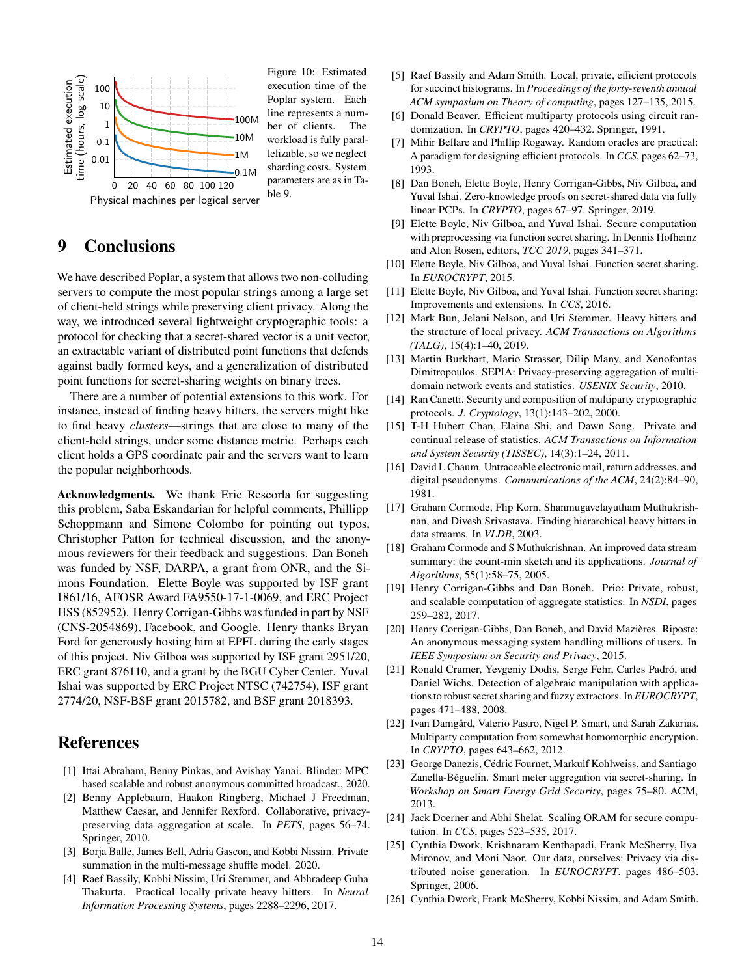<span id="page-13-23"></span>

Figure 10: Estimated execution time of the Poplar system. Each line represents a number of clients. The workload is fully parallelizable, so we neglect sharding costs. System parameters are as in Table [9.](#page-12-2)

# **9 Conclusions**

We have described Poplar, a system that allows two non-colluding servers to compute the most popular strings among a large set of client-held strings while preserving client privacy. Along the way, we introduced several lightweight cryptographic tools: a protocol for checking that a secret-shared vector is a unit vector, an extractable variant of distributed point functions that defends against badly formed keys, and a generalization of distributed point functions for secret-sharing weights on binary trees.

There are a number of potential extensions to this work. For instance, instead of finding heavy hitters, the servers might like to find heavy *clusters*—strings that are close to many of the client-held strings, under some distance metric. Perhaps each client holds a GPS coordinate pair and the servers want to learn the popular neighborhoods.

**Acknowledgments.** We thank Eric Rescorla for suggesting this problem, Saba Eskandarian for helpful comments, Phillipp Schoppmann and Simone Colombo for pointing out typos, Christopher Patton for technical discussion, and the anonymous reviewers for their feedback and suggestions. Dan Boneh was funded by NSF, DARPA, a grant from ONR, and the Simons Foundation. Elette Boyle was supported by ISF grant 1861/16, AFOSR Award FA9550-17-1-0069, and ERC Project HSS (852952). Henry Corrigan-Gibbs was funded in part by NSF (CNS-2054869), Facebook, and Google. Henry thanks Bryan Ford for generously hosting him at EPFL during the early stages of this project. Niv Gilboa was supported by ISF grant 2951/20, ERC grant 876110, and a grant by the BGU Cyber Center. Yuval Ishai was supported by ERC Project NTSC (742754), ISF grant 2774/20, NSF-BSF grant 2015782, and BSF grant 2018393.

## **References**

- <span id="page-13-16"></span>[1] Ittai Abraham, Benny Pinkas, and Avishay Yanai. Blinder: MPC based scalable and robust anonymous committed broadcast., 2020.
- <span id="page-13-9"></span>[2] Benny Applebaum, Haakon Ringberg, Michael J Freedman, Matthew Caesar, and Jennifer Rexford. Collaborative, privacypreserving data aggregation at scale. In *PETS*, pages 56–74. Springer, 2010.
- <span id="page-13-26"></span>[3] Borja Balle, James Bell, Adria Gascon, and Kobbi Nissim. Private summation in the multi-message shuffle model. 2020.
- <span id="page-13-4"></span>[4] Raef Bassily, Kobbi Nissim, Uri Stemmer, and Abhradeep Guha Thakurta. Practical locally private heavy hitters. In *Neural Information Processing Systems*, pages 2288–2296, 2017.
- <span id="page-13-7"></span>[5] Raef Bassily and Adam Smith. Local, private, efficient protocols for succinct histograms. In *Proceedings of the forty-seventh annual ACM symposium on Theory of computing*, pages 127–135, 2015.
- <span id="page-13-20"></span>[6] Donald Beaver. Efficient multiparty protocols using circuit randomization. In *CRYPTO*, pages 420–432. Springer, 1991.
- <span id="page-13-21"></span>[7] Mihir Bellare and Phillip Rogaway. Random oracles are practical: A paradigm for designing efficient protocols. In *CCS*, pages 62–73, 1993.
- <span id="page-13-15"></span>[8] Dan Boneh, Elette Boyle, Henry Corrigan-Gibbs, Niv Gilboa, and Yuval Ishai. Zero-knowledge proofs on secret-shared data via fully linear PCPs. In *CRYPTO*, pages 67–97. Springer, 2019.
- <span id="page-13-19"></span>[9] Elette Boyle, Niv Gilboa, and Yuval Ishai. Secure computation with preprocessing via function secret sharing. In Dennis Hofheinz and Alon Rosen, editors, *TCC 2019*, pages 341–371.
- <span id="page-13-2"></span>[10] Elette Boyle, Niv Gilboa, and Yuval Ishai. Function secret sharing. In *EUROCRYPT*, 2015.
- <span id="page-13-1"></span>[11] Elette Boyle, Niv Gilboa, and Yuval Ishai. Function secret sharing: Improvements and extensions. In *CCS*, 2016.
- <span id="page-13-8"></span>[12] Mark Bun, Jelani Nelson, and Uri Stemmer. Heavy hitters and the structure of local privacy. *ACM Transactions on Algorithms (TALG)*, 15(4):1–40, 2019.
- <span id="page-13-10"></span>[13] Martin Burkhart, Mario Strasser, Dilip Many, and Xenofontas Dimitropoulos. SEPIA: Privacy-preserving aggregation of multidomain network events and statistics. *USENIX Security*, 2010.
- <span id="page-13-24"></span>[14] Ran Canetti. Security and composition of multiparty cryptographic protocols. *J. Cryptology*, 13(1):143–202, 2000.
- <span id="page-13-11"></span>[15] T-H Hubert Chan, Elaine Shi, and Dawn Song. Private and continual release of statistics. *ACM Transactions on Information and System Security (TISSEC)*, 14(3):1–24, 2011.
- <span id="page-13-13"></span>[16] David L Chaum. Untraceable electronic mail, return addresses, and digital pseudonyms. *Communications of the ACM*, 24(2):84–90, 1981.
- <span id="page-13-5"></span>[17] Graham Cormode, Flip Korn, Shanmugavelayutham Muthukrishnan, and Divesh Srivastava. Finding hierarchical heavy hitters in data streams. In *VLDB*, 2003.
- <span id="page-13-6"></span>[18] Graham Cormode and S Muthukrishnan. An improved data stream summary: the count-min sketch and its applications. *Journal of Algorithms*, 55(1):58–75, 2005.
- <span id="page-13-0"></span>[19] Henry Corrigan-Gibbs and Dan Boneh. Prio: Private, robust, and scalable computation of aggregate statistics. In *NSDI*, pages 259–282, 2017.
- <span id="page-13-3"></span>[20] Henry Corrigan-Gibbs, Dan Boneh, and David Mazières. Riposte: An anonymous messaging system handling millions of users. In *IEEE Symposium on Security and Privacy*, 2015.
- <span id="page-13-17"></span>[21] Ronald Cramer, Yevgeniy Dodis, Serge Fehr, Carles Padró, and Daniel Wichs. Detection of algebraic manipulation with applications to robust secret sharing and fuzzy extractors. In *EUROCRYPT*, pages 471–488, 2008.
- <span id="page-13-18"></span>[22] Ivan Damgård, Valerio Pastro, Nigel P. Smart, and Sarah Zakarias. Multiparty computation from somewhat homomorphic encryption. In *CRYPTO*, pages 643–662, 2012.
- <span id="page-13-12"></span>[23] George Danezis, Cédric Fournet, Markulf Kohlweiss, and Santiago Zanella-Béguelin. Smart meter aggregation via secret-sharing. In *Workshop on Smart Energy Grid Security*, pages 75–80. ACM, 2013.
- <span id="page-13-14"></span>[24] Jack Doerner and Abhi Shelat. Scaling ORAM for secure computation. In *CCS*, pages 523–535, 2017.
- <span id="page-13-25"></span>[25] Cynthia Dwork, Krishnaram Kenthapadi, Frank McSherry, Ilya Mironov, and Moni Naor. Our data, ourselves: Privacy via distributed noise generation. In *EUROCRYPT*, pages 486–503. Springer, 2006.
- <span id="page-13-22"></span>[26] Cynthia Dwork, Frank McSherry, Kobbi Nissim, and Adam Smith.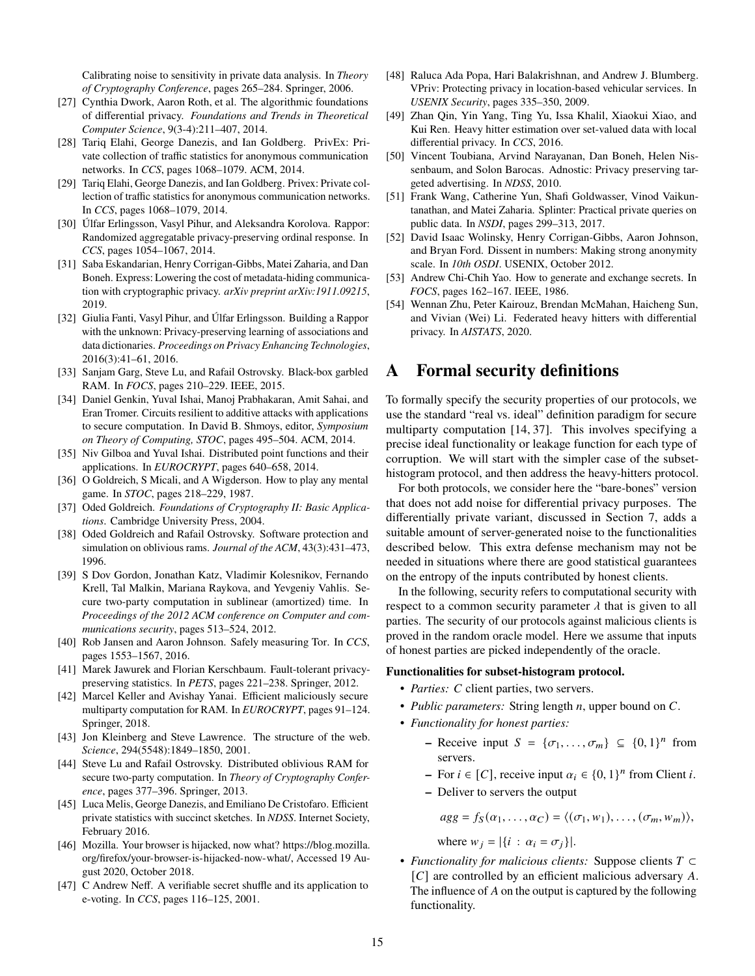Calibrating noise to sensitivity in private data analysis. In *Theory of Cryptography Conference*, pages 265–284. Springer, 2006.

- <span id="page-14-8"></span>[27] Cynthia Dwork, Aaron Roth, et al. The algorithmic foundations of differential privacy. *Foundations and Trends in Theoretical Computer Science*, 9(3-4):211–407, 2014.
- <span id="page-14-20"></span>[28] Tariq Elahi, George Danezis, and Ian Goldberg. PrivEx: Private collection of traffic statistics for anonymous communication networks. In *CCS*, pages 1068–1079. ACM, 2014.
- <span id="page-14-28"></span>[29] Tariq Elahi, George Danezis, and Ian Goldberg. Privex: Private collection of traffic statistics for anonymous communication networks. In *CCS*, pages 1068–1079, 2014.
- <span id="page-14-9"></span>[30] Úlfar Erlingsson, Vasyl Pihur, and Aleksandra Korolova. Rappor: Randomized aggregatable privacy-preserving ordinal response. In *CCS*, pages 1054–1067, 2014.
- <span id="page-14-4"></span>[31] Saba Eskandarian, Henry Corrigan-Gibbs, Matei Zaharia, and Dan Boneh. Express: Lowering the cost of metadata-hiding communication with cryptographic privacy. *arXiv preprint arXiv:1911.09215*, 2019.
- <span id="page-14-10"></span>[32] Giulia Fanti, Vasyl Pihur, and Úlfar Erlingsson. Building a Rappor with the unknown: Privacy-preserving learning of associations and data dictionaries. *Proceedings on Privacy Enhancing Technologies*, 2016(3):41–61, 2016.
- <span id="page-14-14"></span>[33] Sanjam Garg, Steve Lu, and Rafail Ostrovsky. Black-box garbled RAM. In *FOCS*, pages 210–229. IEEE, 2015.
- <span id="page-14-27"></span>[34] Daniel Genkin, Yuval Ishai, Manoj Prabhakaran, Amit Sahai, and Eran Tromer. Circuits resilient to additive attacks with applications to secure computation. In David B. Shmoys, editor, *Symposium on Theory of Computing, STOC*, pages 495–504. ACM, 2014.
- <span id="page-14-3"></span>[35] Niv Gilboa and Yuval Ishai. Distributed point functions and their applications. In *EUROCRYPT*, pages 640–658, 2014.
- <span id="page-14-0"></span>[36] O Goldreich, S Micali, and A Wigderson. How to play any mental game. In *STOC*, pages 218–229, 1987.
- <span id="page-14-25"></span>[37] Oded Goldreich. *Foundations of Cryptography II: Basic Applications*. Cambridge University Press, 2004.
- <span id="page-14-18"></span>[38] Oded Goldreich and Rafail Ostrovsky. Software protection and simulation on oblivious rams. *Journal of the ACM*, 43(3):431–473, 1996.
- <span id="page-14-15"></span>[39] S Dov Gordon, Jonathan Katz, Vladimir Kolesnikov, Fernando Krell, Tal Malkin, Mariana Raykova, and Yevgeniy Vahlis. Secure two-party computation in sublinear (amortized) time. In *Proceedings of the 2012 ACM conference on Computer and communications security*, pages 513–524, 2012.
- <span id="page-14-21"></span>[40] Rob Jansen and Aaron Johnson. Safely measuring Tor. In *CCS*, pages 1553–1567, 2016.
- <span id="page-14-22"></span>[41] Marek Jawurek and Florian Kerschbaum. Fault-tolerant privacypreserving statistics. In *PETS*, pages 221–238. Springer, 2012.
- <span id="page-14-16"></span>[42] Marcel Keller and Avishay Yanai. Efficient maliciously secure multiparty computation for RAM. In *EUROCRYPT*, pages 91–124. Springer, 2018.
- <span id="page-14-24"></span>[43] Jon Kleinberg and Steve Lawrence. The structure of the web. *Science*, 294(5548):1849–1850, 2001.
- <span id="page-14-17"></span>[44] Steve Lu and Rafail Ostrovsky. Distributed oblivious RAM for secure two-party computation. In *Theory of Cryptography Conference*, pages 377–396. Springer, 2013.
- <span id="page-14-2"></span>[45] Luca Melis, George Danezis, and Emiliano De Cristofaro. Efficient private statistics with succinct sketches. In *NDSS*. Internet Society, February 2016.
- <span id="page-14-11"></span>[46] Mozilla. Your browser is hijacked, now what? [https://blog.mozilla.](https://blog.mozilla.org/firefox/your-browser-is-hijacked-now-what/) [org/firefox/your-browser-is-hijacked-now-what/,](https://blog.mozilla.org/firefox/your-browser-is-hijacked-now-what/) Accessed 19 August 2020, October 2018.
- <span id="page-14-13"></span>[47] C Andrew Neff. A verifiable secret shuffle and its application to e-voting. In *CCS*, pages 116–125, 2001.
- <span id="page-14-23"></span>[48] Raluca Ada Popa, Hari Balakrishnan, and Andrew J. Blumberg. VPriv: Protecting privacy in location-based vehicular services. In *USENIX Security*, pages 335–350, 2009.
- <span id="page-14-19"></span>[49] Zhan Qin, Yin Yang, Ting Yu, Issa Khalil, Xiaokui Xiao, and Kui Ren. Heavy hitter estimation over set-valued data with local differential privacy. In *CCS*, 2016.
- <span id="page-14-5"></span>[50] Vincent Toubiana, Arvind Narayanan, Dan Boneh, Helen Nissenbaum, and Solon Barocas. Adnostic: Privacy preserving targeted advertising. In *NDSS*, 2010.
- <span id="page-14-26"></span>[51] Frank Wang, Catherine Yun, Shafi Goldwasser, Vinod Vaikuntanathan, and Matei Zaharia. Splinter: Practical private queries on public data. In *NSDI*, pages 299–313, 2017.
- <span id="page-14-6"></span>[52] David Isaac Wolinsky, Henry Corrigan-Gibbs, Aaron Johnson, and Bryan Ford. Dissent in numbers: Making strong anonymity scale. In *10th OSDI*. USENIX, October 2012.
- <span id="page-14-1"></span>[53] Andrew Chi-Chih Yao. How to generate and exchange secrets. In *FOCS*, pages 162–167. IEEE, 1986.
- <span id="page-14-7"></span>[54] Wennan Zhu, Peter Kairouz, Brendan McMahan, Haicheng Sun, and Vivian (Wei) Li. Federated heavy hitters with differential privacy. In *AISTATS*, 2020.

# <span id="page-14-12"></span>**A Formal security definitions**

To formally specify the security properties of our protocols, we use the standard "real vs. ideal" definition paradigm for secure multiparty computation [\[14,](#page-13-24) [37\]](#page-14-25). This involves specifying a precise ideal functionality or leakage function for each type of corruption. We will start with the simpler case of the subsethistogram protocol, and then address the heavy-hitters protocol.

For both protocols, we consider here the "bare-bones" version that does not add noise for differential privacy purposes. The differentially private variant, discussed in Section [7,](#page-11-0) adds a suitable amount of server-generated noise to the functionalities described below. This extra defense mechanism may not be needed in situations where there are good statistical guarantees on the entropy of the inputs contributed by honest clients.

In the following, security refers to computational security with respect to a common security parameter  $\lambda$  that is given to all parties. The security of our protocols against malicious clients is proved in the random oracle model. Here we assume that inputs of honest parties are picked independently of the oracle.

#### **Functionalities for subset-histogram protocol.**

- *Parties: C* client parties, two servers.
- *Public parameters:* String length  $n$ , upper bound on  $C$ .
- *Functionality for honest parties:*
	- **–** Receive input  $S = \{\sigma_1, \ldots, \sigma_m\} \subseteq \{0, 1\}^n$  from servers.
	- **−** For  $i \in [C]$ , receive input  $\alpha_i \in \{0, 1\}^n$  from Client *i*.
	- **–** Deliver to servers the output

$$
agg = f_S(\alpha_1, \ldots, \alpha_C) = \langle (\sigma_1, w_1), \ldots, (\sigma_m, w_m) \rangle,
$$

where  $w_i = |\{i : \alpha_i = \sigma_i\}|$ .

• *Functionality for malicious clients:* Suppose clients ⊂  $[C]$  are controlled by an efficient malicious adversary A. The influence of  $A$  on the output is captured by the following functionality.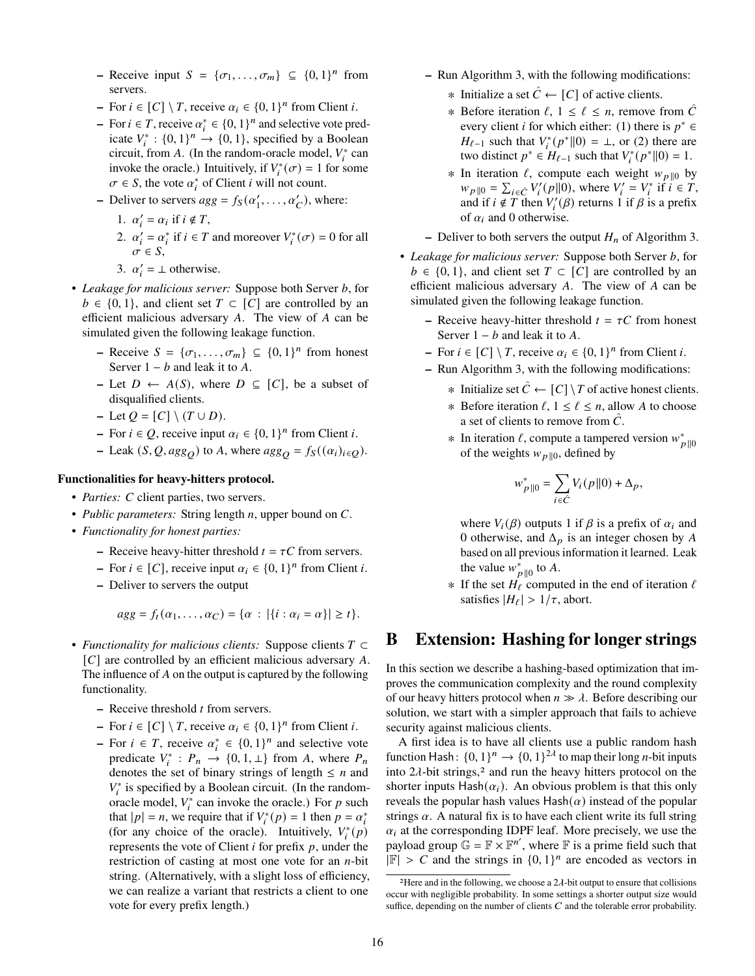- **–** Receive input  $S = \{\sigma_1, \ldots, \sigma_m\} \subseteq \{0, 1\}^n$  from servers.
- **–** For  $i \in [C] \setminus T$ , receive  $\alpha_i \in \{0, 1\}^n$  from Client i.
- **−** For  $i \in T$ , receive  $\alpha_i^* \in \{0, 1\}^n$  and selective vote predicate  $V_i^*: \{0,1\}^n \rightarrow \{0,1\}$ , specified by a Boolean circuit, from A. (In the random-oracle model,  $V_i^*$  can invoke the oracle.) Intuitively, if  $V_i^*(\sigma) = 1$  for some  $\sigma \in S$ , the vote  $\alpha_i^*$  of Client *i* will not count.
- Deliver to servers  $agg = f_S(\alpha'_1, \dots, \alpha'_C)$ , where:
	- 1.  $\alpha'_i = \alpha_i$  if  $i \notin T$ ,
	- 2.  $\alpha'_i = \alpha^*_i$  if  $i \in T$  and moreover  $V_i^*(\sigma) = 0$  for all  $\sigma \in S$ ,
	- 3.  $\alpha'_i = \perp$  otherwise.
- Leakage for malicious server: Suppose both Server b, for  $b \in \{0, 1\}$ , and client set  $T \subset [C]$  are controlled by an efficient malicious adversary  $A$ . The view of  $A$  can be simulated given the following leakage function.
	- **–** Receive  $S = \{\sigma_1, \ldots, \sigma_m\} \subseteq \{0, 1\}^n$  from honest Server  $1 - b$  and leak it to A.
	- **−** Let  $D$  ←  $A(S)$ , where  $D \subseteq [C]$ , be a subset of disqualified clients.
	- $-$  Let  $Q = [C] \setminus (T \cup D)$ .
	- **−** For  $i \in Q$ , receive input  $\alpha_i \in \{0, 1\}^n$  from Client *i*.
	- **–** Leak  $(S, Q, agg_Q)$  to A, where  $agg_Q = f_S((\alpha_i)_{i \in Q})$ .

#### **Functionalities for heavy-hitters protocol.**

- *Parties: C* client parties, two servers.
- *Public parameters:* String length  $n$ , upper bound on  $C$ .
- *Functionality for honest parties:*
	- **–** Receive heavy-hitter threshold  $t = \tau C$  from servers.
	- **−** For  $i \in [C]$ , receive input  $\alpha_i \in \{0, 1\}^n$  from Client *i*.
	- **–** Deliver to servers the output

$$
agg = f_t(\alpha_1,\ldots,\alpha_C) = \{\alpha : |\{i : \alpha_i = \alpha\}| \geq t\}.
$$

- *Functionality for malicious clients:* Suppose clients ⊂  $[C]$  are controlled by an efficient malicious adversary A. The influence of  $A$  on the output is captured by the following functionality.
	- **–** Receive threshold *t* from servers.
	- **–** For  $i \in [C] \setminus T$ , receive  $\alpha_i \in \{0, 1\}^n$  from Client *i*.
	- **−** For  $i \in T$ , receive  $\alpha_i^* \in \{0, 1\}^n$  and selective vote predicate  $V_i^*$ :  $P_n \rightarrow \{0, 1, \perp\}$  from A, where  $P_n$ denotes the set of binary strings of length  $\leq n$  and  $V_i^*$  is specified by a Boolean circuit. (In the randomoracle model,  $V_i^*$  can invoke the oracle.) For p such that  $|p| = n$ , we require that if  $V_i^*(p) = 1$  then  $p = \alpha_i^*$ (for any choice of the oracle). Intuitively,  $V_i^*(p)$ represents the vote of Client  $i$  for prefix  $p$ , under the restriction of casting at most one vote for an  $n$ -bit string. (Alternatively, with a slight loss of efficiency, we can realize a variant that restricts a client to one vote for every prefix length.)
- **–** Run Algorithm [3,](#page-8-3) with the following modifications:
	- $\ast$  Initialize a set  $\hat{C}$  ← [C] of active clients.
	- **∗** Before iteration  $\ell$ , 1 ≤  $\ell$  ≤ *n*, remove from  $\hat{C}$ every client *i* for which either: (1) there is  $p^* \in$  $H_{\ell-1}$  such that  $V_i^*(p^* \| 0) = \bot$ , or (2) there are two distinct  $p^* \in H_{\ell-1}$  such that  $V_i^*(p^*||0) = 1$ .
	- **∗** In iteration  $\ell$ , compute each weight  $w_{p||0}$  by  $w_{p||0} = \sum_{i \in \hat{C}} V'_i(p||0)$ , where  $V'_i = V^*_i$  if  $i \in T$ , and if  $i \notin T$  then  $V_i'(\beta)$  returns 1 if  $\beta$  is a prefix of  $\alpha_i$  and 0 otherwise.
- **–** Deliver to both servers the output  $H_n$  of Algorithm [3.](#page-8-3)
- Leakage for malicious server: Suppose both Server b, for  $b \in \{0, 1\}$ , and client set  $T \subset [C]$  are controlled by an efficient malicious adversary  $A$ . The view of  $A$  can be simulated given the following leakage function.
	- **–** Receive heavy-hitter threshold  $t = \tau C$  from honest Server  $1 - b$  and leak it to A.
	- **–** For  $i \in [C] \setminus T$ , receive  $\alpha_i \in \{0, 1\}^n$  from Client *i*.
	- **–** Run Algorithm [3,](#page-8-3) with the following modifications:
		- ∗ Initialize set  $\hat{C}$  ←  $[C] \setminus T$  of active honest clients.
		- ∗ Before iteration  $\ell$ ,  $1 \leq \ell \leq n$ , allow A to choose a set of clients to remove from  $\ddot{C}$ .
		- ∗ In iteration  $\ell$ , compute a tampered version  $w_{p||0}^*$ of the weights  $w_{p||0}$ , defined by

$$
w_{p\parallel 0}^* = \sum_{i \in \hat{C}} V_i(p\parallel 0) + \Delta_p,
$$

where  $V_i(\beta)$  outputs 1 if  $\beta$  is a prefix of  $\alpha_i$  and 0 otherwise, and  $\Delta_p$  is an integer chosen by A based on all previous information it learned. Leak the value  $w_{p||0}^*$  to A.

∗ If the set  $H_\ell$  computed in the end of iteration  $\ell$ satisfies  $|H_{\ell}| > 1/\tau$ , abort.

## <span id="page-15-0"></span>**B Extension: Hashing for longer strings**

In this section we describe a hashing-based optimization that improves the communication complexity and the round complexity of our heavy hitters protocol when  $n \gg \lambda$ . Before describing our solution, we start with a simpler approach that fails to achieve security against malicious clients.

A first idea is to have all clients use a public random hash function Hash:  $\{0, 1\}^n \rightarrow \{0, 1\}^{2\lambda}$  to map their long *n*-bit inputs into  $2\lambda$  $2\lambda$ -bit strings,<sup>2</sup> and run the heavy hitters protocol on the shorter inputs Hash $(\alpha_i)$ . An obvious problem is that this only reveals the popular hash values  $\text{Hash}(\alpha)$  instead of the popular strings  $\alpha$ . A natural fix is to have each client write its full string  $\alpha_i$  at the corresponding IDPF leaf. More precisely, we use the payload group  $\mathbb{G} = \mathbb{F} \times \mathbb{F}^{n'}$ , where  $\mathbb F$  is a prime field such that  $|\mathbb{F}| > C$  and the strings in  $\{0, 1\}^n$  are encoded as vectors in

<span id="page-15-1"></span><sup>&</sup>lt;sup>2</sup>Here and in the following, we choose a  $2\lambda$ -bit output to ensure that collisions occur with negligible probability. In some settings a shorter output size would suffice, depending on the number of clients  $C$  and the tolerable error probability.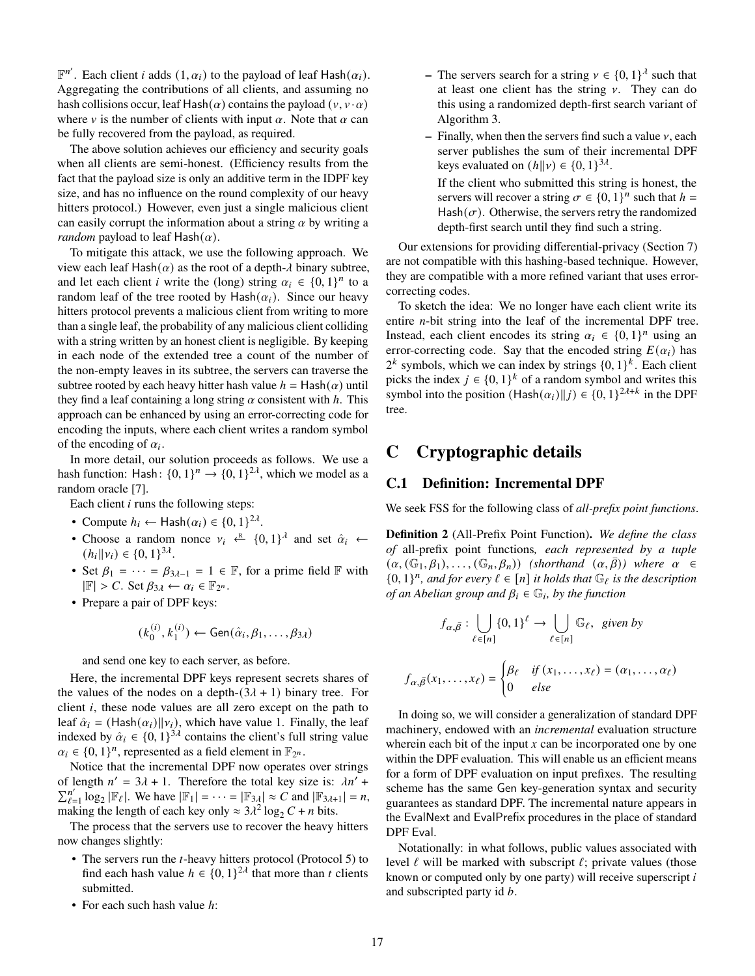$\mathbb{F}^{n'}$ . Each client *i* adds  $(1, \alpha_i)$  to the payload of leaf Hash $(\alpha_i)$ . Aggregating the contributions of all clients, and assuming no hash collisions occur, leaf Hash( $\alpha$ ) contains the payload ( $v, v \cdot \alpha$ ) where v is the number of clients with input  $\alpha$ . Note that  $\alpha$  can be fully recovered from the payload, as required.

The above solution achieves our efficiency and security goals when all clients are semi-honest. (Efficiency results from the fact that the payload size is only an additive term in the IDPF key size, and has no influence on the round complexity of our heavy hitters protocol.) However, even just a single malicious client can easily corrupt the information about a string  $\alpha$  by writing a *random* payload to leaf  $\text{Hash}(\alpha)$ .

To mitigate this attack, we use the following approach. We view each leaf Hash( $\alpha$ ) as the root of a depth- $\lambda$  binary subtree, and let each client *i* write the (long) string  $\alpha_i \in \{0, 1\}^n$  to a random leaf of the tree rooted by Hash $(\alpha_i)$ . Since our heavy hitters protocol prevents a malicious client from writing to more than a single leaf, the probability of any malicious client colliding with a string written by an honest client is negligible. By keeping in each node of the extended tree a count of the number of the non-empty leaves in its subtree, the servers can traverse the subtree rooted by each heavy hitter hash value  $h =$  Hash $(\alpha)$  until they find a leaf containing a long string  $\alpha$  consistent with  $h$ . This approach can be enhanced by using an error-correcting code for encoding the inputs, where each client writes a random symbol of the encoding of  $\alpha_i$ .

In more detail, our solution proceeds as follows. We use a hash function: Hash:  $\{0, 1\}^n \rightarrow \{0, 1\}^{2\lambda}$ , which we model as a random oracle [\[7\]](#page-13-21).

Each client  $i$  runs the following steps:

- Compute  $h_i \leftarrow \text{Hash}(\alpha_i) \in \{0, 1\}^{2\lambda}$ .
- Choose a random nonce  $v_i \leftarrow \{0, 1\}^{\lambda}$  and set  $\hat{\alpha}_i \leftarrow$  $(h_i||\nu_i) \in \{0, 1\}^{3\lambda}.$
- Set  $\beta_1 = \cdots = \beta_{3\lambda-1} = 1 \in \mathbb{F}$ , for a prime field  $\mathbb{F}$  with  $|\mathbb{F}| > C$ . Set  $\beta_{3\lambda} \leftarrow \alpha_i \in \mathbb{F}_{2^n}$ .
- Prepare a pair of DPF keys:

$$
(k_0^{(i)}, k_1^{(i)}) \leftarrow \mathsf{Gen}(\hat{\alpha}_i, \beta_1, \dots, \beta_{3\lambda})
$$

and send one key to each server, as before.

Here, the incremental DPF keys represent secrets shares of the values of the nodes on a depth- $(3\lambda + 1)$  binary tree. For client  $i$ , these node values are all zero except on the path to leaf  $\hat{\alpha}_i$  = (Hash $(\alpha_i) || \nu_i$ ), which have value 1. Finally, the leaf indexed by  $\hat{\alpha}_i \in \{0, 1\}^{3\lambda}$  contains the client's full string value  $\alpha_i \in \{0, 1\}^n$ , represented as a field element in  $\mathbb{F}_{2^n}$ .

Notice that the incremental DPF now operates over strings of length  $n' = 3\lambda + 1$ . Therefore the total key size is:  $\lambda n'$  +  $\sum_{\ell=1}^{n'} \log_2 |\mathbb{F}_{\ell}|$ . We have  $|\mathbb{F}_1| = \cdots = |\mathbb{F}_{3,\ell}| \approx C$  and  $|\mathbb{F}_{3,\ell+1}| = n$ , making the length of each key only  $\approx 3\lambda^2 \log_2 C + n$  bits.

The process that the servers use to recover the heavy hitters now changes slightly:

- The servers run the  $t$ -heavy hitters protocol (Protocol [5\)](#page-10-1) to find each hash value  $h \in \{0, 1\}^{2\lambda}$  that more than t clients submitted.
- For each such hash value  $h$ :
- **–** The servers search for a string  $v \in \{0, 1\}^{\lambda}$  such that at least one client has the string  $\nu$ . They can do this using a randomized depth-first search variant of Algorithm [3.](#page-8-3)
- $-$  Finally, when then the servers find such a value  $\nu$ , each server publishes the sum of their incremental DPF keys evaluated on  $(h||v) \in \{0, 1\}^{3\lambda}$ .
	- If the client who submitted this string is honest, the servers will recover a string  $\sigma \in \{0, 1\}^n$  such that  $h =$  $Hash(\sigma)$ . Otherwise, the servers retry the randomized depth-first search until they find such a string.

Our extensions for providing differential-privacy (Section [7\)](#page-11-0) are not compatible with this hashing-based technique. However, they are compatible with a more refined variant that uses errorcorrecting codes.

To sketch the idea: We no longer have each client write its entire  $n$ -bit string into the leaf of the incremental DPF tree. Instead, each client encodes its string  $\alpha_i \in \{0,1\}^n$  using an error-correcting code. Say that the encoded string  $E(\alpha_i)$  has  $2^k$  symbols, which we can index by strings  $\{0, 1\}^k$ . Each client picks the index  $j \in \{0,1\}^k$  of a random symbol and writes this symbol into the position  $(Hash(\alpha_i)||_J) \in \{0, 1\}^{2\lambda+k}$  in the DPF tree.

# **C Cryptographic details**

#### <span id="page-16-0"></span>**C.1 Definition: Incremental DPF**

We seek FSS for the following class of *all-prefix point functions*.

**Definition 2** (All-Prefix Point Function)**.** *We define the class of* all-prefix point functions*, each represented by a tuple*  $(\alpha, (\mathbb{G}_1, \beta_1), \ldots, (\mathbb{G}_n, \beta_n))$  *(shorthand*  $(\alpha, \beta)$ *)* where  $\alpha \in$  ${0, 1}^n$ , and for every  $\ell \in [n]$  it holds that  $\mathbb{G}_{\ell}$  is the description *of an Abelian group and*  $\beta_i \in \mathbb{G}_i$ , *by the function* 

$$
f_{\alpha,\bar{\beta}} : \bigcup_{\ell \in [n]} \{0,1\}^{\ell} \to \bigcup_{\ell \in [n]} \mathbb{G}_{\ell}, \text{ given by}
$$

$$
f_{\alpha,\bar{\beta}}(x_1,\ldots,x_\ell) = \begin{cases} \beta_\ell & \text{if } (x_1,\ldots,x_\ell) = (\alpha_1,\ldots,\alpha_\ell) \\ 0 & \text{else} \end{cases}
$$

In doing so, we will consider a generalization of standard DPF machinery, endowed with an *incremental* evaluation structure wherein each bit of the input  $x$  can be incorporated one by one within the DPF evaluation. This will enable us an efficient means for a form of DPF evaluation on input prefixes. The resulting scheme has the same Gen key-generation syntax and security guarantees as standard DPF. The incremental nature appears in the EvalNext and EvalPrefix procedures in the place of standard DPF Eval.

<span id="page-16-1"></span>Notationally: in what follows, public values associated with level  $\ell$  will be marked with subscript  $\ell$ ; private values (those known or computed only by one party) will receive superscript  $i$ and subscripted party id b.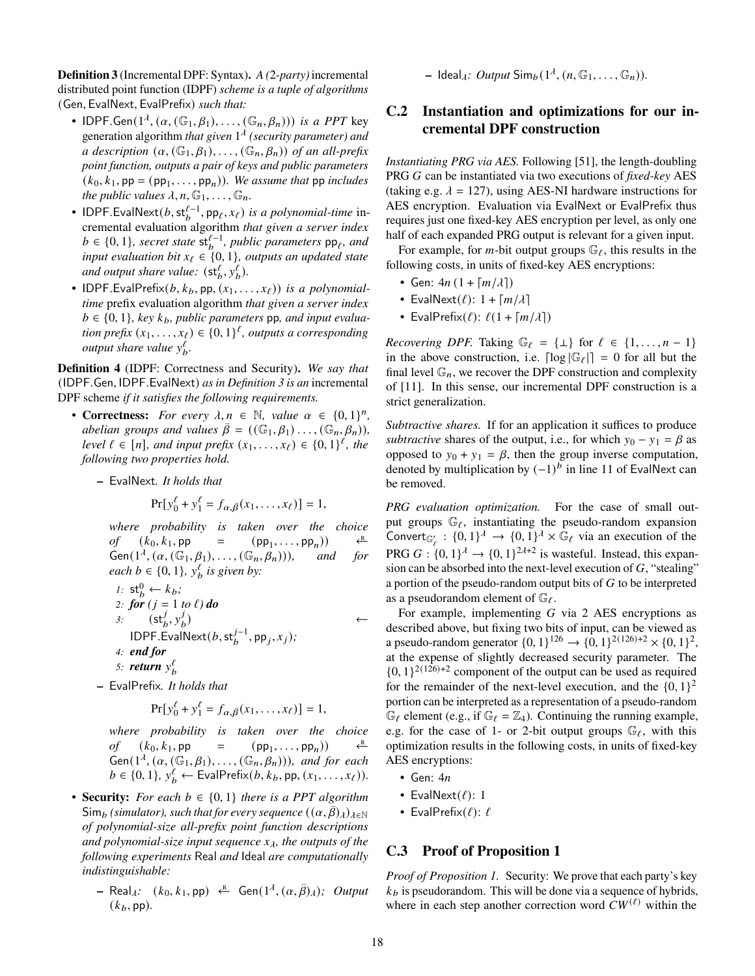**Definition 3** (Incremental DPF: Syntax)**.** *A (*2*-party)* incremental distributed point function (IDPF) *scheme is a tuple of algorithms* (Gen, EvalNext, EvalPrefix) *such that:*

- IDPF.Gen( $1^{\lambda}$ ,  $(\alpha, (\mathbb{G}_1, \beta_1), \ldots, (\mathbb{G}_n, \beta_n)))$  *is a PPT* key generation algorithm *that given* 1 *(security parameter) and a description*  $(\alpha, (\mathbb{G}_1, \beta_1), \ldots, (\mathbb{G}_n, \beta_n))$  *of an all-prefix point function, outputs a pair of keys and public parameters*  $(k_0, k_1, \mathsf{pp} = (\mathsf{pp}_1, \dots, \mathsf{pp}_n))$ *. We assume that* pp *includes the public values*  $\lambda$ ,  $n$ ,  $\mathbb{G}_1$ , ...,  $\mathbb{G}_n$ .
- IDPF.EvalNext $(b, \mathsf{st}^{\ell-1}_b, \mathsf{pp}_\ell, x_\ell)$  *is a polynomial-time* incremental evaluation algorithm *that given a server index*  $b \in \{0, 1\}$ , secret state  $\mathsf{st}^{\ell-1}_b$ , public parameters  $\mathsf{pp}_\ell$ , and *input evaluation bit*  $x_{\ell} \in \{0, 1\}$ *, outputs an updated state* and output share value:  $(\mathsf{st}^\ell_b, \mathsf{y}^\ell_b)$ .
- IDPF. Eval Prefix $(b, k_b, \text{pp}, (x_1, \ldots, x_\ell))$  *is a polynomialtime* prefix evaluation algorithm *that given a server index*  $b \in \{0, 1\}$ , key  $k_b$ , public parameters pp, and input evalua*tion prefix*  $(x_1, ..., x_\ell) \in \{0, 1\}^\ell$ , *outputs a corresponding output share value*  $y_b^{\ell}$ .

<span id="page-17-2"></span>**Definition 4** (IDPF: Correctness and Security)**.** *We say that* (IDPF.Gen, IDPF.EvalNext) *as in Definition [3](#page-16-1) is an* incremental DPF scheme *if it satisfies the following requirements.*

- **Correctness:** *For every*  $\lambda, n \in \mathbb{N}$ , *value*  $\alpha \in \{0, 1\}^n$ , *abelian groups and values*  $\bar{\beta} = ((\mathbb{G}_1, \beta_1) \dots, (\mathbb{G}_n, \beta_n)),$ *level*  $\ell \in [n]$ , and input prefix  $(x_1, \ldots, x_\ell) \in \{0, 1\}^\ell$ , the *following two properties hold.*
	- **–** EvalNext*. It holds that*

$$
Pr[y_0^{\ell} + y_1^{\ell} = f_{\alpha, \bar{\beta}}(x_1, ..., x_{\ell})] = 1,
$$

*where probability is taken over the choice of*  $(k_0, k_1, pp) =$  $(pp_1, \ldots, pp_n))$  $\leftarrow$ <sup>R</sup>  $Gen(1^{\lambda}, (\alpha, (\mathbb{G}_1, \beta_1), \ldots, (\mathbb{G}_n, \beta_n)))$ , and for *each*  $b \in \{0, 1\}$ ,  $y_b^{\ell}$  *is given by:* 

1: 
$$
st_b^0 \leftarrow k_b;
$$
  
\n2: **for**  $(j = 1 \text{ to } \ell) \text{ do}$   
\n3:  $(st_b^j, y_b^j)$   
\nIDPF.EvalNext $(b, st_b^{j-1}, pp_j, x_j);$   
\n4: **end for**  
\n5: **return**  $y_b^{\ell}$ 

**–** EvalPrefix*. It holds that*

$$
Pr[y_0^{\ell} + y_1^{\ell} = f_{\alpha, \bar{\beta}}(x_1, ..., x_{\ell})] = 1,
$$

*where probability is taken over the choice of*  $(k_0, k_1, pp) =$  $(pp_1, \ldots, pp_n))$  $\leftarrow{R}$  $Gen(1^{\lambda}, (\alpha, (\mathbb{G}_1, \beta_1), \ldots, (\mathbb{G}_n, \beta_n)))$ , and for each  $b \in \{0, 1\}, y_b^{\ell} \leftarrow \text{EvalPrefix}(b, k_b, \text{pp}, (x_1, \ldots, x_{\ell})).$ 

- **Security:** *For each*  $b \in \{0, 1\}$  *there is a PPT algorithm*  $\mathsf{Sim}_b$  (simulator), such that for every sequence  $((\alpha, \beta)_{\lambda})_{\lambda \in \mathbb{N}}$ *of polynomial-size all-prefix point function descriptions and polynomial-size input sequence*  $x_{\lambda}$ *, the outputs of the following experiments* Real *and* Ideal *are computationally indistinguishable:*
	- $-$  Real<sub> $\lambda$ </sub>:  $(k_0, k_1, \text{pp}) \stackrel{\text{R}}{\leftarrow}$  Gen $(1^{\lambda}, (\alpha, \bar{\beta})_{\lambda})$ ; Output  $(k_b, \text{pp})$ .

 $-$  Ideal<sub> $\lambda$ *</sub>: Output* Sim<sub>b</sub>( $1^{\lambda}$ ,  $(n, \mathbb{G}_1, \ldots, \mathbb{G}_n)$ ).</sub>

### <span id="page-17-1"></span>**C.2 Instantiation and optimizations for our incremental DPF construction**

*Instantiating PRG via AES.* Following [\[51\]](#page-14-26), the length-doubling PRG G can be instantiated via two executions of *fixed-key* AES (taking e.g.  $\lambda = 127$ ), using AES-NI hardware instructions for AES encryption. Evaluation via EvalNext or EvalPrefix thus requires just one fixed-key AES encryption per level, as only one half of each expanded PRG output is relevant for a given input.

For example, for *m*-bit output groups  $\mathbb{G}_{\ell}$ , this results in the following costs, in units of fixed-key AES encryptions:

- Gen:  $4n(1 + \lceil m/\lambda \rceil)$
- EvalNext $(\ell)$ : 1 +  $\lceil m/\lambda \rceil$
- EvalPrefix $(\ell)$ :  $\ell(1 + \lceil m/\lambda \rceil)$

*Recovering DPF.* Taking  $\mathbb{G}_{\ell} = \{\perp\}$  for  $\ell \in \{1, \ldots, n-1\}$ in the above construction, i.e.  $\lceil \log |\mathbb{G}_{\ell}| \rceil = 0$  for all but the final level  $\mathbb{G}_n$ , we recover the DPF construction and complexity of [\[11\]](#page-13-1). In this sense, our incremental DPF construction is a strict generalization.

*Subtractive shares.* If for an application it suffices to produce *subtractive* shares of the output, i.e., for which  $y_0 - y_1 = \beta$  as opposed to  $y_0 + y_1 = \beta$ , then the group inverse computation, denoted by multiplication by  $(-1)^b$  in line [11](#page-18-5) of EvalNext can be removed.

*PRG evaluation optimization.* For the case of small output groups  $\mathbb{G}_{\ell}$ , instantiating the pseudo-random expansion Convert<sub> $G'_{\ell}$ </sub>:  $\{0, 1\}^{\lambda} \rightarrow \{0, 1\}^{\lambda} \times \mathbb{G}_{\ell}$  via an execution of the PRG  $G: \{0,1\}^{\lambda} \rightarrow \{0,1\}^{2\lambda+2}$  is wasteful. Instead, this expansion can be absorbed into the next-level execution of  $G$ , "stealing" a portion of the pseudo-random output bits of  $G$  to be interpreted as a pseudorandom element of  $\mathbb{G}_{\ell}$ .

For example, implementing  $G$  via 2 AES encryptions as described above, but fixing two bits of input, can be viewed as a pseudo-random generator  $\{0, 1\}^{126} \rightarrow \{0, 1\}^{2(126)+2} \times \{0, 1\}^2$ , at the expense of slightly decreased security parameter. The  $\{0, 1\}^{2(126)+2}$  component of the output can be used as required for the remainder of the next-level execution, and the  $\{0, 1\}^2$ portion can be interpreted as a representation of a pseudo-random  $\mathbb{G}_{\ell}$  element (e.g., if  $\mathbb{G}_{\ell} = \mathbb{Z}_{4}$ ). Continuing the running example, e.g. for the case of 1- or 2-bit output groups  $\mathbb{G}_{\ell}$ , with this optimization results in the following costs, in units of fixed-key AES encryptions:

- Gen:  $4n$
- EvalNext $(\ell)$ : 1
- EvalPrefix $(\ell)$ :  $\ell$

### <span id="page-17-0"></span>**C.3 Proof of Proposition [1](#page-11-2)**

*Proof of Proposition [1.](#page-11-2)* Security: We prove that each party's key  $k<sub>b</sub>$  is pseudorandom. This will be done via a sequence of hybrids, where in each step another correction word  $CW^{(\ell)}$  within the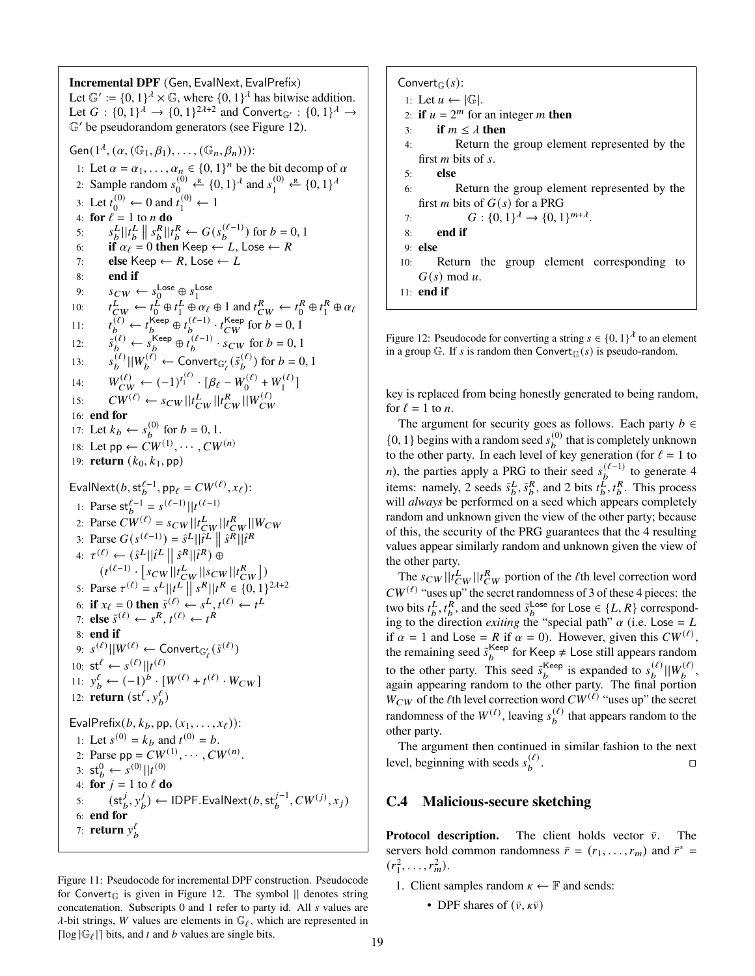<span id="page-18-8"></span><span id="page-18-7"></span><span id="page-18-5"></span><span id="page-18-4"></span><span id="page-18-3"></span><span id="page-18-2"></span><span id="page-18-1"></span>**Incremental DPF** (Gen, EvalNext, EvalPrefix) Let  $\mathbb{G}' := \{0, 1\}^{\lambda} \times \mathbb{G}$ , where  $\{0, 1\}^{\lambda}$  has bitwise addition. Let  $G: \{0,1\}^{\lambda} \to \{0,1\}^{2\lambda+2}$  and Convert<sub> $\mathbb{G}' : \{0,1\}^{\lambda} \to$ </sub>  $\mathbb{G}'$  be pseudorandom generators (see Figure [12\)](#page-18-6). Gen $(1^{\lambda}, (\alpha, (\mathbb{G}_1, \beta_1), \ldots, (\mathbb{G}_n, \beta_n)))$ : 1: Let  $\alpha = \alpha_1, \dots, \alpha_n \in \{0, 1\}^n$  be the bit decomp of  $\alpha$ 2: Sample random  $s_0^{(0)} \stackrel{\text{R}}{\leftarrow} \{0, 1\}^{\lambda}$  and  $s_1^{(0)} \stackrel{\text{R}}{\leftarrow} \{0, 1\}^{\lambda}$ 3: Let  $t_0^{(0)} \leftarrow 0$  and  $t_1^{(0)} \leftarrow 1$ 4: **for**  $\ell = 1$  to *n* **do** 5:  $s_b^L ||t_b^L || s_b^R || t_b^R \leftarrow G(s_b^{(\ell-1)})$  for  $b = 0, 1$ 6: **if**  $\alpha_{\ell} = 0$  **then** Keep  $\leftarrow L$ , Lose  $\leftarrow R$ 7: **else** Keep  $\leftarrow R$ , Lose  $\leftarrow L$ 8: **end if** 9:  $s_{CW} \leftarrow s_0^{\text{Loss}} \oplus s_1^{\text{Loss}}$ <br>
10:  $t_{CW}^L \leftarrow t_0^L \oplus t_1^L \oplus \alpha_\ell$  $L\atop 0 \oplus t\frac{L}{1}$  $L^L \oplus \alpha_\ell \oplus 1$  and  $t^R_{CW} \leftarrow t^R_0$  $\begin{array}{c}R\0\end{array}\oplus t_1^R$  $_1^R \oplus \alpha_\ell$ 11:  $t_b^{(\ell)} \leftarrow t_b^{\text{Keep}} \oplus t_b^{(\ell-1)} \cdot t_{CW}^{\text{Keep}}$  for  $b = 0, 1$ 12:  $\tilde{s}_b^{(\ell)} \leftarrow s_b^{\text{Keep}} \oplus \tilde{t}_b^{(\ell-1)} \cdot s_{CW}$  for  $b = 0, 1$ 13:  $s_b^{(\ell)} || W_b^{(\ell)} \leftarrow \text{Convert}_{\mathbb{G}_{\ell}'}(\tilde{s}_b^{(\ell)}) \text{ for } b = 0, 1$ 14:  $W_{CW}^{(\ell)} \leftarrow (-1)^{t_1^{(\ell)}} \cdot [\beta_{\ell} - W_0^{(\ell)}]$  $W_0^{(\ell)} + W_1^{(\ell)}$  $\binom{(\ell)}{1}$ 15:  $CW^{(\ell)} \leftarrow s_{CW} || t_{CW}^L || t_{CW}^R || W_{CW}^{(\ell)}$ 16: **end for** 17: Let  $k_b \leftarrow s_b^{(0)}$  for  $b = 0, 1$ . 18: Let  $pp \leftarrow CW^{(1)}, \cdots, CW^{(n)}$ 19: **return**  $(k_0, k_1, \text{pp})$ EvalNext $(b, st_b^{\ell-1}, pp_\ell = CW^{(\ell)}, x_\ell)$ : 1: Parse  $\mathsf{st}_b^{\ell-1} = s^{(\ell-1)} || t^{(\ell-1)}$ 2: Parse  $CW^{(\ell)} = s_{CW} || t_{CW}^L || t_{CW}^R || W_{CW}$ 3: Parse  $G(s^{(\ell-1)}) = \hat{s}^L || \hat{i}^L || \hat{s}^R || \hat{i}^R$ 4:  $\tau^{(\ell)} \leftarrow (\hat{s}^L || \hat{t}^L || \hat{s}^R || \hat{t}^R)$   $\oplus$  $(t^{(\ell-1)} \cdot [s_{CW} || t_{CW}^L || s_{CW} || t_{CW}^R])$ 5: Parse  $\tau^{(\ell)} = s^L ||t^L || s^R || t^R \in (0, 1)^{2\lambda+2}$ 6: **if**  $x_{\ell} = 0$  then  $\tilde{s}^{(\ell)} \leftarrow s^L, t^{(\ell)} \leftarrow t^L$ 7: **else**  $\tilde{s}^{(\ell)} \leftarrow s^R, t^{(\ell)} \leftarrow t^R$ 8: **end if** 9:  $s^{(\ell)}||W^{(\ell)} \leftarrow$  Convert $_{\mathbb{G}_{\ell}'}(\tilde{s}^{(\ell)})$ 10:  $\mathsf{st}^\ell \leftarrow s^{(\ell)} || t^{(\ell)}$ 11:  $y_b^{\ell}$  ←  $(-1)^{b} \cdot [W^{(\ell)} + t^{(\ell)} \cdot W_{CW}]$ 12: **return**  $(st^{\ell}, y^{\ell}_b)$ EvalPrefix( $b, k_b$ , pp,  $(x_1, \ldots, x_\ell)$ ): 1: Let  $s^{(0)} = k_b$  and  $t^{(0)} = b$ . 2: Parse pp =  $CW^{(1)}, \cdots, CW^{(n)}$ . 3:  $\mathsf{st}_b^0 \leftarrow s^{(0)} || t^{(0)}$ 4: **for**  $j = 1$  to  $\ell$  **do** 5:  $(\mathsf{st}^j_b, y^j_b)$  $\mathcal{F}_b^{(j)} \leftarrow \mathsf{IDPF}.\mathsf{EvalNext}(b, \mathsf{st}_{b}^{j-1}, CW^{(j)}, x_j)$ 6: **end for** 7: **return**  $y_b^{\ell}$ 

Figure 11: Pseudocode for incremental DPF construction. Pseudocode for Convert<sub> $G_{\nu}$ </sub> is given in Figure [12.](#page-18-6) The symbol  $\parallel$  denotes string concatenation. Subscripts  $0$  and  $1$  refer to party id. All  $s$  values are  $\lambda$ -bit strings, W values are elements in  $\mathbb{G}_{\ell}$ , which are represented in [ $\log |\mathbb{G}_{\ell}|$ ] bits, and t and b values are single bits.

<span id="page-18-6"></span>Convert<sub> $G(s)$ :</sub> 1: Let  $u \leftarrow |\mathbb{G}|$ . 2: **if**  $u = 2^m$  for an integer *m* then 3: **if**  $m \leq \lambda$  **then** 4: Return the group element represented by the first  $m$  bits of  $s$ . 5: **else** 6: Return the group element represented by the first *m* bits of  $G(s)$  for a PRG 7:  $G: \{0,1\}^{\lambda} \to \{0,1\}^{m+\lambda}.$ 8: **end if** 9: **else** 10: Return the group element corresponding to  $G(s) \bmod u$ . 11: **end if**

Figure 12: Pseudocode for converting a string  $s \in \{0, 1\}^{\lambda}$  to an element in a group  $\mathbb{G}$ . If *s* is random then Convert<sub> $\mathbb{G}(s)$  is pseudo-random.</sub>

key is replaced from being honestly generated to being random, for  $\ell = 1$  to *n*.

The argument for security goes as follows. Each party  $b \in$  $\{0, 1\}$  begins with a random seed  $s_b^{(0)}$  that is completely unknown to the other party. In each level of key generation (for  $\ell = 1$  to n), the parties apply a PRG to their seed  $s_b^{(\ell-1)}$  to generate 4 items: namely, 2 seeds  $\tilde{s}_{b}^{L}, \tilde{s}_{b}^{R}$ , and 2 bits  $t_{b}^{L}, t_{b}^{R}$ . This process will *always* be performed on a seed which appears completely random and unknown given the view of the other party; because of this, the security of the PRG guarantees that the 4 resulting values appear similarly random and unknown given the view of the other party.

The  $s_{CW} || i_{CW}^L || i_{CW}^R$  portion of the *l*<sup>th</sup> level correction word  $CW^{(\ell)}$  "uses up" the secret randomness of 3 of these 4 pieces: the two bits  $t_b^L, t_b^R$ , and the seed  $\tilde{s}_b^{\text{Lose}}$  for Lose  $\in \{L, R\}$  corresponding to the direction *exiting* the "special path"  $\alpha$  (i.e. Lose = L if  $\alpha = 1$  and Lose = R if  $\alpha = 0$ ). However, given this  $CW^{(\ell)}$ , the remaining seed  $\tilde{s}_b^{\text{Keep}}$  for Keep  $\neq$  Lose still appears random to the other party. This seed  $\tilde{s}_b^{\text{Keep}}$  is expanded to  $s_b^{(\ell)}||W_b^{(\ell)}$ , again appearing random to the other party. The final portion  $W_{CW}$  of the  $\ell$ th level correction word  $CW^{(\ell)}$  "uses up" the secret randomness of the  $W^{(\ell)}$ , leaving  $s_b^{(\ell)}$  that appears random to the other party.

The argument then continued in similar fashion to the next level, beginning with seeds  $s_b^{(\ell)}$ . В последните последните село в последните село в село в село в село в село в село в село в село в село в сел<br>Село в село в село в село в село в село в село в село в село в село в село в село в село в село в село в село

#### <span id="page-18-0"></span>**C.4 Malicious-secure sketching**

**Protocol description.** The client holds vector  $\bar{v}$ . The servers hold common randomness  $\bar{r} = (r_1, \dots, r_m)$  and  $\bar{r}^* =$  $(r_1^2, \ldots, r_m^2)$ .

- 1. Client samples random  $\kappa \leftarrow \mathbb{F}$  and sends:
	- DPF shares of  $(\bar{v}, \kappa \bar{v})$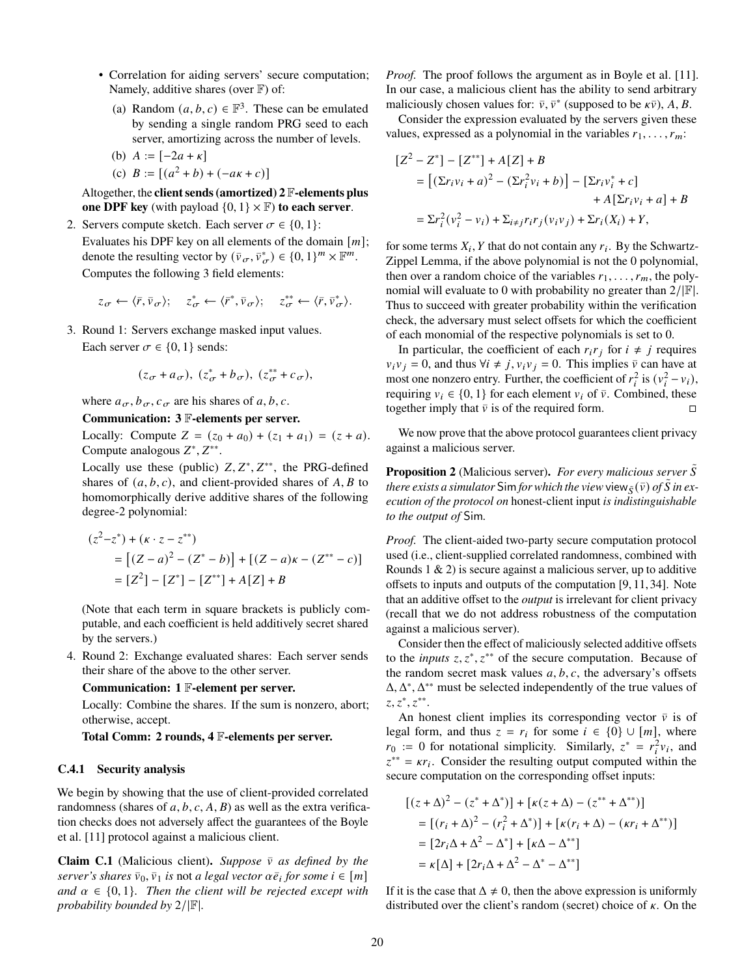- Correlation for aiding servers' secure computation; Namely, additive shares (over  $\mathbb{F}$ ) of:
	- (a) Random  $(a, b, c) \in \mathbb{F}^3$ . These can be emulated by sending a single random PRG seed to each server, amortizing across the number of levels.
	- (b)  $A := [-2a + \kappa]$ (c)  $B := [(a^2 + b) + (-a\kappa + c)]$

Altogether, the **client sends (amortized) 2** F**-elements plus one DPF key** (with payload  $\{0, 1\} \times \mathbb{F}$ ) **to each server**.

- 2. Servers compute sketch. Each server  $\sigma \in \{0, 1\}$ :
	- Evaluates his DPF key on all elements of the domain  $[m]$ ; denote the resulting vector by  $(\bar{v}_\sigma, \bar{v}_\sigma^*) \in \{0, 1\}^m \times \mathbb{F}^m$ . Computes the following 3 field elements:

$$
z_{\sigma} \leftarrow \langle \bar{r}, \bar{\nu}_{\sigma} \rangle; \quad z_{\sigma}^* \leftarrow \langle \bar{r}^*, \bar{\nu}_{\sigma} \rangle; \quad z_{\sigma}^{**} \leftarrow \langle \bar{r}, \bar{\nu}_{\sigma}^* \rangle.
$$

3. Round 1: Servers exchange masked input values. Each server  $\sigma \in \{0, 1\}$  sends:

$$
(z_{\sigma}+a_{\sigma}), (z_{\sigma}^*+b_{\sigma}), (z_{\sigma}^{**}+c_{\sigma}),
$$

where  $a_{\sigma}, b_{\sigma}, c_{\sigma}$  are his shares of a, b, c.

#### **Communication: 3** F**-elements per server.**

Locally: Compute  $Z = (z_0 + a_0) + (z_1 + a_1) = (z + a)$ . Compute analogous  $Z^*, Z^{**}.$ 

Locally use these (public)  $Z, Z^*, Z^{**}$ , the PRG-defined shares of  $(a, b, c)$ , and client-provided shares of A, B to homomorphically derive additive shares of the following degree-2 polynomial:

$$
(z2-z*) + (k \cdot z - z**)
$$
  
= [(Z - a)<sup>2</sup> - (Z<sup>\*</sup> - b)] + [(Z - a)k - (Z<sup>\*\*</sup> - c)]  
= [Z<sup>2</sup>] - [Z<sup>\*</sup>] - [Z<sup>\*\*</sup>] + A[Z] + B

(Note that each term in square brackets is publicly computable, and each coefficient is held additively secret shared by the servers.)

4. Round 2: Exchange evaluated shares: Each server sends their share of the above to the other server.

#### **Communication: 1** F**-element per server.**

Locally: Combine the shares. If the sum is nonzero, abort; otherwise, accept.

**Total Comm: 2 rounds, 4** F**-elements per server.**

#### **C.4.1 Security analysis**

We begin by showing that the use of client-provided correlated randomness (shares of  $a, b, c, A, B$ ) as well as the extra verification checks does not adversely affect the guarantees of the Boyle et al. [\[11\]](#page-13-1) protocol against a malicious client.

**Claim C.1** (Malicious client). *Suppose*  $\bar{v}$  *as defined by the*  $server's shares \bar{v}_0, \bar{v}_1$  *is* not *a legal vector*  $\alpha \bar{e}_i$  *for some*  $i \in [m]$ *and*  $\alpha \in \{0, 1\}$ *. Then the client will be rejected except with probability bounded by* 2/|F|*.*

*Proof.* The proof follows the argument as in Boyle et al. [\[11\]](#page-13-1). In our case, a malicious client has the ability to send arbitrary maliciously chosen values for:  $\bar{v}$ ,  $\bar{v}^*$  (supposed to be  $\kappa \bar{v}$ ), A, B.

Consider the expression evaluated by the servers given these values, expressed as a polynomial in the variables  $r_1, \ldots, r_m$ :

$$
[Z^{2} - Z^{*}] - [Z^{**}] + A[Z] + B
$$
  
= 
$$
[(\Sigma r_{i}v_{i} + a)^{2} - (\Sigma r_{i}^{2}v_{i} + b)] - [\Sigma r_{i}v_{i}^{*} + c] + A[\Sigma r_{i}v_{i} + a] + B
$$
  
= 
$$
\Sigma r_{i}^{2}(v_{i}^{2} - v_{i}) + \Sigma_{i \neq j}r_{i}r_{j}(v_{i}v_{j}) + \Sigma r_{i}(X_{i}) + Y,
$$

for some terms  $X_i$ , Y that do not contain any  $r_i$ . By the Schwartz-Zippel Lemma, if the above polynomial is not the 0 polynomial, then over a random choice of the variables  $r_1, \ldots, r_m$ , the polynomial will evaluate to 0 with probability no greater than  $2/|\mathbb{F}|$ . Thus to succeed with greater probability within the verification check, the adversary must select offsets for which the coefficient of each monomial of the respective polynomials is set to 0.

In particular, the coefficient of each  $r_i r_j$  for  $i \neq j$  requires  $v_i v_j = 0$ , and thus  $\forall i \neq j$ ,  $v_i v_j = 0$ . This implies  $\bar{v}$  can have at most one nonzero entry. Further, the coefficient of  $r_i^2$  is  $(v_i^2 - v_i)$ , requiring  $v_i \in \{0, 1\}$  for each element  $v_i$  of  $\overline{v}$ . Combined, these together imply that  $\bar{v}$  is of the required form.

We now prove that the above protocol guarantees client privacy against a malicious server.

**Proposition 2** (Malicious server). For every malicious server S *there exists a simulator* Sim *for which the view* view  $\zeta(\bar{v})$  *of*  $\tilde{S}$  *in execution of the protocol on* honest-client input *is indistinguishable to the output of* Sim*.*

*Proof.* The client-aided two-party secure computation protocol used (i.e., client-supplied correlated randomness, combined with Rounds  $1 \& 2$ ) is secure against a malicious server, up to additive offsets to inputs and outputs of the computation [\[9,](#page-13-19) [11,](#page-13-1) [34\]](#page-14-27). Note that an additive offset to the *output* is irrelevant for client privacy (recall that we do not address robustness of the computation against a malicious server).

Consider then the effect of maliciously selected additive offsets to the *inputs*  $z, z^*, z^{**}$  of the secure computation. Because of the random secret mask values  $a, b, c$ , the adversary's offsets  $\Delta, \Delta^*, \Delta^{**}$  must be selected independently of the true values of  $z, z^*, z^{**}.$ 

An honest client implies its corresponding vector  $\bar{v}$  is of legal form, and thus  $z = r_i$  for some  $i \in \{0\} \cup [m]$ , where  $r_0 := 0$  for notational simplicity. Similarly,  $z^* = r_i^2 v_i$ , and  $z^{**} = \kappa r_i$ . Consider the resulting output computed within the secure computation on the corresponding offset inputs:

$$
[(z + \Delta)^2 - (z^* + \Delta^*)] + [k(z + \Delta) - (z^{**} + \Delta^{**})]
$$
  
= [(r<sub>i</sub> + \Delta)<sup>2</sup> - (r<sub>i</sub><sup>2</sup> + \Delta^\*)] + [k(r<sub>i</sub> + \Delta) - (kr<sub>i</sub> + \Delta^{\*\*})]  
= [2r<sub>i</sub>\Delta + \Delta<sup>2</sup> - \Delta^\*] + [k\Delta - \Delta^{\*\*}]  
= k[\Delta] + [2r<sub>i</sub>\Delta + \Delta<sup>2</sup> - \Delta^\* - \Delta^{\*\*}]

If it is the case that  $\Delta \neq 0$ , then the above expression is uniformly distributed over the client's random (secret) choice of  $\kappa$ . On the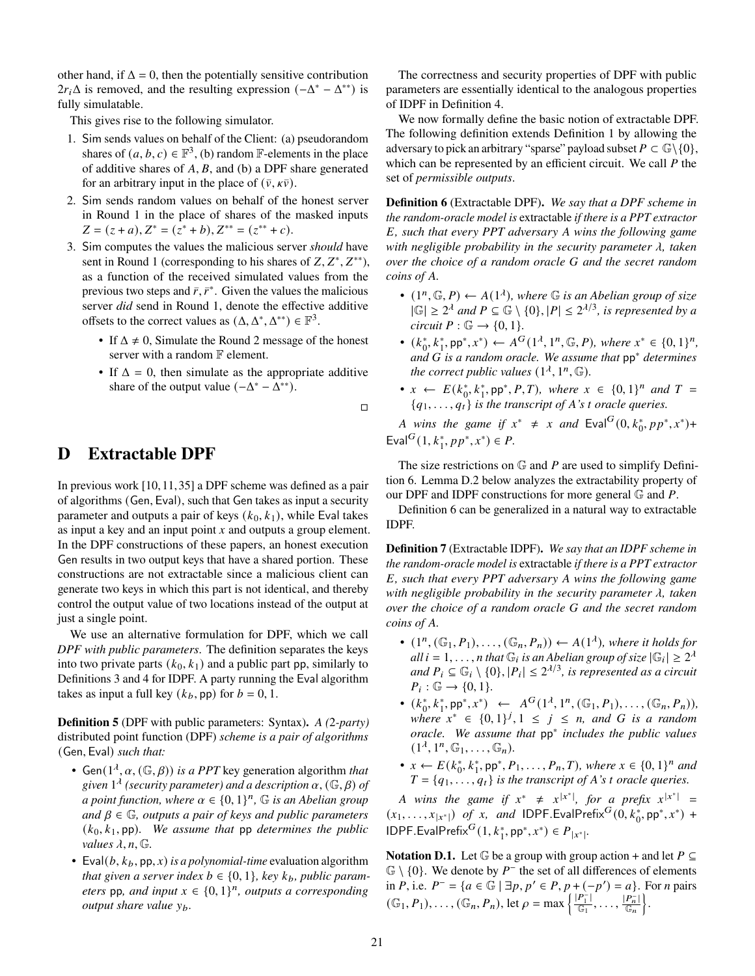other hand, if  $\Delta = 0$ , then the potentially sensitive contribution  $2r_i\Delta$  is removed, and the resulting expression  $(-\Delta^* - \Delta^{**})$  is fully simulatable.

This gives rise to the following simulator.

- 1. Sim sends values on behalf of the Client: (a) pseudorandom shares of  $(a, b, c) \in \mathbb{F}^3$ , (b) random  $\mathbb{F}$ -elements in the place of additive shares of  $A$ ,  $B$ , and (b) a DPF share generated for an arbitrary input in the place of  $(\bar{v}, \kappa \bar{v})$ .
- 2. Sim sends random values on behalf of the honest server in Round 1 in the place of shares of the masked inputs  $Z = (z + a), Z^* = (z^* + b), Z^{**} = (z^{**} + c).$
- 3. Sim computes the values the malicious server *should* have sent in Round 1 (corresponding to his shares of  $Z, Z^*, Z^{**}$ ), as a function of the received simulated values from the previous two steps and  $\bar{r}$ ,  $\bar{r}^*$ . Given the values the malicious server *did* send in Round 1, denote the effective additive offsets to the correct values as  $(\Delta, \Delta^*, \Delta^{**}) \in \mathbb{F}^3$ .
	- If  $\Delta \neq 0$ , Simulate the Round 2 message of the honest server with a random  $\mathbb F$  element.
	- If  $\Delta = 0$ , then simulate as the appropriate additive share of the output value  $(-\Delta^* - \Delta^{**})$ .

 $\Box$ 

# <span id="page-20-0"></span>**D Extractable DPF**

In previous work [\[10,](#page-13-2)[11,](#page-13-1)[35\]](#page-14-3) a DPF scheme was defined as a pair of algorithms (Gen, Eval), such that Gen takes as input a security parameter and outputs a pair of keys  $(k_0, k_1)$ , while Eval takes as input a key and an input point  $x$  and outputs a group element. In the DPF constructions of these papers, an honest execution Gen results in two output keys that have a shared portion. These constructions are not extractable since a malicious client can generate two keys in which this part is not identical, and thereby control the output value of two locations instead of the output at just a single point.

We use an alternative formulation for DPF, which we call *DPF with public parameters*. The definition separates the keys into two private parts  $(k_0, k_1)$  and a public part pp, similarly to Definitions [3](#page-16-1) and [4](#page-17-2) for IDPF. A party running the Eval algorithm takes as input a full key  $(k_b, \text{pp})$  for  $b = 0, 1$ .

**Definition 5** (DPF with public parameters: Syntax)**.** *A (*2*-party)* distributed point function (DPF) *scheme is a pair of algorithms* (Gen, Eval) *such that:*

- Gen( $1^{\lambda}$ ,  $\alpha$ , ( $\mathbb{G}, \beta$ )) *is a PPT* key generation algorithm *that* given  $1^{\lambda}$  (security parameter) and a description  $\alpha$ ,  $(\mathbb{G}, \beta)$  of *a point function, where*  $\alpha \in \{0,1\}^n$ ,  $\mathbb G$  *is an Abelian group and*  $\beta \in \mathbb{G}$ , *outputs a pair of keys and public parameters*  $(k_0, k_1, \text{pp})$ . We assume that pp *determines the public values*  $\lambda$ ,  $n$ ,  $\mathbb{G}$ .
- Eval $(b, k_b, \text{pp}, x)$  *is a polynomial-time* evaluation algorithm *that given a server index*  $b \in \{0, 1\}$ , key  $k_b$ , public param*eters* pp, and input  $x \in \{0, 1\}^n$ , outputs a corresponding *output share value y<sub>b</sub>.*

The correctness and security properties of DPF with public parameters are essentially identical to the analogous properties of IDPF in Definition [4.](#page-17-2)

We now formally define the basic notion of extractable DPF. The following definition extends Definition [1](#page-7-2) by allowing the adversary to pick an arbitrary "sparse" payload subset  $P \subset \mathbb{G} \setminus \{0\},\$ which can be represented by an efficient circuit. We call  $P$  the set of *permissible outputs*.

<span id="page-20-1"></span>**Definition 6** (Extractable DPF)**.** *We say that a DPF scheme in the random-oracle model is* extractable *if there is a PPT extractor , such that every PPT adversary wins the following game with negligible probability in the security parameter*  $\lambda$ , taken *over the choice of a random oracle and the secret random coins of .*

- $(1^n, \mathbb{G}, P) \leftarrow A(1^{\lambda})$ , where  $\mathbb{G}$  *is an Abelian group of size*  $|\mathbb{G}| \geq 2^{\lambda}$  and  $P \subseteq \mathbb{G} \setminus \{0\}, |P| \leq 2^{\lambda/3}$ , is represented by a *circuit*  $P : \mathbb{G} \to \{0, 1\}.$
- $(k_0^*, k_1^*, pp^*, x^*) \leftarrow A^G(1^{\lambda}, 1^n, \mathbb{G}, P)$ , where  $x^* \in \{0, 1\}^n$ , *and is a random oracle. We assume that* pp<sup>∗</sup> *determines the correct public values*  $(1^{\lambda}, 1^n, \mathbb{G})$ *.*
- $x \leftarrow E(k_0^*, k_1^*, \text{pp}^*, P, T)$ , where  $x \in \{0, 1\}^n$  and  $T =$  ${q_1, \ldots, q_t}$  *is the transcript of A's t oracle queries.*

*A* wins the game if  $x^* \neq x$  and  $Eval^G(0, k_0^*, pp^*, x^*) +$ Eval<sup>G</sup> $(1, k_1^*, pp^*, x^*) \in P$ .

The size restrictions on  $\mathbb G$  and  $P$  are used to simplify Definition [6.](#page-20-1) Lemma [D.2](#page-21-0) below analyzes the extractability property of our DPF and IDPF constructions for more general  $\mathbb G$  and  $P$ .

Definition [6](#page-20-1) can be generalized in a natural way to extractable IDPF.

**Definition 7** (Extractable IDPF)**.** *We say that an IDPF scheme in the random-oracle model is* extractable *if there is a PPT extractor , such that every PPT adversary wins the following game with negligible probability in the security parameter*  $\lambda$ , taken *over the choice of a random oracle and the secret random coins of .*

- $(1^n, (\mathbb{G}_1, P_1), \ldots, (\mathbb{G}_n, P_n)) \leftarrow A(1^{\lambda}),$  where it holds for  $all i = 1, ..., n$  that  $\mathbb{G}_i$  is an Abelian group of size  $|\mathbb{G}_i| \geq 2^{\lambda}$ *and*  $P_i \subseteq \mathbb{G}_i \setminus \{0\}, |P_i| \leq 2^{\lambda/3}$ , *is represented as a circuit*  $P_i: \mathbb{G} \to \{0, 1\}.$
- $(k_0^*, k_1^*, pp^*, x^*) \leftarrow A^G(1^{\lambda}, 1^n, (\mathbb{G}_1, P_1), \ldots, (\mathbb{G}_n, P_n)),$ where  $x^* \in \{0,1\}^j, 1 \leq j \leq n$ , and G is a random *oracle. We assume that* pp<sup>∗</sup> *includes the public values*  $(1^{\lambda}, 1^n, \mathbb{G}_1, \ldots, \mathbb{G}_n).$
- $x \leftarrow E(k_0^*, k_1^*, \text{pp}^*, P_1, \ldots, P_n, T)$ , where  $x \in \{0, 1\}^n$  and  $T = \{q_1, \ldots, q_t\}$  *is the transcript of A's t oracle queries.*

*A* wins the game if  $x^* \neq x^{|x^*|}$ , for a prefix  $x^{|x^*|} =$ |  $(x_1, \ldots, x_{|x^*|})$  *of x*, *and* IDPF.EvalPrefix<sup>*G*</sup>(0,  $k_0^*$ , pp<sup>\*</sup>, *x*<sup>\*</sup>) +  $IDPF.EvalPrefix<sup>G</sup>(1, k<sub>1</sub><sup>*</sup>, pp<sup>*</sup>, x<sup>*</sup>) \in P_{|x<sup>*</sup>|}.$ 

**Notation D.1.** Let  $\mathbb{G}$  be a group with group action + and let  $P \subseteq$  $\mathbb{G} \setminus \{0\}$ . We denote by  $P^-$  the set of all differences of elements in *P*, i.e.  $P^- = \{ a \in \mathbb{G} \mid \exists p, p' \in P, p + (-p') = a \}.$  For *n* pairs  $(\mathbb{G}_1, P_1), \ldots, (\mathbb{G}_n, P_n), \text{ let } \rho = \max \left\{ \frac{|P_1^{\neg}|}{\mathbb{G}_1}, \ldots, \frac{|P_n^{\neg}|}{\mathbb{G}_n} \right\}.$ | |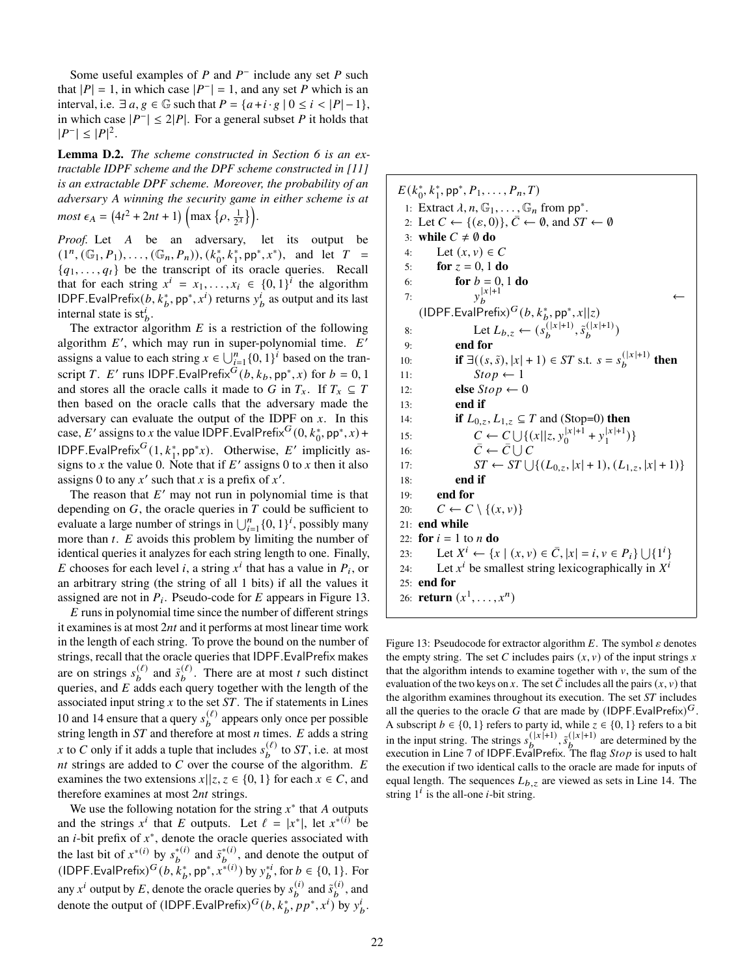Some useful examples of  $P$  and  $P^-$  include any set  $P$  such that  $|P| = 1$ , in which case  $|P^{-}| = 1$ , and any set P which is an interval, i.e.  $\exists a, g \in \mathbb{G}$  such that  $P = \{a + i \cdot g \mid 0 \le i \le |P| - 1\},\$ in which case  $|P^{-}| \leq 2|P|$ . For a general subset P it holds that  $|P^{-}| \leq |P|^{2}.$ 

<span id="page-21-0"></span>**Lemma D.2.** *The scheme constructed in Section [6](#page-10-0) is an extractable IDPF scheme and the DPF scheme constructed in [\[11\]](#page-13-1) is an extractable DPF scheme. Moreover, the probability of an adversary winning the security game in either scheme is at*  $most \epsilon_A = (4t^2 + 2nt + 1) \left( \max \left\{ \rho, \frac{1}{2^{\lambda}} \right\} \right).$ 

*Proof.* Let A be an adversary, let its output be  $(1^n, (\mathbb{G}_1, P_1), \ldots, (\mathbb{G}_n, P_n)), (k_0^*, k_1^*, \mathsf{pp}^*, x^*)$ , and let  $T =$  ${q_1, \ldots, q_t}$  be the transcript of its oracle queries. Recall that for each string  $x^i = x_1, \ldots, x_i \in \{0, 1\}^i$  the algorithm IDPF.EvalPrefix( $b, k_b^*$ , pp<sup>∗</sup>,  $x^i$ ) returns  $y_b^i$  as output and its last internal state is  $st_b^i$ .

The extractor algorithm  $E$  is a restriction of the following algorithm  $E'$ , which may run in super-polynomial time.  $E'$ assigns a value to each string  $x \in \bigcup_{i=1}^{n} \{0, 1\}^{i}$  based on the transcript T. E' runs IDPF.EvalPrefix  $G(h, k_b, pp^*, x)$  for  $b = 0, 1$ and stores all the oracle calls it made to G in  $T_x$ . If  $T_x \subseteq T$ then based on the oracle calls that the adversary made the adversary can evaluate the output of the IDPF on  $x$ . In this case, E' assigns to x the value IDPF.EvalPrefix<sup>G</sup>(0,  $k_0^*$ , pp<sup>\*</sup>, x) + IDPF.EvalPrefix<sup>G</sup>(1,  $k_1^*$ , pp<sup>\*</sup>x). Otherwise, E' implicitly assigns to x the value 0. Note that if  $E'$  assigns 0 to x then it also assigns 0 to any  $x'$  such that x is a prefix of  $x'$ .

The reason that  $E'$  may not run in polynomial time is that depending on  $G$ , the oracle queries in  $T$  could be sufficient to evaluate a large number of strings in  $\bigcup_{i=1}^{n} \{0, 1\}^i$ , possibly many more than  $t$ .  $E$  avoids this problem by limiting the number of identical queries it analyzes for each string length to one. Finally, E chooses for each level i, a string  $x^i$  that has a value in  $P_i$ , or an arbitrary string (the string of all 1 bits) if all the values it assigned are not in  $P_i$ . Pseudo-code for E appears in Figure [13.](#page-21-1)

 $E$  runs in polynomial time since the number of different strings it examines is at most  $2nt$  and it performs at most linear time work in the length of each string. To prove the bound on the number of strings, recall that the oracle queries that IDPF.EvalPrefix makes are on strings  $s_b^{(\ell)}$  and  $\tilde{s}_b^{(\ell)}$ . There are at most t such distinct queries, and  $E$  adds each query together with the length of the associated input string  $x$  to the set  $ST$ . The if statements in Lines [10](#page-18-7) and [14](#page-18-3) ensure that a query  $s_b^{(\ell)}$  appears only once per possible string length in  $ST$  and therefore at most  $n$  times.  $E$  adds a string x to C only if it adds a tuple that includes  $s_b^{(\ell)}$  to ST, i.e. at most nt strings are added to  $\overline{C}$  over the course of the algorithm. E examines the two extensions  $x||z, z \in \{0, 1\}$  for each  $x \in C$ , and therefore examines at most  $2nt$  strings.

We use the following notation for the string  $x^*$  that A outputs and the strings  $x^i$  that E outputs. Let  $\ell = |x^*|$ , let  $x^{*(i)}$  be an  $i$ -bit prefix of  $x^*$ , denote the oracle queries associated with the last bit of  $x^{*(i)}$  by  $s_b^{*(i)}$  and  $\tilde{s}_b^{*(i)}$ , and denote the output of (IDPF.EvalPrefix)<sup>*G*</sup> (*b*,  $k_b^*$ , pp<sup>\*</sup>,  $x^{*(i)}$ ) by  $y_b^{*i}$ , for  $b \in \{0, 1\}$ . For any  $x^i$  output by E, denote the oracle queries by  $s_b^{(i)}$  and  $\tilde{s}_b^{(i)}$ , and denote the output of (IDPF.EvalPrefix)<sup>G</sup>(b,  $k_b^*$ , pp<sup>\*</sup>, x<sup>i</sup>) by  $y_b^i$ . <span id="page-21-1"></span> $E(k_0^*, k_1^*, pp^*, P_1, \ldots, P_n, T)$ 1: Extract  $\lambda, n, \mathbb{G}_1, \ldots, \mathbb{G}_n$  from pp<sup>\*</sup>. 2: Let  $C \leftarrow \{(\varepsilon, 0)\}, \overline{C} \leftarrow \emptyset$ , and  $ST \leftarrow \emptyset$ 3: **while**  $C \neq \emptyset$  **do** 4: Let  $(x, v) \in C$ 5: **for**  $z = 0, 1$  **do** 6: **for**  $b = 0, 1$  **do** 7:  $y_b^{|x|+1}$   $\leftarrow$  $y_b^{|x|+1}$  $(\mathsf{IDPF}.\mathsf{EvalPrefix})^G(b,k_b^*,\mathsf{pp}^*,x||z)$ 8: Let  $L_{b,z} \leftarrow (s_b^{(|x|+1)}, \tilde{s}_b^{(|x|+1)})$ 9: **end for** 10: **if**  $\exists ((s, \tilde{s}), |x| + 1) \in ST$  s.t.  $s = s_b^{(|x|+1)}$  then 11:  $Stop \leftarrow 1$ 12: **else**  $Stop \leftarrow 0$ 13: **end if** 14: **if**  $L_{0,z}, L_{1,z} \subseteq T$  and (Stop=0) **then** 15:  $C \leftarrow C \cup \{(x||z, y_0^{|x|+1})\}$  $|x|+1$  +  $y_1|x|+1$  $\binom{|X|+1}{1}$ 16:  $\bar{C} \leftarrow \bar{C} \cup \bar{C}$ 17:  $ST \leftarrow ST \cup \{(L_{0,z}, |x|+1), (L_{1,z}, |x|+1)\}\$ 18: **end if** 19: **end for** 20:  $C \leftarrow C \setminus \{(x, v)\}\$ 21: **end while** 22: **for**  $i = 1$  to  $n$  **do** 23: Let  $X^i \leftarrow \{x \mid (x, v) \in \overline{C}, |x| = i, v \in P_i\} \cup \{1^i\}$ 24: Let  $x^i$  be smallest string lexicographically in  $X^i$ 25: **end for** 26: **return**  $(x^1, ..., x^n)$ 

Figure 13: Pseudocode for extractor algorithm  $E$ . The symbol  $\varepsilon$  denotes the empty string. The set C includes pairs  $(x, v)$  of the input strings x that the algorithm intends to examine together with  $\nu$ , the sum of the evaluation of the two keys on x. The set  $\overline{C}$  includes all the pairs  $(x, v)$  that the algorithm examines throughout its execution. The set  $ST$  includes all the queries to the oracle G that are made by (IDPF. EvalPrefix)<sup>G</sup>. A subscript  $b \in \{0, 1\}$  refers to party id, while  $z \in \{0, 1\}$  refers to a bit in the input string. The strings  $s_b^{(|x|+1)}, \tilde{s}_b^{(|x|+1)}$  are determined by the execution in Line [7](#page-18-8) of IDPF. EvalPrefix. The flag  $Stop$  is used to halt the execution if two identical calls to the oracle are made for inputs of equal length. The sequences  $L_{b,z}$  are viewed as sets in Line [14.](#page-18-3) The string  $1^i$  is the all-one *i*-bit string.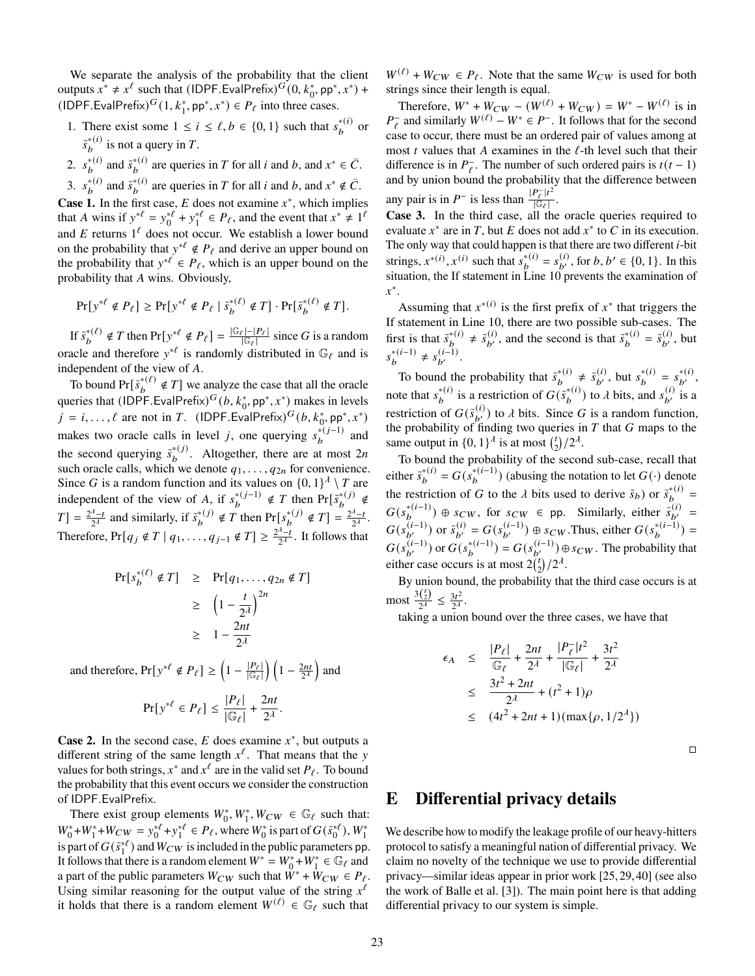We separate the analysis of the probability that the client outputs  $x^* \neq x^{\ell}$  such that  $(IDPF.EvalPrefix)^G(0, k_0^*, pp^*, x^*)$  + (IDPF.EvalPrefix)<sup>*G*</sup>(1,  $k_1^*$ , pp<sup>\*</sup>,  $x^*$ )  $\in$  *P*<sub> $\ell$ </sub> into three cases.

- 1. There exist some  $1 \le i \le \ell, b \in \{0, 1\}$  such that  $s_b^{*(i)}$  or  $\tilde{s}_{b}^{*(i)}$  is not a query in T.
- 2.  $s_b^{*(i)}$  and  $\tilde{s}_b^{*(i)}$  are queries in T for all i and b, and  $x^* \in \overline{C}$ .

3.  $s_b^{*(i)}$  and  $\tilde{s}_b^{*(i)}$  are queries in T for all *i* and *b*, and  $x^* \notin \overline{C}$ .

**Case 1.** In the first case,  $E$  does not examine  $x^*$ , which implies that A wins if  $y^{*\ell} = y_0^{*\ell} + y_1^{*\ell} \in P_\ell$ , and the event that  $x^* \neq 1^\ell$ and E returns  $1^{\ell}$  does not occur. We establish a lower bound on the probability that  $y^{*\ell} \notin P_\ell$  and derive an upper bound on the probability that  $y^{*\ell} \in P_{\ell}$ , which is an upper bound on the probability that A wins. Obviously,

$$
\Pr[y^{* \ell} \notin P_\ell] \ge \Pr[y^{* \ell} \notin P_\ell \mid \tilde{s}_b^{*(\ell)} \notin T] \cdot \Pr[\tilde{s}_b^{*(\ell)} \notin T].
$$

If  $\tilde{s}_{b}^{*(\ell)} \notin T$  then  $Pr[y^{*\ell} \notin P_{\ell}] = \frac{|\mathbb{G}_{\ell}| - |P_{\ell}|}{|\mathbb{G}_{\ell}|}$  $\frac{g_{\ell}|-|P_{\ell}|}{|G_{\ell}|}$  since G is a random oracle and therefore  $y^{*\ell}$  is randomly distributed in  $\mathbb{G}_{\ell}$  and is independent of the view of  $A$ .

To bound  $Pr[\tilde{s}_{b}^{*(\ell)} \notin T]$  we analyze the case that all the oracle queries that  $(IDPF.EvalPrefix)^G(b, k_0^*, pp^*, x^*)$  makes in levels  $j = i, ..., \ell$  are not in T. (IDPF.EvalPrefix)<sup>G</sup> $(b, k_0^*, pp^*, x^*)$ makes two oracle calls in level *j*, one querying  $s_b^{*(j-1)}$  and the second querying  $\tilde{s}_{b}^{*(j)}$ . Altogether, there are at most 2n such oracle calls, which we denote  $q_1, \ldots, q_{2n}$  for convenience. Since G is a random function and its values on  $\{0, 1\}^{\lambda} \setminus T$  are independent of the view of A, if  $s_b^{*(j-1)} \notin T$  then  $Pr[s_b^{*(j)}] \notin T$  $T$ ] =  $\frac{2^{\lambda}-t}{2\lambda}$  $\frac{\lambda_{-t}}{2\lambda}$  and similarly, if  $\tilde{s}_b^{*(j)} \notin T$  then  $Pr[s_b^{*(j)} \notin T] = \frac{2^{\lambda_{-t}}}{2^{\lambda_{-t}}}$  $\frac{x-t}{2^{\lambda}}$ . Therefore,  $Pr[q_j \notin T | q_1, \ldots, q_{j-1} \notin T] \geq \frac{2^{\lambda}-1}{2^{\lambda}}$  $\frac{\lambda^2-t}{2\lambda}$ . It follows that

$$
\Pr[s_b^{*(\ell)} \notin T] \ge \Pr[q_1, \dots, q_{2n} \notin T]
$$
  
\n
$$
\ge \left(1 - \frac{t}{2^{\lambda}}\right)^{2n}
$$
  
\n
$$
\ge 1 - \frac{2nt}{2^{\lambda}}
$$

and therefore,  $Pr[y^{*\ell} \notin P_\ell] \geq \left(1 - \frac{|P_\ell|}{\|\mathcal{F}_\ell\|}\right)$  $\frac{|P_{\ell}|}{|\mathbb{G}_{\ell}|}\bigg) \left(1 - \frac{2nt}{2^{\lambda}}\right)$  and

$$
\Pr[y^{*\ell} \in P_\ell] \le \frac{|P_\ell|}{|\mathbb{G}_\ell|} + \frac{2nt}{2^{\lambda}}.
$$

**Case 2.** In the second case,  $E$  does examine  $x^*$ , but outputs a different string of the same length  $x^{\ell}$ . That means that the y values for both strings,  $x^*$  and  $x^{\ell}$  are in the valid set  $P_{\ell}$ . To bound the probability that this event occurs we consider the construction of IDPF.EvalPrefix.

There exist group elements  $W_0^*$ ,  $W_1^*$ ,  $W_{CW} \in \mathbb{G}_{\ell}$  such that:  $W_0^* + W_1^* + W_{CW} = y_0^{*l} + y_1^{*l} \in P_l$ , where  $W_0^*$  is part of  $G(\tilde{s}_0^{*l})$ ,  $W_1^*$ is part of  $G(\tilde{s}_1^{*})$  and  $W_{CW}$  is included in the public parameters pp. It follows that there is a random element  $W^* = W_0^* + W_1^* \in \mathbb{G}_\ell$  and a part of the public parameters  $W_{CW}$  such that  $\tilde{W}^* + \tilde{W}_{CW} \in P_{\ell}$ . Using similar reasoning for the output value of the string  $x^{\ell}$ it holds that there is a random element  $W^{(\ell)} \in \mathbb{G}_{\ell}$  such that

 $W^{(\ell)} + W_{CW} \in P_{\ell}$ . Note that the same  $W_{CW}$  is used for both strings since their length is equal.

Therefore,  $W^* + W_{CW} - (W^{(\ell)} + W_{CW}) = W^* - W^{(\ell)}$  is in  $P_{\ell}^-$  and similarly  $W^{(\ell)} - W^* \in P^-$ . It follows that for the second case to occur, there must be an ordered pair of values among at most  $t$  values that  $A$  examines in the  $\ell$ -th level such that their difference is in  $P_{\ell}^-$ . The number of such ordered pairs is  $t(t-1)$ and by union bound the probability that the difference between any pair is in  $P^-$  is less than  $\frac{|P^-_l|t^2}{\sqrt{|C_1|}}$  $\frac{\ell+\ell}{|\mathbb G_\ell|}$ .

**Case 3.** In the third case, all the oracle queries required to evaluate  $x^*$  are in T, but E does not add  $x^*$  to C in its execution. The only way that could happen is that there are two different  $i$ -bit strings,  $x^{*(i)}$ ,  $x^{(i)}$  such that  $s_b^{*(i)} = s_b^{(i)}$ , for  $b, b' \in \{0, 1\}$ . In this situation, the If statement in Line [10](#page-18-7) prevents the examination of ∗ .

Assuming that  $x^{*(i)}$  is the first prefix of  $x^*$  that triggers the If statement in Line [10,](#page-18-7) there are two possible sub-cases. The first is that  $\tilde{s}_b^{*(i)} \neq \tilde{s}_{b'}^{(i)}$ , and the second is that  $\tilde{s}_b^{*(i)} = \tilde{s}_{b'}^{(i)}$ , but  $s_b^{*(i-1)} \neq s_{b'}^{(i-1)}$ .

To bound the probability that  $\tilde{s}_b^{*(i)} \neq \tilde{s}_{b'}^{(i)}$ , but  $s_b^{*(i)} = s_{b'}^{*(i)}$ , note that  $s_b^{*(i)}$  is a restriction of  $G(\tilde{s}_b^{*(i)})$  to  $\lambda$  bits, and  $s_b^{(i)}$  is a restriction of  $G(\tilde{s}_{b'}^{(i)})$  to  $\lambda$  bits. Since G is a random function, the probability of finding two queries in  $T$  that  $G$  maps to the same output in  $\{0, 1\}^{\lambda}$  is at most  $\binom{n}{2}$  $_{2}^{t})/2^{\lambda}$ .

To bound the probability of the second sub-case, recall that either  $\tilde{s}_{b}^{*(i)} = G(s_{b}^{*(i-1)})$  (abusing the notation to let  $G(\cdot)$  denote the restriction of G to the  $\lambda$  bits used to derive  $\tilde{s}_b$ ) or  $\tilde{s}_b^{*(i)}$  =  $G(s_b^{*(i-1)}) \oplus s_{CW}$ , for  $s_{CW} \in \text{pp}$ . Similarly, either  $\tilde{s}_{b'}^{(i)} =$  $G(s_{b'}^{(i-1)})$  or  $\tilde{s}_{b'}^{(i)} = G(s_{b'}^{(i-1)}) \oplus s_{CW}$ . Thus, either  $G(s_b^{*(i-1)}) =$  $G(s_{b'}^{(i-1)})$  or  $G(s_b^{*(i-1)}) = G(s_{b'}^{(i-1)}) \oplus s_{CW}$ . The probability that either case occurs is at most  $2\binom{t}{2}/2^{\lambda}$ .

By union bound, the probability that the third case occurs is at most  $\frac{3 {t \choose 2}}{2\lambda}$  $\frac{\binom{t}{2}}{2^{\lambda}} \leq \frac{3t^2}{2^{\lambda}}$  $\frac{3t^2}{2^{\lambda}}$ .

taking a union bound over the three cases, we have that

$$
\epsilon_A \leq \frac{|P_{\ell}|}{\mathbb{G}_{\ell}} + \frac{2nt}{2^{\lambda}} + \frac{|P_{\ell}^-|t^2}{|\mathbb{G}_{\ell}|} + \frac{3t^2}{2^{\lambda}}
$$
  

$$
\leq \frac{3t^2 + 2nt}{2^{\lambda}} + (t^2 + 1)\rho
$$
  

$$
\leq (4t^2 + 2nt + 1)(\max{\rho, 1/2^{\lambda}})
$$

 $\Box$ 

# <span id="page-22-0"></span>**E Differential privacy details**

We describe how to modify the leakage profile of our heavy-hitters protocol to satisfy a meaningful nation of differential privacy. We claim no novelty of the technique we use to provide differential privacy—similar ideas appear in prior work [\[25,](#page-13-25)[29,](#page-14-28)[40\]](#page-14-21) (see also the work of Balle et al. [\[3\]](#page-13-26)). The main point here is that adding differential privacy to our system is simple.